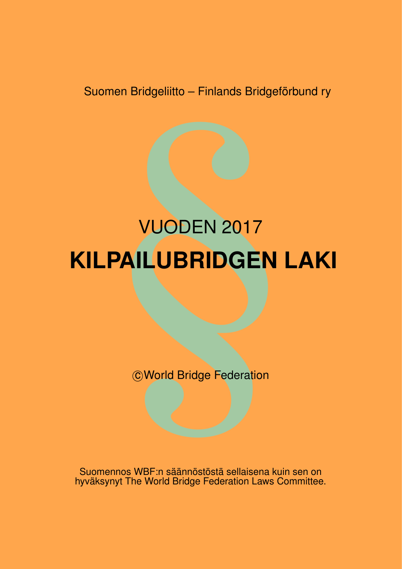Suomen Bridgeliitto – Finlands Bridgeförbund ry

# men Bridgeliitto – Finlands Bridgefört<br>
VUODEN 2017<br>
PAILUBRIDGEN L<br>
©World Bridge Federation VUODEN 2017 **KILPAILUBRIDGEN LAKI**

**C World Bridge Federation** 

Suomennos WBF:n säännöstöstä sellaisena kuin sen on hyväksynyt The World Bridge Federation Laws Committee.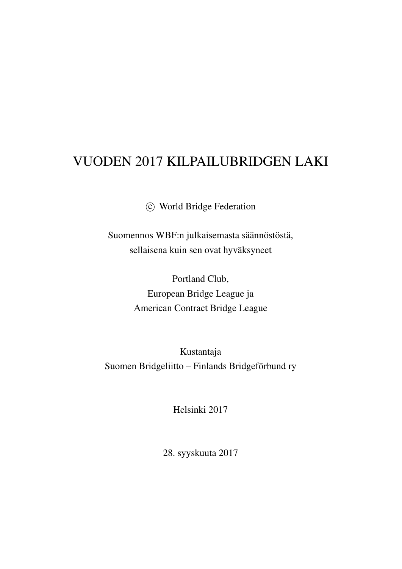# VUODEN 2017 KILPAILUBRIDGEN LAKI

c World Bridge Federation

Suomennos WBF:n julkaisemasta säännöstöstä, sellaisena kuin sen ovat hyväksyneet

> Portland Club, European Bridge League ja American Contract Bridge League

Kustantaja Suomen Bridgeliitto – Finlands Bridgeförbund ry

Helsinki 2017

28. syyskuuta 2017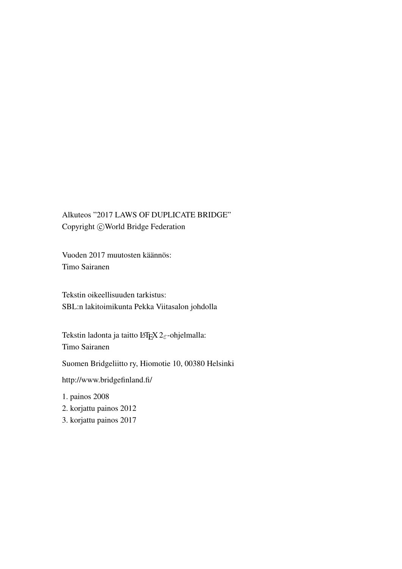Alkuteos "2017 LAWS OF DUPLICATE BRIDGE" Copyright © World Bridge Federation

Vuoden 2017 muutosten käännös: Timo Sairanen

Tekstin oikeellisuuden tarkistus: SBL:n lakitoimikunta Pekka Viitasalon johdolla

Tekstin ladonta ja taitto LATEX 2 $\varepsilon$ -ohjelmalla: Timo Sairanen

Suomen Bridgeliitto ry, Hiomotie 10, 00380 Helsinki

http://www.bridgefinland.fi/

1. painos 2008

2. korjattu painos 2012

3. korjattu painos 2017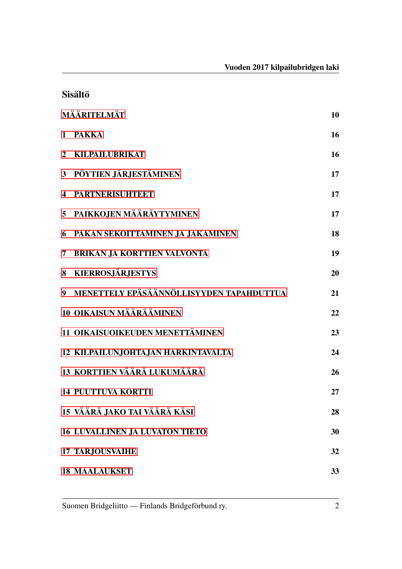|                | <b>Sisältö</b>                           |    |
|----------------|------------------------------------------|----|
| MÄÄRITELMÄT    |                                          |    |
|                | 1 PAKKA                                  | 16 |
| $\overline{2}$ | KILPAILUBRIKAT                           | 16 |
|                | 3 PÖYTIEN JÄRJESTÄMINEN                  | 17 |
| 4              | <b>PARTNERISUHTEET</b>                   | 17 |
|                | 5 PAIKKOJEN MÄÄRÄYTYMINEN                | 17 |
| 6              | PAKAN SEKOITTAMINEN JA JAKAMINEN         | 18 |
| 7              | <b>BRIKAN JA KORTTIEN VALVONTA</b>       | 19 |
|                | 8 KIERROSJÄRJESTYS                       | 20 |
| 9 <sup>°</sup> | MENETTELY EPÄSÄÄNNÖLLISYYDEN TAPAHDUTTUA | 21 |
|                | <b>10 OIKAISUN MÄÄRÄÄMINEN</b>           | 22 |
|                | 11 OIKAISUOIKEUDEN MENETTÄMINEN          | 23 |
|                | 12 KILPAILUN, JOHTA, JAN HARKINTAVALTA   | 24 |
|                | 13 KORTTIEN VÄÄRÄ LUKUMÄÄRÄ              | 26 |
|                | <b>14 PUUTTUVA KORTTI</b>                | 27 |
|                | 15 VÄÄRÄ JAKO TAI VÄÄRÄ KÄSI             | 28 |
|                | <b>16 LUVALLINEN JA LUVATON TIETO</b>    | 30 |
|                | <b>17 TARJOUSVAIHE</b>                   | 32 |
|                | <b>18 MAALAUKSET</b>                     | 33 |

Suomen Bridgeliitto — Finlands Bridgeförbund ry. 2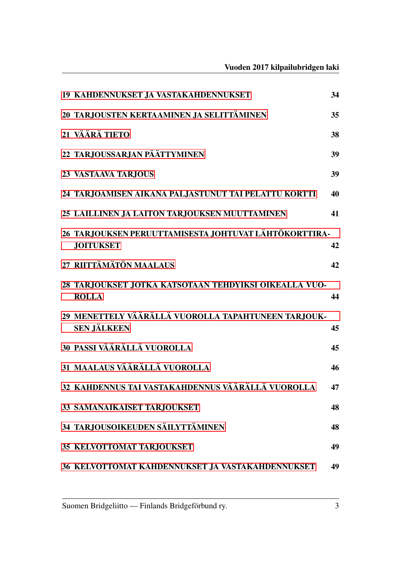Vuoden 2017 kilpailubridgen laki

| 19 KAHDENNUKSET JA VASTAKAHDENNUKSET                                      | 34 |
|---------------------------------------------------------------------------|----|
| 20 TARJOUSTEN KERTAAMINEN JA SELITTÄMINEN                                 | 35 |
| 21 VÄÄRÄ TIETO                                                            | 38 |
| 22 TARJOUSSARJAN PÄÄTTYMINEN                                              | 39 |
| 23 VASTAAVA TARJOUS                                                       | 39 |
| 24 TARJOAMISEN AIKANA PALJASTUNUT TAI PELATTU KORTTI                      | 40 |
| 25 LAILLINEN JA LAITON TARJOUKSEN MUUTTAMINEN                             | 41 |
| 26 TARJOUKSEN PERUUTTAMISESTA JOHTUVAT LÄHTÖKORTTIRA-                     |    |
| <b>JOITUKSET</b>                                                          | 42 |
| 27 RIITTÄMÄTÖN MAALAUS                                                    | 42 |
| 28 TARJOUKSET JOTKA KATSOTAAN TEHDYIKSI OIKEALLA VUO-<br><b>ROLLA</b>     | 44 |
| 29 MENETTELY VÄÄRÄLLÄ VUOROLLA TAPAHTUNEEN TARJOUK-<br><b>SEN JÄLKEEN</b> | 45 |
| 30 PASSI VÄÄRÄLLÄ VUOROLLA                                                | 45 |
| 31 MAALAUS VÄÄRÄLLÄ VUOROLLA                                              | 46 |
| 32 KAHDENNUS TAI VASTAKAHDENNUS VÄÄRÄLLÄ VUOROLLA                         | 47 |
| <b>33 SAMANAIKAISET TARJOUKSET</b>                                        | 48 |
| 34 TARJOUSOIKEUDEN SÄILYTTÄMINEN                                          | 48 |
| <b>35 KELVOTTOMAT TARJOUKSET</b>                                          | 49 |
| 36 KELVOTTOMAT KAHDENNUKSET JA VASTAKAHDENNUKSET                          | 49 |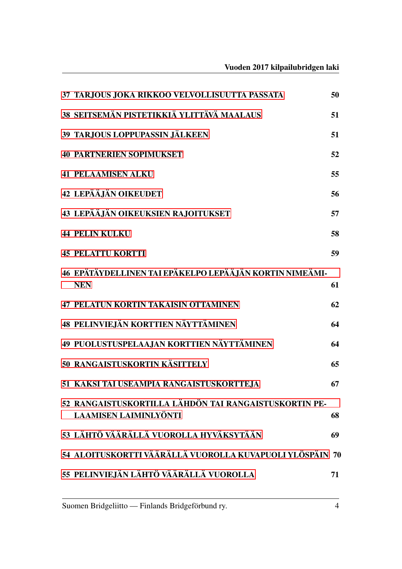| 37 TARJOUS JOKA RIKKOO VELVOLLISUUTTA PASSATA                                         | 50 |
|---------------------------------------------------------------------------------------|----|
| 38 SEITSEMÄN PISTETIKKIÄ YLITTÄVÄ MAALAUS                                             | 51 |
| 39 TARJOUS LOPPUPASSIN JÄLKEEN                                                        | 51 |
| <b>40 PARTNERIEN SOPIMUKSET</b>                                                       | 52 |
| <b>41 PELAAMISEN ALKU</b>                                                             | 55 |
| <b>42 LEPÄÄJÄN OIKEUDET</b>                                                           | 56 |
| 43 LEPÄÄJÄN OIKEUKSIEN RAJOITUKSET                                                    | 57 |
| <b>44 PELIN KULKU</b>                                                                 | 58 |
| <b>45 PELATTU KORTTI</b>                                                              | 59 |
| 46 EPÄTÄYDELLINEN TAI EPÄKELPO LEPÄÄJÄN KORTIN NIMEÄMI-<br><b>NEN</b>                 | 61 |
| <b>47 PELATUN KORTIN TAKAISIN OTTAMINEN</b>                                           | 62 |
| 48 PELINVIEJÄN KORTTIEN NÄYTTÄMINEN                                                   | 64 |
| 49 PUOLUSTUSPELAAJAN KORTTIEN NÄYTTÄMINEN                                             | 64 |
| 50 RANGAISTUSKORTIN KÄSITTELY                                                         | 65 |
| 51 KAKSI TAI USEAMPIA RANGAISTUSKORTTE,JA                                             | 67 |
| 52 RANGAISTUSKORTILLA LÄHDÖN TAI RANGAISTUSKORTIN PE-<br><b>LAAMISEN LAIMINLYÖNTI</b> | 68 |
| 53 LÄHTÖ VÄÄRÄLLÄ VUOROLLA HYVÄKSYTÄÄN                                                | 69 |
| 54 ALOITUSKORTTI VÄÄRÄLLÄ VUOROLLA KUVAPUOLI YLÖSPÄIN 70                              |    |
| 55 PELINVIEJÄN LÄHTÖ VÄÄRÄLLÄ VUOROLLA                                                | 71 |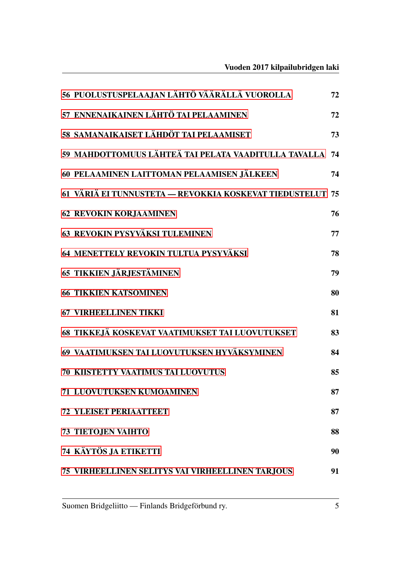| 56 PUOLUSTUSPELAAJAN LÄHTÖ VÄÄRÄLLÄ VUOROLLA              | 72 |
|-----------------------------------------------------------|----|
| 57 ENNENAIKAINEN LÄHTÖ TAI PELAAMINEN                     | 72 |
| 58 SAMANAIKAISET LÄHDÖT TAI PELAAMISET                    | 73 |
| 59 MAHDOTTOMUUS LÄHTEÄ TAI PELATA VAADITULLA TAVALLA      | 74 |
| 60 PELAAMINEN LAITTOMAN PELAAMISEN JÄLKEEN                | 74 |
| 61 VÄRIÄ EI TUNNUSTETA - REVOKKIA KOSKEVAT TIEDUSTELUT 75 |    |
| 62 REVOKIN KORJAAMINEN                                    | 76 |
| 63 REVOKIN PYSYVÄKSI TULEMINEN                            | 77 |
| 64 MENETTELY REVOKIN TULTUA PYSYVÄKSI                     | 78 |
| 65 TIKKIEN JÄRJESTÄMINEN                                  | 79 |
| <b>66 TIKKIEN KATSOMINEN</b>                              | 80 |
| <b>67 VIRHEELLINEN TIKKI</b>                              | 81 |
| 68 TIKKEJÄ KOSKEVAT VAATIMUKSET TAI LUOVUTUKSET           | 83 |
| 69 VAATIMUKSEN TAI LUOVUTUKSEN HYVÄKSYMINEN               | 84 |
| <b>70 KIISTETTY VAATIMUS TAI LUOVUTUS</b>                 | 85 |
| 71 LUOVUTUKSEN KUMOAMINEN                                 | 87 |
| <b>72 YLEISET PERIAATTEET</b>                             | 87 |
| <b>73 TIETOJEN VAIHTO</b>                                 | 88 |
| 74 KÄYTÖS JA ETIKETTI                                     | 90 |
| 75 VIRHEELLINEN SELITYS VAI VIRHEELLINEN TARJOUS          | 91 |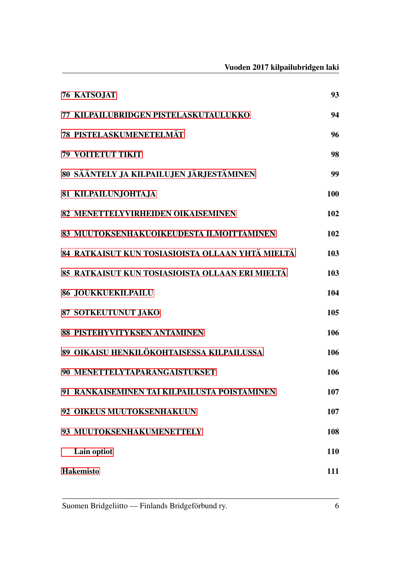|                  | <b>76 KATSOJAT</b>                               | 93  |
|------------------|--------------------------------------------------|-----|
|                  | 77 KILPAILUBRIDGEN PISTELASKUTAULUKKO            | 94  |
|                  | <b>78 PISTELASKUMENETELMÄT</b>                   | 96  |
|                  | <b>79 VOITETUT TIKIT</b>                         | 98  |
|                  | 80 SÄÄNTELY JA KILPAILUJEN JÄRJESTÄMINEN         | 99  |
|                  | <b>81 KILPAILUNJOHTAJA</b>                       | 100 |
|                  | 82 MENETTELYVIRHEIDEN OIKAISEMINEN               | 102 |
|                  | 83 MUUTOKSENHAKUOIKEUDESTA ILMOITTAMINEN         | 102 |
|                  | 84 RATKAISUT KUN TOSIASIOISTA OLLAAN YHTÄ MIELTÄ | 103 |
|                  | 85 RATKAISUT KUN TOSIASIOISTA OLLAAN ERI MIELTÄ  | 103 |
|                  | <b>86 JOUKKUEKILPAILU</b>                        | 104 |
|                  | <b>87 SOTKEUTUNUT JAKO</b>                       | 105 |
|                  | 88 PISTEHYVITYKSEN ANTAMINEN                     | 106 |
|                  | 89 OIKAISU HENKILÖKOHTAISESSA KILPAILUSSA        | 106 |
|                  | 90 MENETTELYTAPARANGAISTUKSET                    | 106 |
|                  | 91 RANKAISEMINEN TAI KILPAILUSTA POISTAMINEN     | 107 |
|                  | 92 OIKEUS MUUTOKSENHAKUUN                        | 107 |
|                  | 93 MUUTOKSENHAKUMENETTELY                        | 108 |
|                  | Lain optiot                                      | 110 |
| <b>Hakemisto</b> |                                                  | 111 |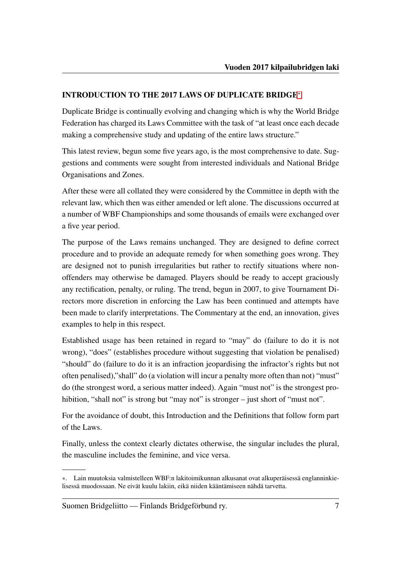# INTRODUCTION TO THE 2017 LAWS OF DUPLICATE BRIDGE[∗](#page-9-0)

Duplicate Bridge is continually evolving and changing which is why the World Bridge Federation has charged its Laws Committee with the task of "at least once each decade making a comprehensive study and updating of the entire laws structure."

This latest review, begun some five years ago, is the most comprehensive to date. Suggestions and comments were sought from interested individuals and National Bridge Organisations and Zones.

After these were all collated they were considered by the Committee in depth with the relevant law, which then was either amended or left alone. The discussions occurred at a number of WBF Championships and some thousands of emails were exchanged over a five year period.

The purpose of the Laws remains unchanged. They are designed to define correct procedure and to provide an adequate remedy for when something goes wrong. They are designed not to punish irregularities but rather to rectify situations where nonoffenders may otherwise be damaged. Players should be ready to accept graciously any rectification, penalty, or ruling. The trend, begun in 2007, to give Tournament Directors more discretion in enforcing the Law has been continued and attempts have been made to clarify interpretations. The Commentary at the end, an innovation, gives examples to help in this respect.

Established usage has been retained in regard to "may" do (failure to do it is not wrong), "does" (establishes procedure without suggesting that violation be penalised) "should" do (failure to do it is an infraction jeopardising the infractor's rights but not often penalised),"shall" do (a violation will incur a penalty more often than not) "must" do (the strongest word, a serious matter indeed). Again "must not" is the strongest prohibition, "shall not" is strong but "may not" is stronger – just short of "must not".

For the avoidance of doubt, this Introduction and the Definitions that follow form part of the Laws.

Finally, unless the context clearly dictates otherwise, the singular includes the plural, the masculine includes the feminine, and vice versa.

<span id="page-9-0"></span><sup>∗</sup>. Lain muutoksia valmistelleen WBF:n lakitoimikunnan alkusanat ovat alkuperäisessä englanninkielisessä muodossaan. Ne eivät kuulu lakiin, eikä niiden kääntämiseen nähdä tarvetta.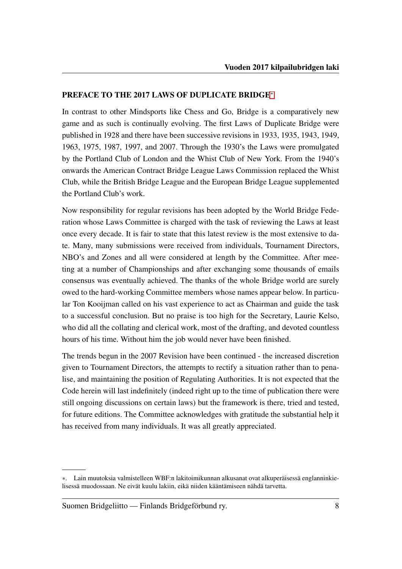## PREFACE TO THE 2017 LAWS OF DUPLICATE BRIDGE[∗](#page-10-0)

In contrast to other Mindsports like Chess and Go, Bridge is a comparatively new game and as such is continually evolving. The first Laws of Duplicate Bridge were published in 1928 and there have been successive revisions in 1933, 1935, 1943, 1949, 1963, 1975, 1987, 1997, and 2007. Through the 1930's the Laws were promulgated by the Portland Club of London and the Whist Club of New York. From the 1940's onwards the American Contract Bridge League Laws Commission replaced the Whist Club, while the British Bridge League and the European Bridge League supplemented the Portland Club's work.

Now responsibility for regular revisions has been adopted by the World Bridge Federation whose Laws Committee is charged with the task of reviewing the Laws at least once every decade. It is fair to state that this latest review is the most extensive to date. Many, many submissions were received from individuals, Tournament Directors, NBO's and Zones and all were considered at length by the Committee. After meeting at a number of Championships and after exchanging some thousands of emails consensus was eventually achieved. The thanks of the whole Bridge world are surely owed to the hard-working Committee members whose names appear below. In particular Ton Kooijman called on his vast experience to act as Chairman and guide the task to a successful conclusion. But no praise is too high for the Secretary, Laurie Kelso, who did all the collating and clerical work, most of the drafting, and devoted countless hours of his time. Without him the job would never have been finished.

The trends begun in the 2007 Revision have been continued - the increased discretion given to Tournament Directors, the attempts to rectify a situation rather than to penalise, and maintaining the position of Regulating Authorities. It is not expected that the Code herein will last indefinitely (indeed right up to the time of publication there were still ongoing discussions on certain laws) but the framework is there, tried and tested, for future editions. The Committee acknowledges with gratitude the substantial help it has received from many individuals. It was all greatly appreciated.

<span id="page-10-0"></span><sup>∗</sup>. Lain muutoksia valmistelleen WBF:n lakitoimikunnan alkusanat ovat alkuperäisessä englanninkielisessä muodossaan. Ne eivät kuulu lakiin, eikä niiden kääntämiseen nähdä tarvetta.

Suomen Bridgeliitto — Finlands Bridgeförbund ry. 8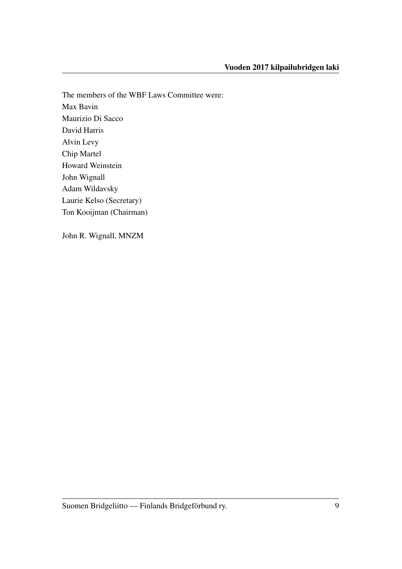The members of the WBF Laws Committee were: Max Bavin Maurizio Di Sacco David Harris Alvin Levy Chip Martel Howard Weinstein John Wignall Adam Wildavsky Laurie Kelso (Secretary) Ton Kooijman (Chairman)

John R. Wignall, MNZM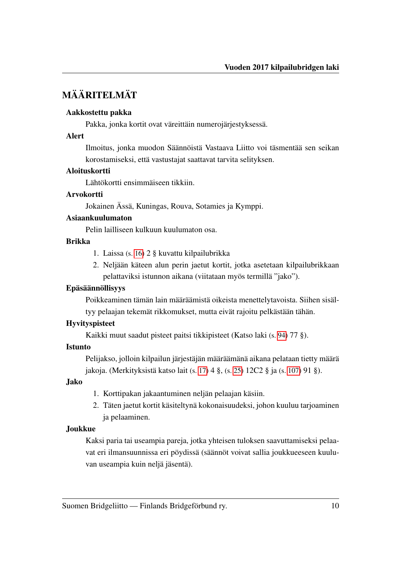# <span id="page-12-0"></span>MÄÄRITELMÄT

#### Aakkostettu pakka

Pakka, jonka kortit ovat väreittäin numerojärjestyksessä.

#### Alert

Ilmoitus, jonka muodon Säännöistä Vastaava Liitto voi täsmentää sen seikan korostamiseksi, että vastustajat saattavat tarvita selityksen.

#### Aloituskortti

Lähtökortti ensimmäiseen tikkiin.

#### Arvokortti

Jokainen Ässä, Kuningas, Rouva, Sotamies ja Kymppi.

## Asiaankuulumaton

Pelin lailliseen kulkuun kuulumaton osa.

## Brikka

- 1. Laissa (s. [16\)](#page-18-1) 2 § kuvattu kilpailubrikka
- 2. Neljään käteen alun perin jaetut kortit, jotka asetetaan kilpailubrikkaan pelattaviksi istunnon aikana (viitataan myös termillä "jako").

## Epäsäännöllisyys

Poikkeaminen tämän lain määräämistä oikeista menettelytavoista. Siihen sisältyy pelaajan tekemät rikkomukset, mutta eivät rajoitu pelkästään tähän.

## Hyvityspisteet

Kaikki muut saadut pisteet paitsi tikkipisteet (Katso laki (s. [94\)](#page-96-0) 77 §).

#### Istunto

Pelijakso, jolloin kilpailun järjestäjän määräämänä aikana pelataan tietty määrä jakoja. (Merkityksistä katso lait (s. [17\)](#page-19-1) 4 §, (s. [25\)](#page-27-0) 12C2 § ja (s. [107\)](#page-109-0) 91 §).

# Jako

- 1. Korttipakan jakaantuminen neljän pelaajan käsiin.
- 2. Täten jaetut kortit käsiteltynä kokonaisuudeksi, johon kuuluu tarjoaminen ja pelaaminen.

# Joukkue

Kaksi paria tai useampia pareja, jotka yhteisen tuloksen saavuttamiseksi pelaavat eri ilmansuunnissa eri pöydissä (säännöt voivat sallia joukkueeseen kuuluvan useampia kuin neljä jäsentä).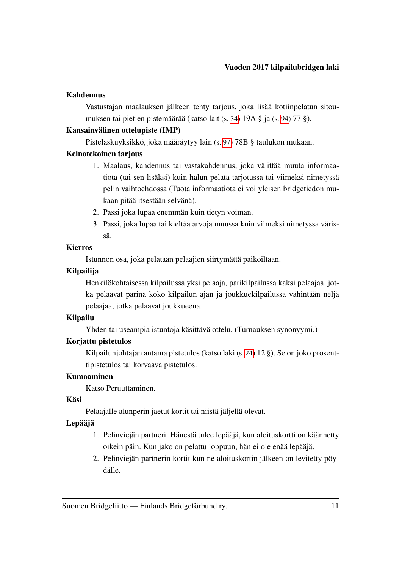## Kahdennus

Vastustajan maalauksen jälkeen tehty tarjous, joka lisää kotiinpelatun sitoumuksen tai pietien pistemäärää (katso lait (s. [34\)](#page-36-1) 19A § ja (s. [94\)](#page-96-0) 77 §).

## Kansainvälinen ottelupiste (IMP)

Pistelaskuyksikkö, joka määräytyy lain (s. [97\)](#page-99-0) 78B § taulukon mukaan.

# Keinotekoinen tarjous

- 1. Maalaus, kahdennus tai vastakahdennus, joka välittää muuta informaatiota (tai sen lisäksi) kuin halun pelata tarjotussa tai viimeksi nimetyssä pelin vaihtoehdossa (Tuota informaatiota ei voi yleisen bridgetiedon mukaan pitää itsestään selvänä).
- 2. Passi joka lupaa enemmän kuin tietyn voiman.
- 3. Passi, joka lupaa tai kieltää arvoja muussa kuin viimeksi nimetyssä värissä.

# Kierros

Istunnon osa, joka pelataan pelaajien siirtymättä paikoiltaan.

# Kilpailija

Henkilökohtaisessa kilpailussa yksi pelaaja, parikilpailussa kaksi pelaajaa, jotka pelaavat parina koko kilpailun ajan ja joukkuekilpailussa vähintään neljä pelaajaa, jotka pelaavat joukkueena.

# Kilpailu

Yhden tai useampia istuntoja käsittävä ottelu. (Turnauksen synonyymi.)

# Korjattu pistetulos

Kilpailunjohtajan antama pistetulos (katso laki (s. [24\)](#page-26-0) 12 §). Se on joko prosenttipistetulos tai korvaava pistetulos.

# Kumoaminen

Katso Peruuttaminen.

# Käsi

Pelaajalle alunperin jaetut kortit tai niistä jäljellä olevat.

# Lepääjä

- 1. Pelinviejän partneri. Hänestä tulee lepääjä, kun aloituskortti on käännetty oikein päin. Kun jako on pelattu loppuun, hän ei ole enää lepääjä.
- 2. Pelinviejän partnerin kortit kun ne aloituskortin jälkeen on levitetty pöydälle.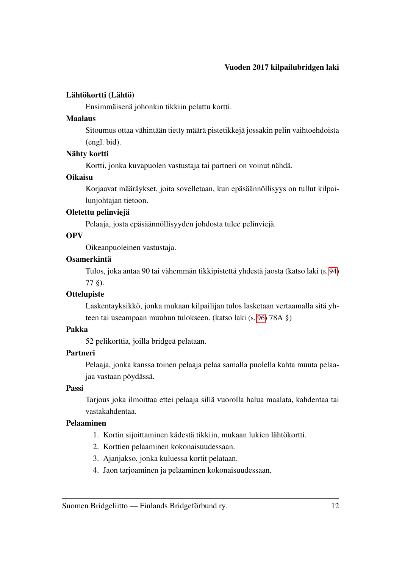#### Lähtökortti (Lähtö)

Ensimmäisenä johonkin tikkiin pelattu kortti.

#### Maalaus

Sitoumus ottaa vähintään tietty määrä pistetikkejä jossakin pelin vaihtoehdoista (engl. bid).

#### Nähty kortti

Kortti, jonka kuvapuolen vastustaja tai partneri on voinut nähdä.

#### **Oikaisu**

Korjaavat määräykset, joita sovelletaan, kun epäsäännöllisyys on tullut kilpailunjohtajan tietoon.

## Oletettu pelinviejä

Pelaaja, josta epäsäännöllisyyden johdosta tulee pelinviejä.

## OPV

Oikeanpuoleinen vastustaja.

#### Osamerkintä

Tulos, joka antaa 90 tai vähemmän tikkipistettä yhdestä jaosta (katso laki (s. [94\)](#page-96-0) 77 §).

## **Ottelupiste**

Laskentayksikkö, jonka mukaan kilpailijan tulos lasketaan vertaamalla sitä yhteen tai useampaan muuhun tulokseen. (katso laki (s. [96\)](#page-98-1) 78A §)

## Pakka

52 pelikorttia, joilla bridgeä pelataan.

## Partneri

Pelaaja, jonka kanssa toinen pelaaja pelaa samalla puolella kahta muuta pelaajaa vastaan pöydässä.

## Passi

Tarjous joka ilmoittaa ettei pelaaja sillä vuorolla halua maalata, kahdentaa tai vastakahdentaa.

## Pelaaminen

- 1. Kortin sijoittaminen kädestä tikkiin, mukaan lukien lähtökortti.
- 2. Korttien pelaaminen kokonaisuudessaan.
- 3. Ajanjakso, jonka kuluessa kortit pelataan.
- 4. Jaon tarjoaminen ja pelaaminen kokonaisuudessaan.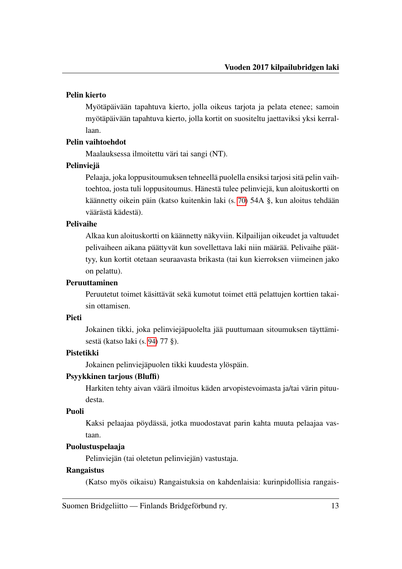## Pelin kierto

Myötäpäivään tapahtuva kierto, jolla oikeus tarjota ja pelata etenee; samoin myötäpäivään tapahtuva kierto, jolla kortit on suositeltu jaettaviksi yksi kerrallaan.

# Pelin vaihtoehdot

Maalauksessa ilmoitettu väri tai sangi (NT).

# **Pelinviejä**

Pelaaja, joka loppusitoumuksen tehneellä puolella ensiksi tarjosi sitä pelin vaihtoehtoa, josta tuli loppusitoumus. Hänestä tulee pelinviejä, kun aloituskortti on käännetty oikein päin (katso kuitenkin laki (s. [70\)](#page-72-1) 54A §, kun aloitus tehdään väärästä kädestä).

# Pelivaihe

Alkaa kun aloituskortti on käännetty näkyviin. Kilpailijan oikeudet ja valtuudet pelivaiheen aikana päättyvät kun sovellettava laki niin määrää. Pelivaihe päättyy, kun kortit otetaan seuraavasta brikasta (tai kun kierroksen viimeinen jako on pelattu).

# Peruuttaminen

Peruutetut toimet käsittävät sekä kumotut toimet että pelattujen korttien takaisin ottamisen.

# Pieti

Jokainen tikki, joka pelinviejäpuolelta jää puuttumaan sitoumuksen täyttämisestä (katso laki (s. [94\)](#page-96-0) 77 §).

# Pistetikki

Jokainen pelinviejäpuolen tikki kuudesta ylöspäin.

# Psyykkinen tarjous (Bluffi)

Harkiten tehty aivan väärä ilmoitus käden arvopistevoimasta ja/tai värin pituudesta.

# Puoli

Kaksi pelaajaa pöydässä, jotka muodostavat parin kahta muuta pelaajaa vastaan.

# Puolustuspelaaja

Pelinviejän (tai oletetun pelinviejän) vastustaja.

## Rangaistus

(Katso myös oikaisu) Rangaistuksia on kahdenlaisia: kurinpidollisia rangais-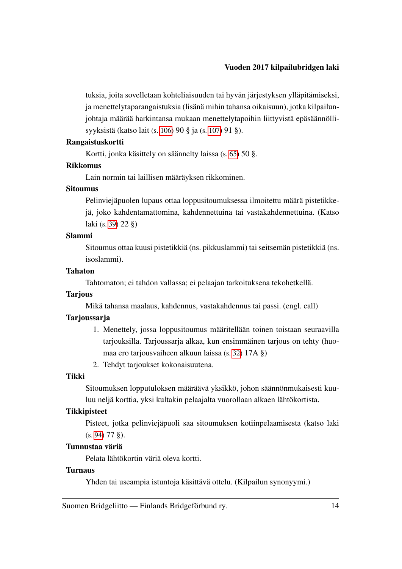tuksia, joita sovelletaan kohteliaisuuden tai hyvän järjestyksen ylläpitämiseksi, ja menettelytaparangaistuksia (lisänä mihin tahansa oikaisuun), jotka kilpailunjohtaja määrää harkintansa mukaan menettelytapoihin liittyvistä epäsäännöllisyyksistä (katso lait (s. [106\)](#page-108-2) 90 § ja (s. [107\)](#page-109-0) 91 §).

#### Rangaistuskortti

Kortti, jonka käsittely on säännelty laissa (s. [65\)](#page-67-0) 50 §.

#### Rikkomus

Lain normin tai laillisen määräyksen rikkominen.

#### Sitoumus

Pelinviejäpuolen lupaus ottaa loppusitoumuksessa ilmoitettu määrä pistetikkejä, joko kahdentamattomina, kahdennettuina tai vastakahdennettuina. (Katso laki (s. [39\)](#page-41-0) 22 §)

## Slammi

Sitoumus ottaa kuusi pistetikkiä (ns. pikkuslammi) tai seitsemän pistetikkiä (ns. isoslammi).

#### Tahaton

Tahtomaton; ei tahdon vallassa; ei pelaajan tarkoituksena tekohetkellä.

#### **Tarjous**

Mikä tahansa maalaus, kahdennus, vastakahdennus tai passi. (engl. call)

#### **Tarjoussarja**

- 1. Menettely, jossa loppusitoumus määritellään toinen toistaan seuraavilla tarjouksilla. Tarjoussarja alkaa, kun ensimmäinen tarjous on tehty (huomaa ero tarjousvaiheen alkuun laissa (s. [32\)](#page-34-1) 17A §)
- 2. Tehdyt tarjoukset kokonaisuutena.

#### Tikki

Sitoumuksen lopputuloksen määräävä yksikkö, johon säännönmukaisesti kuuluu neljä korttia, yksi kultakin pelaajalta vuorollaan alkaen lähtökortista.

#### **Tikkipisteet**

Pisteet, jotka pelinviejäpuoli saa sitoumuksen kotiinpelaamisesta (katso laki (s. [94\)](#page-96-0) 77 §).

#### Tunnustaa väriä

Pelata lähtökortin väriä oleva kortti.

#### Turnaus

Yhden tai useampia istuntoja käsittävä ottelu. (Kilpailun synonyymi.)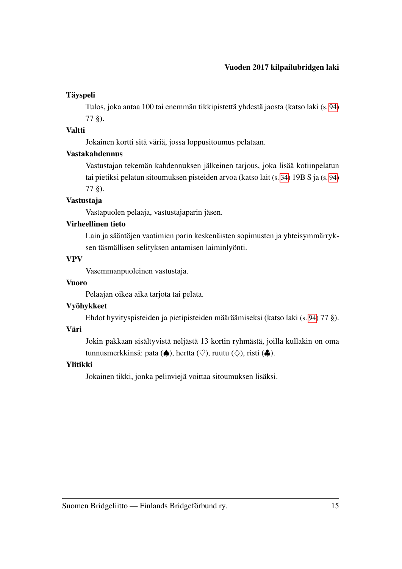# Täyspeli

Tulos, joka antaa 100 tai enemmän tikkipistettä yhdestä jaosta (katso laki (s. [94\)](#page-96-0) 77 §).

# Valtti

Jokainen kortti sitä väriä, jossa loppusitoumus pelataan.

# Vastakahdennus

Vastustajan tekemän kahdennuksen jälkeinen tarjous, joka lisää kotiinpelatun tai pietiksi pelatun sitoumuksen pisteiden arvoa (katso lait (s. [34\)](#page-36-2) 19B S ja (s. [94\)](#page-96-0) 77 §).

# Vastustaja

Vastapuolen pelaaja, vastustajaparin jäsen.

# Virheellinen tieto

Lain ja sääntöjen vaatimien parin keskenäisten sopimusten ja yhteisymmärryksen täsmällisen selityksen antamisen laiminlyönti.

# VPV

Vasemmanpuoleinen vastustaja.

# Vuoro

Pelaajan oikea aika tarjota tai pelata.

# Vyöhykkeet

Ehdot hyvityspisteiden ja pietipisteiden määräämiseksi (katso laki (s. [94\)](#page-96-0) 77 §).

# Väri

Jokin pakkaan sisältyvistä neljästä 13 kortin ryhmästä, joilla kullakin on oma tunnusmerkkinsä: pata (♠), hertta (♡), ruutu (◇), risti (♣).

# Ylitikki

Jokainen tikki, jonka pelinviejä voittaa sitoumuksen lisäksi.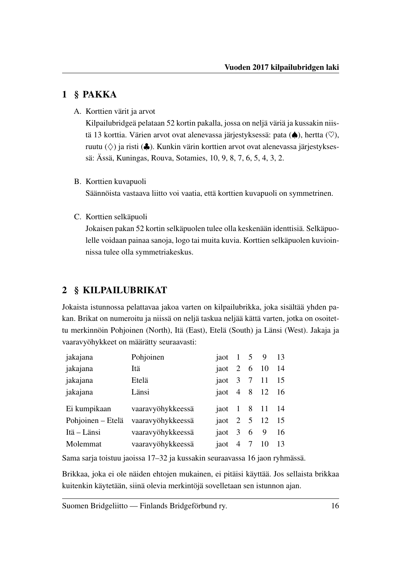# <span id="page-18-0"></span>1 § PAKKA

A. Korttien värit ja arvot

Kilpailubridgeä pelataan 52 kortin pakalla, jossa on neljä väriä ja kussakin niistä 13 korttia. Värien arvot ovat alenevassa järjestyksessä: pata ( $\spadesuit$ ), hertta ( $\heartsuit$ ), ruutu  $(\diamondsuit)$  ja risti ( $\clubsuit$ ). Kunkin värin korttien arvot ovat alenevassa järjestyksessä: Ässä, Kuningas, Rouva, Sotamies, 10, 9, 8, 7, 6, 5, 4, 3, 2.

# B. Korttien kuvapuoli

Säännöista vastaava liitto voi vaatia, että korttien kuvapuoli on symmetrinen.

C. Korttien selkäpuoli

Jokaisen pakan 52 kortin selkäpuolen tulee olla keskenään identtisiä. Selkäpuolelle voidaan painaa sanoja, logo tai muita kuvia. Korttien selkäpuolen kuvioinnissa tulee olla symmetriakeskus.

# <span id="page-18-1"></span>2 § KILPAILUBRIKAT

Jokaista istunnossa pelattavaa jakoa varten on kilpailubrikka, joka sisältää yhden pakan. Brikat on numeroitu ja niissä on neljä taskua neljää kättä varten, jotka on osoitettu merkinnöin Pohjoinen (North), Itä (East), Etelä (South) ja Länsi (West). Jakaja ja vaaravyöhykkeet on määrätty seuraavasti:

| jakajana          | Pohjoinen         | jaot 1 5 9 13      |  |    |
|-------------------|-------------------|--------------------|--|----|
| jakajana          | Itä               | jaot 2 6 10 14     |  |    |
| jakajana          | Etelä             | jaot 3 7 11 15     |  |    |
| jakajana          | Länsi             | jaot 4 8 12 16     |  |    |
| Ei kumpikaan      | vaaravyöhykkeessä | jaot 1 8 11 14     |  |    |
| Pohjoinen – Etelä | vaaravyöhykkeessä | jaot 2 5 12 15     |  |    |
| Itä – Länsi       | vaaravyöhykkeessä | jaot $3 \t 6 \t 9$ |  | 16 |
| Molemmat          | vaaravyöhykkeessä | jaot 4 7 10        |  | 13 |

Sama sarja toistuu jaoissa 17–32 ja kussakin seuraavassa 16 jaon ryhmässä.

Brikkaa, joka ei ole näiden ehtojen mukainen, ei pitäisi käyttää. Jos sellaista brikkaa kuitenkin käytetään, siinä olevia merkintöjä sovelletaan sen istunnon ajan.

Suomen Bridgeliitto — Finlands Bridgeförbund ry. 16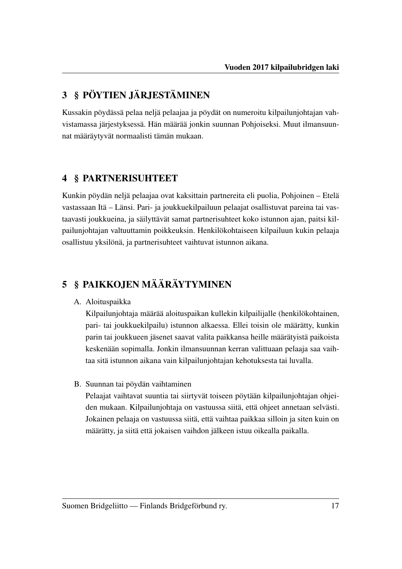# <span id="page-19-0"></span>3 § PÖYTIEN JÄRJESTÄMINEN

Kussakin pöydässä pelaa neljä pelaajaa ja pöydät on numeroitu kilpailunjohtajan vahvistamassa järjestyksessä. Hän määrää jonkin suunnan Pohjoiseksi. Muut ilmansuunnat määräytyvät normaalisti tämän mukaan.

# <span id="page-19-1"></span>4 § PARTNERISUHTEET

Kunkin pöydän neljä pelaajaa ovat kaksittain partnereita eli puolia, Pohjoinen – Etelä vastassaan Itä – Länsi. Pari- ja joukkuekilpailuun pelaajat osallistuvat pareina tai vastaavasti joukkueina, ja säilyttävät samat partnerisuhteet koko istunnon ajan, paitsi kilpailunjohtajan valtuuttamin poikkeuksin. Henkilökohtaiseen kilpailuun kukin pelaaja osallistuu yksilönä, ja partnerisuhteet vaihtuvat istunnon aikana.

# <span id="page-19-2"></span>5 § PAIKKOJEN MÄÄRÄYTYMINEN

# A. Aloituspaikka

Kilpailunjohtaja määrää aloituspaikan kullekin kilpailijalle (henkilökohtainen, pari- tai joukkuekilpailu) istunnon alkaessa. Ellei toisin ole määrätty, kunkin parin tai joukkueen jäsenet saavat valita paikkansa heille määrätyistä paikoista keskenään sopimalla. Jonkin ilmansuunnan kerran valittuaan pelaaja saa vaihtaa sitä istunnon aikana vain kilpailunjohtajan kehotuksesta tai luvalla.

B. Suunnan tai pöydän vaihtaminen

Pelaajat vaihtavat suuntia tai siirtyvät toiseen pöytään kilpailunjohtajan ohjeiden mukaan. Kilpailunjohtaja on vastuussa siitä, että ohjeet annetaan selvästi. Jokainen pelaaja on vastuussa siitä, että vaihtaa paikkaa silloin ja siten kuin on määrätty, ja siitä että jokaisen vaihdon jälkeen istuu oikealla paikalla.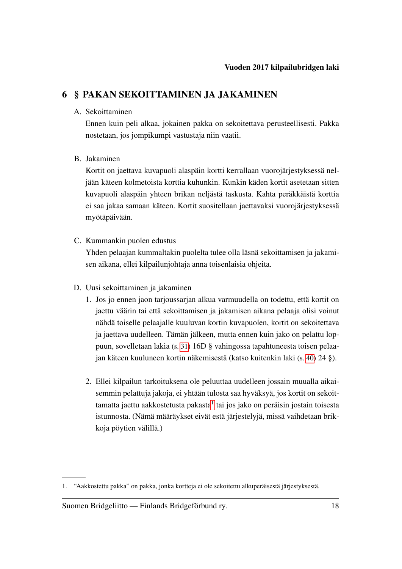# <span id="page-20-0"></span>6 § PAKAN SEKOITTAMINEN JA JAKAMINEN

# A. Sekoittaminen

Ennen kuin peli alkaa, jokainen pakka on sekoitettava perusteellisesti. Pakka nostetaan, jos jompikumpi vastustaja niin vaatii.

# B. Jakaminen

Kortit on jaettava kuvapuoli alaspäin kortti kerrallaan vuorojärjestyksessä neljään käteen kolmetoista korttia kuhunkin. Kunkin käden kortit asetetaan sitten kuvapuoli alaspäin yhteen brikan neljästä taskusta. Kahta peräkkäistä korttia ei saa jakaa samaan käteen. Kortit suositellaan jaettavaksi vuorojärjestyksessä myötäpäivään.

C. Kummankin puolen edustus

Yhden pelaajan kummaltakin puolelta tulee olla läsnä sekoittamisen ja jakamisen aikana, ellei kilpailunjohtaja anna toisenlaisia ohjeita.

- D. Uusi sekoittaminen ja jakaminen
	- 1. Jos jo ennen jaon tarjoussarjan alkua varmuudella on todettu, että kortit on jaettu väärin tai että sekoittamisen ja jakamisen aikana pelaaja olisi voinut nähdä toiselle pelaajalle kuuluvan kortin kuvapuolen, kortit on sekoitettava ja jaettava uudelleen. Tämän jälkeen, mutta ennen kuin jako on pelattu loppuun, sovelletaan lakia (s. [31\)](#page-33-0) 16D § vahingossa tapahtuneesta toisen pelaajan käteen kuuluneen kortin näkemisestä (katso kuitenkin laki (s. [40\)](#page-42-0) 24 §).
	- 2. Ellei kilpailun tarkoituksena ole peluuttaa uudelleen jossain muualla aikaisemmin pelattuja jakoja, ei yhtään tulosta saa hyväksyä, jos kortit on sekoit-tamatta jaettu aakkostetusta pakasta<sup>[1](#page-20-1)</sup> tai jos jako on peräisin jostain toisesta istunnosta. (Nämä määräykset eivät estä järjestelyjä, missä vaihdetaan brikkoja pöytien välillä.)

<span id="page-20-1"></span><sup>1. &</sup>quot;Aakkostettu pakka" on pakka, jonka kortteja ei ole sekoitettu alkuperäisestä järjestyksestä.

Suomen Bridgeliitto — Finlands Bridgeförbund ry. 18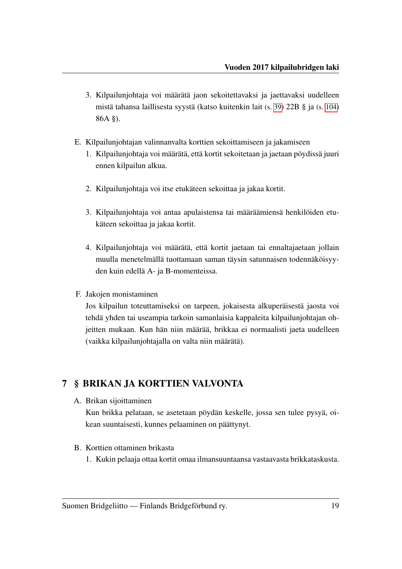- 3. Kilpailunjohtaja voi määrätä jaon sekoitettavaksi ja jaettavaksi uudelleen mistä tahansa laillisesta syystä (katso kuitenkin lait (s. [39\)](#page-41-2) 22B § ja (s. [104\)](#page-106-1) 86A §).
- E. Kilpailunjohtajan valinnanvalta korttien sekoittamiseen ja jakamiseen
	- 1. Kilpailunjohtaja voi määrätä, että kortit sekoitetaan ja jaetaan pöydissä juuri ennen kilpailun alkua.
	- 2. Kilpailunjohtaja voi itse etukäteen sekoittaa ja jakaa kortit.
	- 3. Kilpailunjohtaja voi antaa apulaistensa tai määräämiensä henkilöiden etukäteen sekoittaa ja jakaa kortit.
	- 4. Kilpailunjohtaja voi määrätä, että kortit jaetaan tai ennaltajaetaan jollain muulla menetelmällä tuottamaan saman täysin satunnaisen todennäköisyyden kuin edellä A- ja B-momenteissa.
- F. Jakojen monistaminen

Jos kilpailun toteuttamiseksi on tarpeen, jokaisesta alkuperäisestä jaosta voi tehdä yhden tai useampia tarkoin samanlaisia kappaleita kilpailunjohtajan ohjeitten mukaan. Kun hän niin määrää, brikkaa ei normaalisti jaeta uudelleen (vaikka kilpailunjohtajalla on valta niin määrätä).

# <span id="page-21-0"></span>7 § BRIKAN JA KORTTIEN VALVONTA

A. Brikan sijoittaminen

Kun brikka pelataan, se asetetaan pöydän keskelle, jossa sen tulee pysyä, oikean suuntaisesti, kunnes pelaaminen on päättynyt.

- <span id="page-21-1"></span>B. Korttien ottaminen brikasta
	- 1. Kukin pelaaja ottaa kortit omaa ilmansuuntaansa vastaavasta brikkataskusta.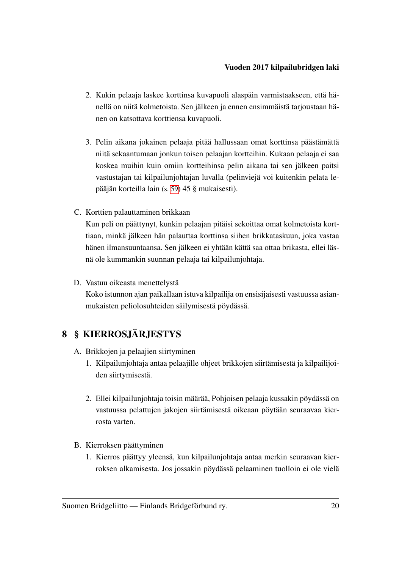- 2. Kukin pelaaja laskee korttinsa kuvapuoli alaspäin varmistaakseen, että hänellä on niitä kolmetoista. Sen jälkeen ja ennen ensimmäistä tarjoustaan hänen on katsottava korttiensa kuvapuoli.
- 3. Pelin aikana jokainen pelaaja pitää hallussaan omat korttinsa päästämättä niitä sekaantumaan jonkun toisen pelaajan kortteihin. Kukaan pelaaja ei saa koskea muihin kuin omiin kortteihinsa pelin aikana tai sen jälkeen paitsi vastustajan tai kilpailunjohtajan luvalla (pelinviejä voi kuitenkin pelata lepääjän korteilla lain (s. [59\)](#page-61-0) 45 § mukaisesti).
- C. Korttien palauttaminen brikkaan

Kun peli on päättynyt, kunkin pelaajan pitäisi sekoittaa omat kolmetoista korttiaan, minkä jälkeen hän palauttaa korttinsa siihen brikkataskuun, joka vastaa hänen ilmansuuntaansa. Sen jälkeen ei yhtään kättä saa ottaa brikasta, ellei läsnä ole kummankin suunnan pelaaja tai kilpailunjohtaja.

D. Vastuu oikeasta menettelystä

Koko istunnon ajan paikallaan istuva kilpailija on ensisijaisesti vastuussa asianmukaisten peliolosuhteiden säilymisestä pöydässä.

# <span id="page-22-0"></span>8 § KIERROSJÄRJESTYS

- A. Brikkojen ja pelaajien siirtyminen
	- 1. Kilpailunjohtaja antaa pelaajille ohjeet brikkojen siirtämisestä ja kilpailijoiden siirtymisestä.
	- 2. Ellei kilpailunjohtaja toisin määrää, Pohjoisen pelaaja kussakin pöydässä on vastuussa pelattujen jakojen siirtämisestä oikeaan pöytään seuraavaa kierrosta varten.
- B. Kierroksen päättyminen
	- 1. Kierros päättyy yleensä, kun kilpailunjohtaja antaa merkin seuraavan kierroksen alkamisesta. Jos jossakin pöydässä pelaaminen tuolloin ei ole vielä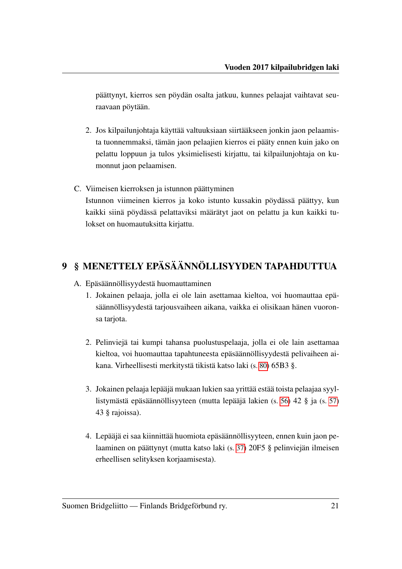päättynyt, kierros sen pöydän osalta jatkuu, kunnes pelaajat vaihtavat seuraavaan pöytään.

- 2. Jos kilpailunjohtaja käyttää valtuuksiaan siirtääkseen jonkin jaon pelaamista tuonnemmaksi, tämän jaon pelaajien kierros ei pääty ennen kuin jako on pelattu loppuun ja tulos yksimielisesti kirjattu, tai kilpailunjohtaja on kumonnut jaon pelaamisen.
- C. Viimeisen kierroksen ja istunnon päättyminen Istunnon viimeinen kierros ja koko istunto kussakin pöydässä päättyy, kun kaikki siinä pöydässä pelattaviksi määrätyt jaot on pelattu ja kun kaikki tulokset on huomautuksitta kirjattu.

# <span id="page-23-0"></span>9 § MENETTELY EPÄSÄÄNNÖLLISYYDEN TAPAHDUTTUA

- A. Epäsäännöllisyydestä huomauttaminen
	- 1. Jokainen pelaaja, jolla ei ole lain asettamaa kieltoa, voi huomauttaa epäsäännöllisyydestä tarjousvaiheen aikana, vaikka ei olisikaan hänen vuoronsa tarjota.
	- 2. Pelinviejä tai kumpi tahansa puolustuspelaaja, jolla ei ole lain asettamaa kieltoa, voi huomauttaa tapahtuneesta epäsäännöllisyydestä pelivaiheen aikana. Virheellisesti merkitystä tikistä katso laki (s. [80\)](#page-82-1) 65B3 §.
	- 3. Jokainen pelaaja lepääjä mukaan lukien saa yrittää estää toista pelaajaa syyllistymästä epäsäännöllisyyteen (mutta lepääjä lakien (s. [56\)](#page-58-0) 42 § ja (s. [57\)](#page-59-0) 43 § rajoissa).
	- 4. Lepääjä ei saa kiinnittää huomiota epäsäännöllisyyteen, ennen kuin jaon pelaaminen on päättynyt (mutta katso laki (s. [37\)](#page-39-0) 20F5 § pelinviejän ilmeisen erheellisen selityksen korjaamisesta).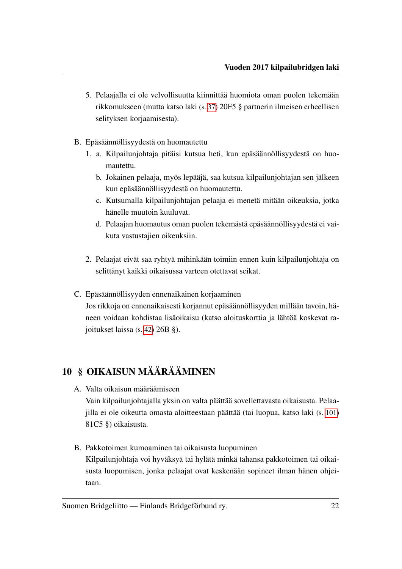- 5. Pelaajalla ei ole velvollisuutta kiinnittää huomiota oman puolen tekemään rikkomukseen (mutta katso laki (s. [37\)](#page-39-0) 20F5 § partnerin ilmeisen erheellisen selityksen korjaamisesta).
- B. Epäsäännöllisyydestä on huomautettu
	- 1. a. Kilpailunjohtaja pitäisi kutsua heti, kun epäsäännöllisyydestä on huomautettu.
		- b. Jokainen pelaaja, myös lepääjä, saa kutsua kilpailunjohtajan sen jälkeen kun epäsäännöllisyydestä on huomautettu.
		- c. Kutsumalla kilpailunjohtajan pelaaja ei menetä mitään oikeuksia, jotka hänelle muutoin kuuluvat.
		- d. Pelaajan huomautus oman puolen tekemästä epäsäännöllisyydestä ei vaikuta vastustajien oikeuksiin.
	- 2. Pelaajat eivät saa ryhtyä mihinkään toimiin ennen kuin kilpailunjohtaja on selittänyt kaikki oikaisussa varteen otettavat seikat.
- C. Epäsäännöllisyyden ennenaikainen korjaaminen Jos rikkoja on ennenaikaisesti korjannut epäsäännöllisyyden millään tavoin, häneen voidaan kohdistaa lisäoikaisu (katso aloituskorttia ja lähtöä koskevat rajoitukset laissa (s. [42\)](#page-44-2) 26B §).

# <span id="page-24-0"></span>10 § OIKAISUN MÄÄRÄÄMINEN

- A. Valta oikaisun määräämiseen Vain kilpailunjohtajalla yksin on valta päättää sovellettavasta oikaisusta. Pelaajilla ei ole oikeutta omasta aloitteestaan päättää (tai luopua, katso laki (s. [101\)](#page-103-0) 81C5 §) oikaisusta.
- B. Pakkotoimen kumoaminen tai oikaisusta luopuminen Kilpailunjohtaja voi hyväksyä tai hylätä minkä tahansa pakkotoimen tai oikaisusta luopumisen, jonka pelaajat ovat keskenään sopineet ilman hänen ohjeitaan.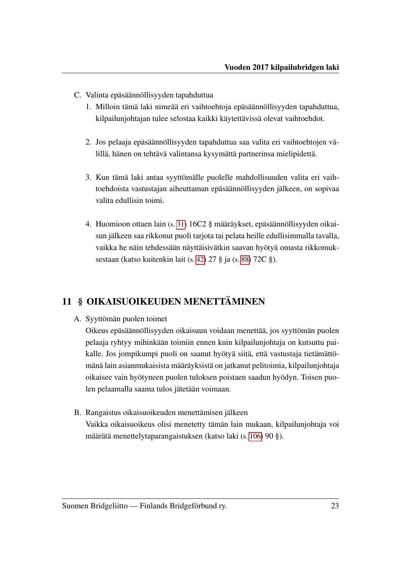- C. Valinta epäsäännöllisyyden tapahduttua
	- 1. Milloin tämä laki nimeää eri vaihtoehtoja epäsäännöllisyyden tapahduttua, kilpailunjohtajan tulee selostaa kaikki käytettävissä olevat vaihtoehdot.
	- 2. Jos pelaaja epäsäännöllisyyden tapahduttua saa valita eri vaihtoehtojen välillä, hänen on tehtävä valintansa kysymättä partnerinsa mielipidettä.
	- 3. Kun tämä laki antaa syyttömälle puolelle mahdollisuuden valita eri vaihtoehdoista vastustajan aiheuttaman epäsäännöllisyyden jälkeen, on sopivaa valita edullisin toimi.
	- 4. Huomioon ottaen lain (s. [31\)](#page-33-1) 16C2 § määräykset, epäsäännöllisyyden oikaisun jälkeen saa rikkonut puoli tarjota tai pelata heille edullisimmalla tavalla, vaikka he näin tehdessään näyttäisivätkin saavan hyötyä omasta rikkomuksestaan (katso kuitenkin lait (s. [42\)](#page-44-1) 27 § ja (s. [88\)](#page-90-1) 72C §).

# <span id="page-25-0"></span>11 § OIKAISUOIKEUDEN MENETTÄMINEN

A. Syyttömän puolen toimet

Oikeus epäsäännöllisyyden oikaisuun voidaan menettää, jos syyttömän puolen pelaaja ryhtyy mihinkään toimiin ennen kuin kilpailunjohtaja on kutsuttu paikalle. Jos jompikumpi puoli on saanut hyötyä siitä, että vastustaja tietämättömänä lain asianmukaisista määräyksistä on jatkanut pelitoimia, kilpailunjohtaja oikaisee vain hyötyneen puolen tuloksen poistaen saadun hyödyn. Toisen puolen pelaamalla saama tulos jätetään voimaan.

B. Rangaistus oikaisuoikeuden menettämisen jälkeen Vaikka oikaisuoikeus olisi menetetty tämän lain mukaan, kilpailunjohtaja voi määrätä menettelytaparangaistuksen (katso laki (s. [106\)](#page-108-2) 90 §).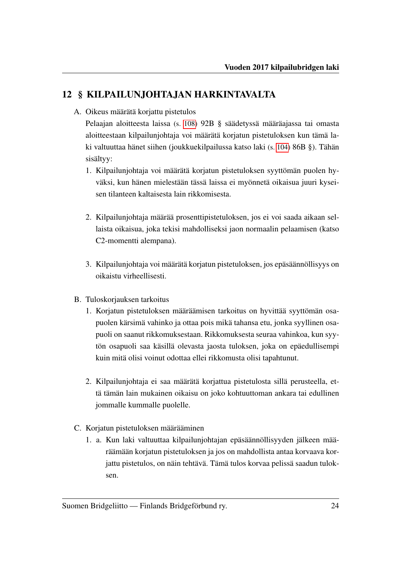# <span id="page-26-0"></span>12 § KILPAILUNJOHTAJAN HARKINTAVALTA

A. Oikeus määrätä korjattu pistetulos

Pelaajan aloitteesta laissa (s. [108\)](#page-110-1) 92B § säädetyssä määräajassa tai omasta aloitteestaan kilpailunjohtaja voi määrätä korjatun pistetuloksen kun tämä laki valtuuttaa hänet siihen (joukkuekilpailussa katso laki (s. [104\)](#page-106-2) 86B §). Tähän sisältyy:

- 1. Kilpailunjohtaja voi määrätä korjatun pistetuloksen syyttömän puolen hyväksi, kun hänen mielestään tässä laissa ei myönnetä oikaisua juuri kyseisen tilanteen kaltaisesta lain rikkomisesta.
- 2. Kilpailunjohtaja määrää prosenttipistetuloksen, jos ei voi saada aikaan sellaista oikaisua, joka tekisi mahdolliseksi jaon normaalin pelaamisen (katso C2-momentti alempana).
- 3. Kilpailunjohtaja voi määrätä korjatun pistetuloksen, jos epäsäännöllisyys on oikaistu virheellisesti.
- B. Tuloskorjauksen tarkoitus
	- 1. Korjatun pistetuloksen määräämisen tarkoitus on hyvittää syyttömän osapuolen kärsimä vahinko ja ottaa pois mikä tahansa etu, jonka syyllinen osapuoli on saanut rikkomuksestaan. Rikkomuksesta seuraa vahinkoa, kun syytön osapuoli saa käsillä olevasta jaosta tuloksen, joka on epäedullisempi kuin mitä olisi voinut odottaa ellei rikkomusta olisi tapahtunut.
	- 2. Kilpailunjohtaja ei saa määrätä korjattua pistetulosta sillä perusteella, että tämän lain mukainen oikaisu on joko kohtuuttoman ankara tai edullinen jommalle kummalle puolelle.
- <span id="page-26-2"></span><span id="page-26-1"></span>C. Korjatun pistetuloksen määrääminen
	- 1. a. Kun laki valtuuttaa kilpailunjohtajan epäsäännöllisyyden jälkeen määräämään korjatun pistetuloksen ja jos on mahdollista antaa korvaava korjattu pistetulos, on näin tehtävä. Tämä tulos korvaa pelissä saadun tuloksen.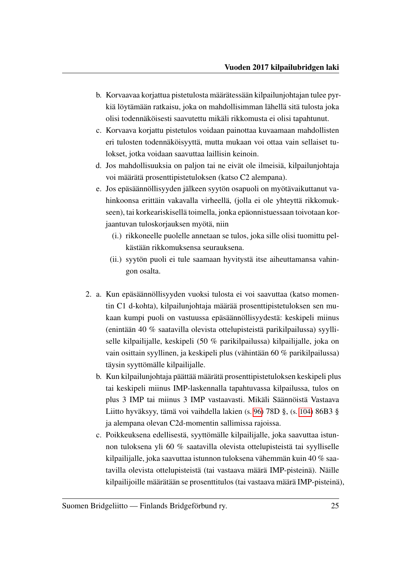- b. Korvaavaa korjattua pistetulosta määrätessään kilpailunjohtajan tulee pyrkiä löytämään ratkaisu, joka on mahdollisimman lähellä sitä tulosta joka olisi todennäköisesti saavutettu mikäli rikkomusta ei olisi tapahtunut.
- c. Korvaava korjattu pistetulos voidaan painottaa kuvaamaan mahdollisten eri tulosten todennäköisyyttä, mutta mukaan voi ottaa vain sellaiset tulokset, jotka voidaan saavuttaa laillisin keinoin.
- d. Jos mahdollisuuksia on paljon tai ne eivät ole ilmeisiä, kilpailunjohtaja voi määrätä prosenttipistetuloksen (katso C2 alempana).
- e. Jos epäsäännöllisyyden jälkeen syytön osapuoli on myötävaikuttanut vahinkoonsa erittäin vakavalla virheellä, (jolla ei ole yhteyttä rikkomukseen), tai korkeariskisellä toimella, jonka epäonnistuessaan toivotaan korjaantuvan tuloskorjauksen myötä, niin
	- (i.) rikkoneelle puolelle annetaan se tulos, joka sille olisi tuomittu pelkästään rikkomuksensa seurauksena.
	- (ii.) syytön puoli ei tule saamaan hyvitystä itse aiheuttamansa vahingon osalta.
- <span id="page-27-0"></span>2. a. Kun epäsäännöllisyyden vuoksi tulosta ei voi saavuttaa (katso momentin C1 d-kohta), kilpailunjohtaja määrää prosenttipistetuloksen sen mukaan kumpi puoli on vastuussa epäsäännöllisyydestä: keskipeli miinus (enintään 40 % saatavilla olevista ottelupisteistä parikilpailussa) syylliselle kilpailijalle, keskipeli (50 % parikilpailussa) kilpailijalle, joka on vain osittain syyllinen, ja keskipeli plus (vähintään 60 % parikilpailussa) täysin syyttömälle kilpailijalle.
	- b. Kun kilpailunjohtaja päättää määrätä prosenttipistetuloksen keskipeli plus tai keskipeli miinus IMP-laskennalla tapahtuvassa kilpailussa, tulos on plus 3 IMP tai miinus 3 IMP vastaavasti. Mikäli Säännöistä Vastaava Liitto hyväksyy, tämä voi vaihdella lakien (s. [96\)](#page-98-0) 78D §, (s. [104\)](#page-106-0) 86B3 § ja alempana olevan C2d-momentin sallimissa rajoissa.
	- c. Poikkeuksena edellisestä, syyttömälle kilpailijalle, joka saavuttaa istunnon tuloksena yli 60 % saatavilla olevista ottelupisteistä tai syylliselle kilpailijalle, joka saavuttaa istunnon tuloksena vähemmän kuin 40 % saatavilla olevista ottelupisteistä (tai vastaava määrä IMP-pisteinä). Näille kilpailijoille määrätään se prosenttitulos (tai vastaava määrä IMP-pisteinä),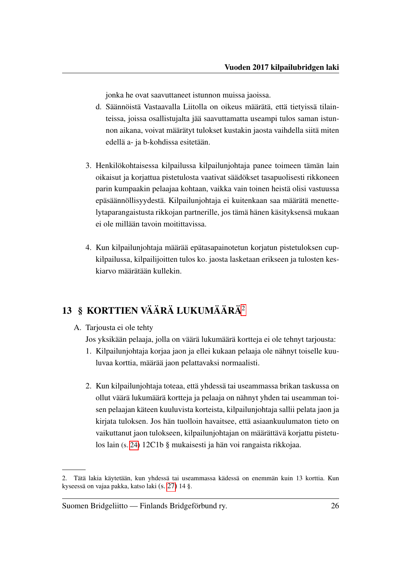jonka he ovat saavuttaneet istunnon muissa jaoissa.

- d. Säännöistä Vastaavalla Liitolla on oikeus määrätä, että tietyissä tilainteissa, joissa osallistujalta jää saavuttamatta useampi tulos saman istunnon aikana, voivat määrätyt tulokset kustakin jaosta vaihdella siitä miten edellä a- ja b-kohdissa esitetään.
- 3. Henkilökohtaisessa kilpailussa kilpailunjohtaja panee toimeen tämän lain oikaisut ja korjattua pistetulosta vaativat säädökset tasapuolisesti rikkoneen parin kumpaakin pelaajaa kohtaan, vaikka vain toinen heistä olisi vastuussa epäsäännöllisyydestä. Kilpailunjohtaja ei kuitenkaan saa määrätä menettelytaparangaistusta rikkojan partnerille, jos tämä hänen käsityksensä mukaan ei ole millään tavoin moitittavissa.
- 4. Kun kilpailunjohtaja määrää epätasapainotetun korjatun pistetuloksen cupkilpailussa, kilpailijoitten tulos ko. jaosta lasketaan erikseen ja tulosten keskiarvo määrätään kullekin.

# <span id="page-28-0"></span>13 § KORTTIEN VÄÄRÄ LUKUMÄÄRÄ[2](#page-28-1)

<span id="page-28-2"></span>A. Tarjousta ei ole tehty

Jos yksikään pelaaja, jolla on väärä lukumäärä kortteja ei ole tehnyt tarjousta:

- 1. Kilpailunjohtaja korjaa jaon ja ellei kukaan pelaaja ole nähnyt toiselle kuuluvaa korttia, määrää jaon pelattavaksi normaalisti.
- 2. Kun kilpailunjohtaja toteaa, että yhdessä tai useammassa brikan taskussa on ollut väärä lukumäärä kortteja ja pelaaja on nähnyt yhden tai useamman toisen pelaajan käteen kuuluvista korteista, kilpailunjohtaja sallii pelata jaon ja kirjata tuloksen. Jos hän tuolloin havaitsee, että asiaankuulumaton tieto on vaikuttanut jaon tulokseen, kilpailunjohtajan on määrättävä korjattu pistetulos lain (s. [24\)](#page-26-1) 12C1b § mukaisesti ja hän voi rangaista rikkojaa.

<span id="page-28-1"></span><sup>2.</sup> Tätä lakia käytetään, kun yhdessä tai useammassa kädessä on enemmän kuin 13 korttia. Kun kyseessä on vajaa pakka, katso laki (s. [27\)](#page-29-0) 14 §.

Suomen Bridgeliitto — Finlands Bridgeförbund ry. 26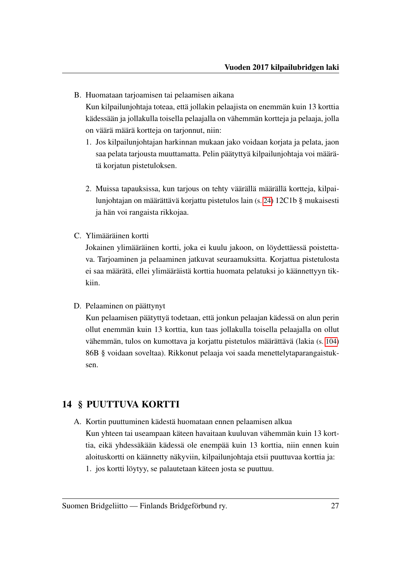B. Huomataan tarjoamisen tai pelaamisen aikana

Kun kilpailunjohtaja toteaa, että jollakin pelaajista on enemmän kuin 13 korttia kädessään ja jollakulla toisella pelaajalla on vähemmän kortteja ja pelaaja, jolla on väärä määrä kortteja on tarjonnut, niin:

- 1. Jos kilpailunjohtajan harkinnan mukaan jako voidaan korjata ja pelata, jaon saa pelata tarjousta muuttamatta. Pelin päätyttyä kilpailunjohtaja voi määrätä korjatun pistetuloksen.
- 2. Muissa tapauksissa, kun tarjous on tehty väärällä määrällä kortteja, kilpailunjohtajan on määrättävä korjattu pistetulos lain (s. [24\)](#page-26-1) 12C1b § mukaisesti ja hän voi rangaista rikkojaa.
- C. Ylimääräinen kortti

Jokainen ylimääräinen kortti, joka ei kuulu jakoon, on löydettäessä poistettava. Tarjoaminen ja pelaaminen jatkuvat seuraamuksitta. Korjattua pistetulosta ei saa määrätä, ellei ylimääräistä korttia huomata pelatuksi jo käännettyyn tikkiin.

# D. Pelaaminen on päättynyt

Kun pelaamisen päätyttyä todetaan, että jonkun pelaajan kädessä on alun perin ollut enemmän kuin 13 korttia, kun taas jollakulla toisella pelaajalla on ollut vähemmän, tulos on kumottava ja korjattu pistetulos määrättävä (lakia (s. [104\)](#page-106-2) 86B § voidaan soveltaa). Rikkonut pelaaja voi saada menettelytaparangaistuksen.

# <span id="page-29-0"></span>14 § PUUTTUVA KORTTI

A. Kortin puuttuminen kädestä huomataan ennen pelaamisen alkua Kun yhteen tai useampaan käteen havaitaan kuuluvan vähemmän kuin 13 korttia, eikä yhdessäkään kädessä ole enempää kuin 13 korttia, niin ennen kuin aloituskortti on käännetty näkyviin, kilpailunjohtaja etsii puuttuvaa korttia ja: 1. jos kortti löytyy, se palautetaan käteen josta se puuttuu.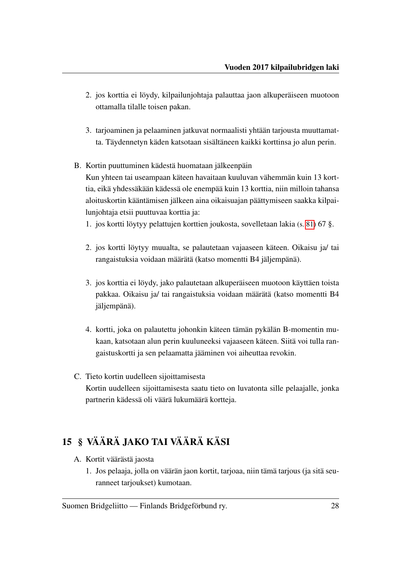- 2. jos korttia ei löydy, kilpailunjohtaja palauttaa jaon alkuperäiseen muotoon ottamalla tilalle toisen pakan.
- 3. tarjoaminen ja pelaaminen jatkuvat normaalisti yhtään tarjousta muuttamatta. Täydennetyn käden katsotaan sisältäneen kaikki korttinsa jo alun perin.
- B. Kortin puuttuminen kädestä huomataan jälkeenpäin Kun yhteen tai useampaan käteen havaitaan kuuluvan vähemmän kuin 13 korttia, eikä yhdessäkään kädessä ole enempää kuin 13 korttia, niin milloin tahansa aloituskortin kääntämisen jälkeen aina oikaisuajan päättymiseen saakka kilpailunjohtaja etsii puuttuvaa korttia ja:
	- 1. jos kortti löytyy pelattujen korttien joukosta, sovelletaan lakia (s. [81\)](#page-83-0) 67 §.
	- 2. jos kortti löytyy muualta, se palautetaan vajaaseen käteen. Oikaisu ja/ tai rangaistuksia voidaan määrätä (katso momentti B4 jäljempänä).
	- 3. jos korttia ei löydy, jako palautetaan alkuperäiseen muotoon käyttäen toista pakkaa. Oikaisu ja/ tai rangaistuksia voidaan määrätä (katso momentti B4 jäljempänä).
	- 4. kortti, joka on palautettu johonkin käteen tämän pykälän B-momentin mukaan, katsotaan alun perin kuuluneeksi vajaaseen käteen. Siitä voi tulla rangaistuskortti ja sen pelaamatta jääminen voi aiheuttaa revokin.
- C. Tieto kortin uudelleen sijoittamisesta Kortin uudelleen sijoittamisesta saatu tieto on luvatonta sille pelaajalle, jonka partnerin kädessä oli väärä lukumäärä kortteja.

# <span id="page-30-0"></span>15 § VÄÄRÄ JAKO TAI VÄÄRÄ KÄSI

- A. Kortit väärästä jaosta
	- 1. Jos pelaaja, jolla on väärän jaon kortit, tarjoaa, niin tämä tarjous (ja sitä seuranneet tarjoukset) kumotaan.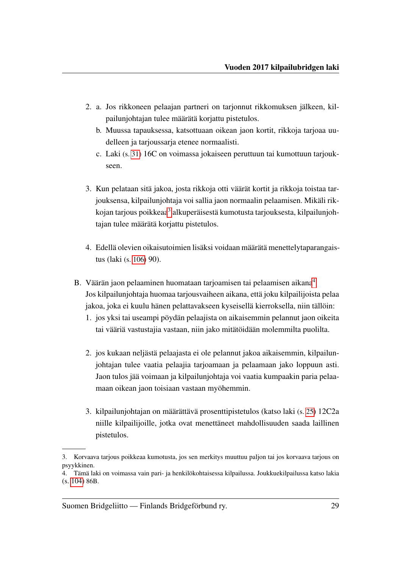- 2. a. Jos rikkoneen pelaajan partneri on tarjonnut rikkomuksen jälkeen, kilpailunjohtajan tulee määrätä korjattu pistetulos.
	- b. Muussa tapauksessa, katsottuaan oikean jaon kortit, rikkoja tarjoaa uudelleen ja tarjoussarja etenee normaalisti.
	- c. Laki (s. [31\)](#page-33-2) 16C on voimassa jokaiseen peruttuun tai kumottuun tarjoukseen.
- 3. Kun pelataan sitä jakoa, josta rikkoja otti väärät kortit ja rikkoja toistaa tarjouksensa, kilpailunjohtaja voi sallia jaon normaalin pelaamisen. Mikäli rik-kojan tarjous poikkeaa<sup>[3](#page-31-0)</sup> alkuperäisestä kumotusta tarjouksesta, kilpailunjohtajan tulee määrätä korjattu pistetulos.
- 4. Edellä olevien oikaisutoimien lisäksi voidaan määrätä menettelytaparangaistus (laki (s. [106\)](#page-108-2) 90).
- B. Väärän jaon pelaaminen huomataan tarjoamisen tai pelaamisen aikana<sup>[4](#page-31-1)</sup> Jos kilpailunjohtaja huomaa tarjousvaiheen aikana, että joku kilpailijoista pelaa jakoa, joka ei kuulu hänen pelattavakseen kyseisellä kierroksella, niin tällöin:
	- 1. jos yksi tai useampi pöydän pelaajista on aikaisemmin pelannut jaon oikeita tai vääriä vastustajia vastaan, niin jako mitätöidään molemmilta puolilta.
	- 2. jos kukaan neljästä pelaajasta ei ole pelannut jakoa aikaisemmin, kilpailunjohtajan tulee vaatia pelaajia tarjoamaan ja pelaamaan jako loppuun asti. Jaon tulos jää voimaan ja kilpailunjohtaja voi vaatia kumpaakin paria pelaamaan oikean jaon toisiaan vastaan myöhemmin.
	- 3. kilpailunjohtajan on määrättävä prosenttipistetulos (katso laki (s. [25\)](#page-27-0) 12C2a niille kilpailijoille, jotka ovat menettäneet mahdollisuuden saada laillinen pistetulos.

<span id="page-31-0"></span><sup>3.</sup> Korvaava tarjous poikkeaa kumotusta, jos sen merkitys muuttuu paljon tai jos korvaava tarjous on psyykkinen.

<span id="page-31-1"></span><sup>4.</sup> Tämä laki on voimassa vain pari- ja henkilökohtaisessa kilpailussa. Joukkuekilpailussa katso lakia (s. [104\)](#page-106-2) 86B.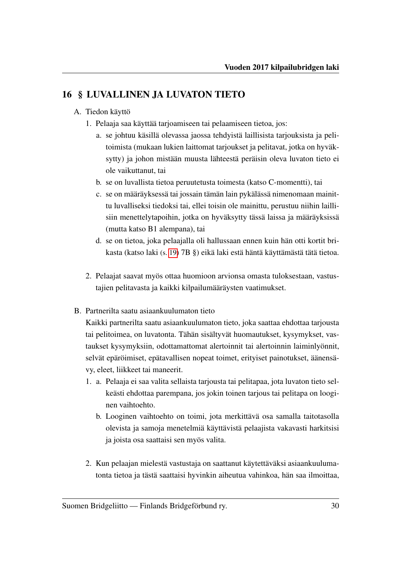# <span id="page-32-0"></span>16 § LUVALLINEN JA LUVATON TIETO

# A. Tiedon käyttö

- 1. Pelaaja saa käyttää tarjoamiseen tai pelaamiseen tietoa, jos:
	- a. se johtuu käsillä olevassa jaossa tehdyistä laillisista tarjouksista ja pelitoimista (mukaan lukien laittomat tarjoukset ja pelitavat, jotka on hyväksytty) ja johon mistään muusta lähteestä peräisin oleva luvaton tieto ei ole vaikuttanut, tai
	- b. se on luvallista tietoa peruutetusta toimesta (katso C-momentti), tai
	- c. se on määräyksessä tai jossain tämän lain pykälässä nimenomaan mainittu luvalliseksi tiedoksi tai, ellei toisin ole mainittu, perustuu niihin laillisiin menettelytapoihin, jotka on hyväksytty tässä laissa ja määräyksissä (mutta katso B1 alempana), tai
	- d. se on tietoa, joka pelaajalla oli hallussaan ennen kuin hän otti kortit brikasta (katso laki (s. [19\)](#page-21-1) 7B §) eikä laki estä häntä käyttämästä tätä tietoa.
- 2. Pelaajat saavat myös ottaa huomioon arvionsa omasta tuloksestaan, vastustajien pelitavasta ja kaikki kilpailumääräysten vaatimukset.
- B. Partnerilta saatu asiaankuulumaton tieto

Kaikki partnerilta saatu asiaankuulumaton tieto, joka saattaa ehdottaa tarjousta tai pelitoimea, on luvatonta. Tähän sisältyvät huomautukset, kysymykset, vastaukset kysymyksiin, odottamattomat alertoinnit tai alertoinnin laiminlyönnit, selvät epäröimiset, epätavallisen nopeat toimet, erityiset painotukset, äänensävy, eleet, liikkeet tai maneerit.

- 1. a. Pelaaja ei saa valita sellaista tarjousta tai pelitapaa, jota luvaton tieto selkeästi ehdottaa parempana, jos jokin toinen tarjous tai pelitapa on looginen vaihtoehto.
	- b. Looginen vaihtoehto on toimi, jota merkittävä osa samalla taitotasolla olevista ja samoja menetelmiä käyttävistä pelaajista vakavasti harkitsisi ja joista osa saattaisi sen myös valita.
- 2. Kun pelaajan mielestä vastustaja on saattanut käytettäväksi asiaankuulumatonta tietoa ja tästä saattaisi hyvinkin aiheutua vahinkoa, hän saa ilmoittaa,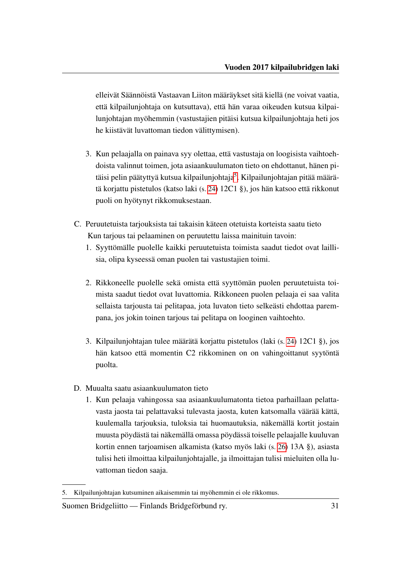elleivät Säännöistä Vastaavan Liiton määräykset sitä kiellä (ne voivat vaatia, että kilpailunjohtaja on kutsuttava), että hän varaa oikeuden kutsua kilpailunjohtajan myöhemmin (vastustajien pitäisi kutsua kilpailunjohtaja heti jos he kiistävät luvattoman tiedon välittymisen).

- 3. Kun pelaajalla on painava syy olettaa, että vastustaja on loogisista vaihtoehdoista valinnut toimen, jota asiaankuulumaton tieto on ehdottanut, hänen pi-täisi pelin päätyttyä kutsua kilpailunjohtaja<sup>[5](#page-33-3)</sup>. Kilpailunjohtajan pitää määrätä korjattu pistetulos (katso laki (s. [24\)](#page-26-2) 12C1 §), jos hän katsoo että rikkonut puoli on hyötynyt rikkomuksestaan.
- <span id="page-33-2"></span><span id="page-33-1"></span>C. Peruutetuista tarjouksista tai takaisin käteen otetuista korteista saatu tieto Kun tarjous tai pelaaminen on peruutettu laissa mainituin tavoin:
	- 1. Syyttömälle puolelle kaikki peruutetuista toimista saadut tiedot ovat laillisia, olipa kyseessä oman puolen tai vastustajien toimi.
	- 2. Rikkoneelle puolelle sekä omista että syyttömän puolen peruutetuista toimista saadut tiedot ovat luvattomia. Rikkoneen puolen pelaaja ei saa valita sellaista tarjousta tai pelitapaa, jota luvaton tieto selkeästi ehdottaa parempana, jos jokin toinen tarjous tai pelitapa on looginen vaihtoehto.
	- 3. Kilpailunjohtajan tulee määrätä korjattu pistetulos (laki (s. [24\)](#page-26-2) 12C1 §), jos hän katsoo että momentin C2 rikkominen on on vahingoittanut syytöntä puolta.
- <span id="page-33-0"></span>D. Muualta saatu asiaankuulumaton tieto
	- 1. Kun pelaaja vahingossa saa asiaankuulumatonta tietoa parhaillaan pelattavasta jaosta tai pelattavaksi tulevasta jaosta, kuten katsomalla väärää kättä, kuulemalla tarjouksia, tuloksia tai huomautuksia, näkemällä kortit jostain muusta pöydästä tai näkemällä omassa pöydässä toiselle pelaajalle kuuluvan kortin ennen tarjoamisen alkamista (katso myös laki (s. [26\)](#page-28-2) 13A §), asiasta tulisi heti ilmoittaa kilpailunjohtajalle, ja ilmoittajan tulisi mieluiten olla luvattoman tiedon saaja.

<span id="page-33-3"></span><sup>5.</sup> Kilpailunjohtajan kutsuminen aikaisemmin tai myöhemmin ei ole rikkomus.

Suomen Bridgeliitto — Finlands Bridgeförbund ry. 31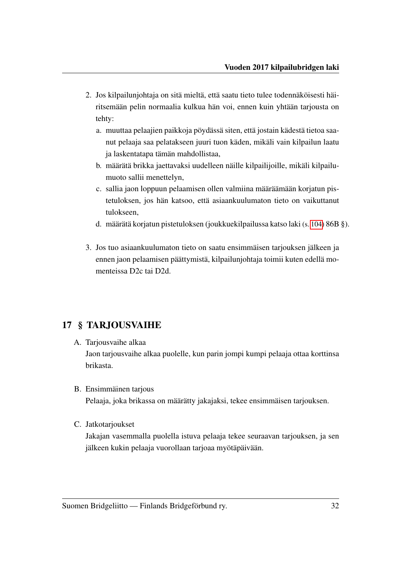- 2. Jos kilpailunjohtaja on sitä mieltä, että saatu tieto tulee todennäköisesti häiritsemään pelin normaalia kulkua hän voi, ennen kuin yhtään tarjousta on tehty:
	- a. muuttaa pelaajien paikkoja pöydässä siten, että jostain kädestä tietoa saanut pelaaja saa pelatakseen juuri tuon käden, mikäli vain kilpailun laatu ja laskentatapa tämän mahdollistaa,
	- b. määrätä brikka jaettavaksi uudelleen näille kilpailijoille, mikäli kilpailumuoto sallii menettelyn,
	- c. sallia jaon loppuun pelaamisen ollen valmiina määräämään korjatun pistetuloksen, jos hän katsoo, että asiaankuulumaton tieto on vaikuttanut tulokseen,
	- d. määrätä korjatun pistetuloksen (joukkuekilpailussa katso laki (s. [104\)](#page-106-2) 86B §).
- 3. Jos tuo asiaankuulumaton tieto on saatu ensimmäisen tarjouksen jälkeen ja ennen jaon pelaamisen päättymistä, kilpailunjohtaja toimii kuten edellä momenteissa D2c tai D2d.

# <span id="page-34-0"></span>17 § TARJOUSVAIHE

- <span id="page-34-1"></span>A. Tarjousvaihe alkaa Jaon tarjousvaihe alkaa puolelle, kun parin jompi kumpi pelaaja ottaa korttinsa brikasta.
- B. Ensimmäinen tarjous Pelaaja, joka brikassa on määrätty jakajaksi, tekee ensimmäisen tarjouksen.
- C. Jatkotarjoukset

Jakajan vasemmalla puolella istuva pelaaja tekee seuraavan tarjouksen, ja sen jälkeen kukin pelaaja vuorollaan tarjoaa myötäpäivään.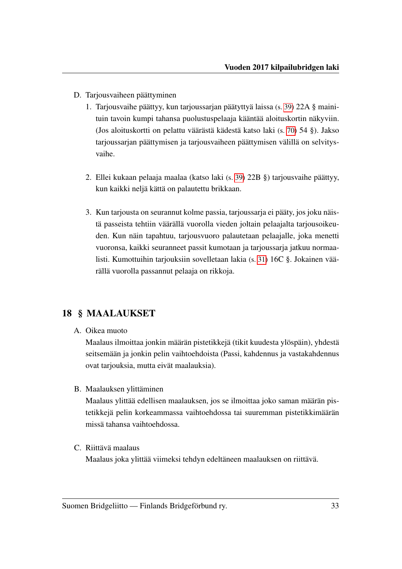- D. Tarjousvaiheen päättyminen
	- 1. Tarjousvaihe päättyy, kun tarjoussarjan päätyttyä laissa (s. [39\)](#page-41-3) 22A § mainituin tavoin kumpi tahansa puolustuspelaaja kääntää aloituskortin näkyviin. (Jos aloituskortti on pelattu väärästä kädestä katso laki (s. [70\)](#page-72-0) 54 §). Jakso tarjoussarjan päättymisen ja tarjousvaiheen päättymisen välillä on selvitysvaihe.
	- 2. Ellei kukaan pelaaja maalaa (katso laki (s. [39\)](#page-41-2) 22B §) tarjousvaihe päättyy, kun kaikki neljä kättä on palautettu brikkaan.
	- 3. Kun tarjousta on seurannut kolme passia, tarjoussarja ei pääty, jos joku näistä passeista tehtiin väärällä vuorolla vieden joltain pelaajalta tarjousoikeuden. Kun näin tapahtuu, tarjousvuoro palautetaan pelaajalle, joka menetti vuoronsa, kaikki seuranneet passit kumotaan ja tarjoussarja jatkuu normaalisti. Kumottuihin tarjouksiin sovelletaan lakia (s. [31\)](#page-33-2) 16C §. Jokainen väärällä vuorolla passannut pelaaja on rikkoja.

# <span id="page-35-0"></span>18 § MAALAUKSET

A. Oikea muoto

Maalaus ilmoittaa jonkin määrän pistetikkejä (tikit kuudesta ylöspäin), yhdestä seitsemään ja jonkin pelin vaihtoehdoista (Passi, kahdennus ja vastakahdennus ovat tarjouksia, mutta eivät maalauksia).

B. Maalauksen ylittäminen

Maalaus ylittää edellisen maalauksen, jos se ilmoittaa joko saman määrän pistetikkejä pelin korkeammassa vaihtoehdossa tai suuremman pistetikkimäärän missä tahansa vaihtoehdossa.

C. Riittävä maalaus

Maalaus joka ylittää viimeksi tehdyn edeltäneen maalauksen on riittävä.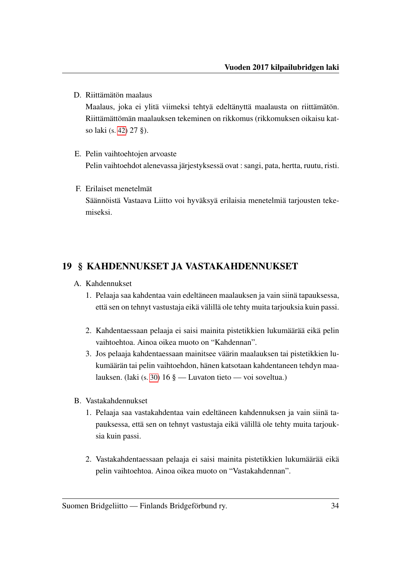D. Riittämätön maalaus

Maalaus, joka ei ylitä viimeksi tehtyä edeltänyttä maalausta on riittämätön. Riittämättömän maalauksen tekeminen on rikkomus (rikkomuksen oikaisu katso laki (s. [42\)](#page-44-0) 27 §).

- E. Pelin vaihtoehtojen arvoaste Pelin vaihtoehdot alenevassa järjestyksessä ovat : sangi, pata, hertta, ruutu, risti.
- F. Erilaiset menetelmät Säännöistä Vastaava Liitto voi hyväksyä erilaisia menetelmiä tarjousten tekemiseksi.

#### <span id="page-36-0"></span>19 § KAHDENNUKSET JA VASTAKAHDENNUKSET

- <span id="page-36-1"></span>A. Kahdennukset
	- 1. Pelaaja saa kahdentaa vain edeltäneen maalauksen ja vain siinä tapauksessa, että sen on tehnyt vastustaja eikä välillä ole tehty muita tarjouksia kuin passi.
	- 2. Kahdentaessaan pelaaja ei saisi mainita pistetikkien lukumäärää eikä pelin vaihtoehtoa. Ainoa oikea muoto on "Kahdennan".
	- 3. Jos pelaaja kahdentaessaan mainitsee väärin maalauksen tai pistetikkien lukumäärän tai pelin vaihtoehdon, hänen katsotaan kahdentaneen tehdyn maalauksen. (laki (s. [30\)](#page-32-0) 16 § — Luvaton tieto — voi soveltua.)
- <span id="page-36-2"></span>B. Vastakahdennukset
	- 1. Pelaaja saa vastakahdentaa vain edeltäneen kahdennuksen ja vain siinä tapauksessa, että sen on tehnyt vastustaja eikä välillä ole tehty muita tarjouksia kuin passi.
	- 2. Vastakahdentaessaan pelaaja ei saisi mainita pistetikkien lukumäärää eikä pelin vaihtoehtoa. Ainoa oikea muoto on "Vastakahdennan".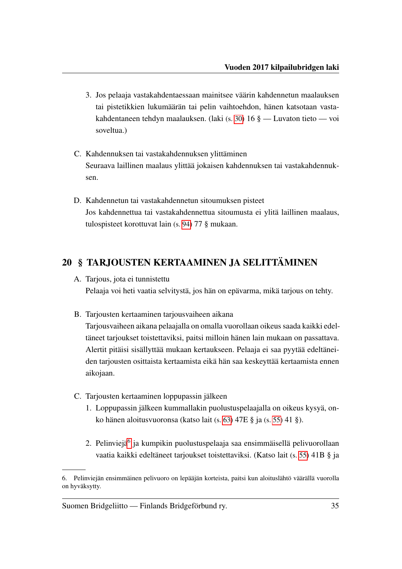- 3. Jos pelaaja vastakahdentaessaan mainitsee väärin kahdennetun maalauksen tai pistetikkien lukumäärän tai pelin vaihtoehdon, hänen katsotaan vastakahdentaneen tehdyn maalauksen. (laki (s. [30\)](#page-32-0) 16 § — Luvaton tieto — voi soveltua.)
- C. Kahdennuksen tai vastakahdennuksen ylittäminen Seuraava laillinen maalaus ylittää jokaisen kahdennuksen tai vastakahdennuksen.
- <span id="page-37-1"></span>D. Kahdennetun tai vastakahdennetun sitoumuksen pisteet Jos kahdennettua tai vastakahdennettua sitoumusta ei ylitä laillinen maalaus, tulospisteet korottuvat lain (s. [94\)](#page-96-0) 77 § mukaan.

### <span id="page-37-2"></span>20 § TARJOUSTEN KERTAAMINEN JA SELITTÄMINEN

- A. Tarjous, jota ei tunnistettu Pelaaja voi heti vaatia selvitystä, jos hän on epävarma, mikä tarjous on tehty.
- B. Tarjousten kertaaminen tarjousvaiheen aikana

Tarjousvaiheen aikana pelaajalla on omalla vuorollaan oikeus saada kaikki edeltäneet tarjoukset toistettaviksi, paitsi milloin hänen lain mukaan on passattava. Alertit pitäisi sisällyttää mukaan kertaukseen. Pelaaja ei saa pyytää edeltäneiden tarjousten osittaista kertaamista eikä hän saa keskeyttää kertaamista ennen aikojaan.

- C. Tarjousten kertaaminen loppupassin jälkeen
	- 1. Loppupassin jälkeen kummallakin puolustuspelaajalla on oikeus kysyä, onko hänen aloitusvuoronsa (katso lait (s. [63\)](#page-65-0) 47E § ja (s. [55\)](#page-57-0) 41 §).
	- 2. Pelinviejä<sup>[6](#page-37-0)</sup> ja kumpikin puolustuspelaaja saa ensimmäisellä pelivuorollaan vaatia kaikki edeltäneet tarjoukset toistettaviksi. (Katso lait (s. [55\)](#page-57-1) 41B § ja

<span id="page-37-0"></span><sup>6.</sup> Pelinviejän ensimmäinen pelivuoro on lepääjän korteista, paitsi kun aloituslähtö väärällä vuorolla on hyväksytty.

Suomen Bridgeliitto — Finlands Bridgeförbund ry. 35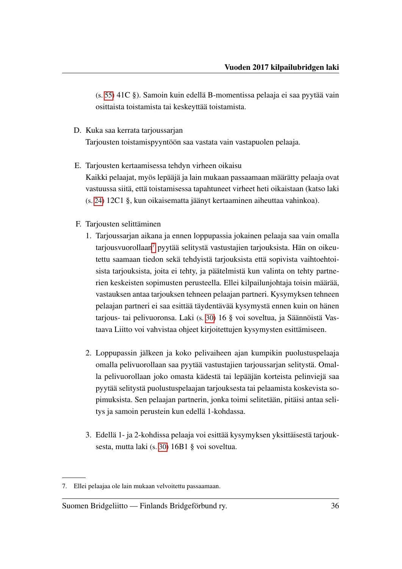(s. [55\)](#page-57-2) 41C §). Samoin kuin edellä B-momentissa pelaaja ei saa pyytää vain osittaista toistamista tai keskeyttää toistamista.

D. Kuka saa kerrata tarjoussarjan

Tarjousten toistamispyyntöön saa vastata vain vastapuolen pelaaja.

- E. Tarjousten kertaamisessa tehdyn virheen oikaisu Kaikki pelaajat, myös lepääjä ja lain mukaan passaamaan määrätty pelaaja ovat vastuussa siitä, että toistamisessa tapahtuneet virheet heti oikaistaan (katso laki (s. [24\)](#page-26-0) 12C1 §, kun oikaisematta jäänyt kertaaminen aiheuttaa vahinkoa).
- <span id="page-38-2"></span><span id="page-38-1"></span>F. Tarjousten selittäminen
	- 1. Tarjoussarjan aikana ja ennen loppupassia jokainen pelaaja saa vain omalla  $tariousvuorollaan<sup>7</sup> pyytää selitystä vastustajien tarjouksista. Hän on oikeu-$  $tariousvuorollaan<sup>7</sup> pyytää selitystä vastustajien tarjouksista. Hän on oikeu-$  $tariousvuorollaan<sup>7</sup> pyytää selitystä vastustajien tarjouksista. Hän on oikeu$ tettu saamaan tiedon sekä tehdyistä tarjouksista että sopivista vaihtoehtoisista tarjouksista, joita ei tehty, ja päätelmistä kun valinta on tehty partnerien keskeisten sopimusten perusteella. Ellei kilpailunjohtaja toisin määrää, vastauksen antaa tarjouksen tehneen pelaajan partneri. Kysymyksen tehneen pelaajan partneri ei saa esittää täydentävää kysymystä ennen kuin on hänen tarjous- tai pelivuoronsa. Laki (s. [30\)](#page-32-0) 16 § voi soveltua, ja Säännöistä Vastaava Liitto voi vahvistaa ohjeet kirjoitettujen kysymysten esittämiseen.
	- 2. Loppupassin jälkeen ja koko pelivaiheen ajan kumpikin puolustuspelaaja omalla pelivuorollaan saa pyytää vastustajien tarjoussarjan selitystä. Omalla pelivuorollaan joko omasta kädestä tai lepääjän korteista pelinviejä saa pyytää selitystä puolustuspelaajan tarjouksesta tai pelaamista koskevista sopimuksista. Sen pelaajan partnerin, jonka toimi selitetään, pitäisi antaa selitys ja samoin perustein kun edellä 1-kohdassa.
	- 3. Edellä 1- ja 2-kohdissa pelaaja voi esittää kysymyksen yksittäisestä tarjouksesta, mutta laki (s. [30\)](#page-32-1) 16B1 § voi soveltua.

#### Suomen Bridgeliitto — Finlands Bridgeförbund ry. 36

<span id="page-38-3"></span><span id="page-38-0"></span><sup>7.</sup> Ellei pelaajaa ole lain mukaan velvoitettu passaamaan.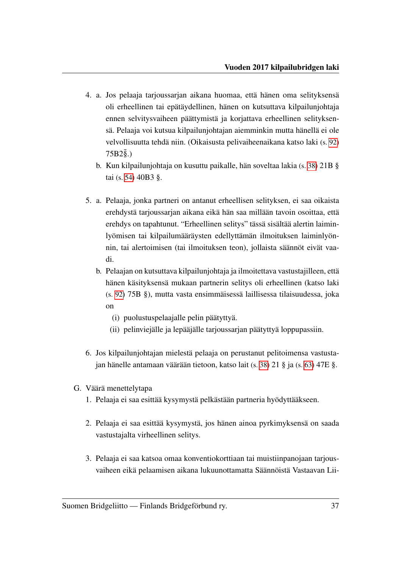- 4. a. Jos pelaaja tarjoussarjan aikana huomaa, että hänen oma selityksensä oli erheellinen tai epätäydellinen, hänen on kutsuttava kilpailunjohtaja ennen selvitysvaiheen päättymistä ja korjattava erheellinen selityksensä. Pelaaja voi kutsua kilpailunjohtajan aiemminkin mutta hänellä ei ole velvollisuutta tehdä niin. (Oikaisusta pelivaiheenaikana katso laki (s. [92\)](#page-94-0)  $75B2\tilde{\S}$ .)
	- b. Kun kilpailunjohtaja on kusuttu paikalle, hän soveltaa lakia (s. [38\)](#page-40-0) 21B § tai (s. [54\)](#page-56-0) 40B3 §.
- 5. a. Pelaaja, jonka partneri on antanut erheellisen selityksen, ei saa oikaista erehdystä tarjoussarjan aikana eikä hän saa millään tavoin osoittaa, että erehdys on tapahtunut. "Erheellinen selitys" tässä sisältää alertin laiminlyömisen tai kilpailumääräysten edellyttämän ilmoituksen laiminlyönnin, tai alertoimisen (tai ilmoituksen teon), jollaista säännöt eivät vaadi.
	- b. Pelaajan on kutsuttava kilpailunjohtaja ja ilmoitettava vastustajilleen, että hänen käsityksensä mukaan partnerin selitys oli erheellinen (katso laki (s. [92\)](#page-94-1) 75B §), mutta vasta ensimmäisessä laillisessa tilaisuudessa, joka on
		- (i) puolustuspelaajalle pelin päätyttyä.
		- (ii) pelinviejälle ja lepääjälle tarjoussarjan päätyttyä loppupassiin.
- 6. Jos kilpailunjohtajan mielestä pelaaja on perustanut pelitoimensa vastustajan hänelle antamaan väärään tietoon, katso lait (s. [38\)](#page-40-1) 21 § ja (s. [63\)](#page-65-0) 47E §.
- G. Väärä menettelytapa
	- 1. Pelaaja ei saa esittää kysymystä pelkästään partneria hyödyttääkseen.
	- 2. Pelaaja ei saa esittää kysymystä, jos hänen ainoa pyrkimyksensä on saada vastustajalta virheellinen selitys.
	- 3. Pelaaja ei saa katsoa omaa konventiokorttiaan tai muistiinpanojaan tarjousvaiheen eikä pelaamisen aikana lukuunottamatta Säännöistä Vastaavan Lii-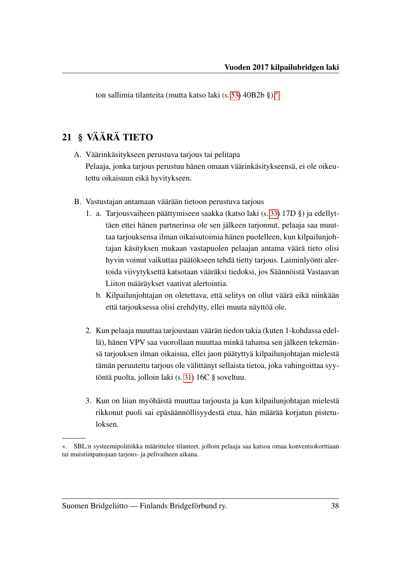ton sallimia tilanteita (mutta katso laki (s. [53\)](#page-55-0) 40B2b §).[∗](#page-40-2)

#### <span id="page-40-1"></span>21 § VÄÄRÄ TIETO

- A. Väärinkäsitykseen perustuva tarjous tai pelitapa Pelaaja, jonka tarjous perustuu hänen omaan väärinkäsitykseensä, ei ole oikeutettu oikaisuun eikä hyvitykseen.
- <span id="page-40-0"></span>B. Vastustajan antamaan väärään tietoon perustuva tarjous
	- 1. a. Tarjousvaiheen päättymiseen saakka (katso laki (s. [33\)](#page-35-0) 17D §) ja edellyttäen ettei hänen partnerinsa ole sen jälkeen tarjonnut, pelaaja saa muuttaa tarjouksensa ilman oikaisutoimia hänen puolelleen, kun kilpailunjohtajan käsityksen mukaan vastapuolen pelaajan antama väärä tieto olisi hyvin voinut vaikuttaa päätökseen tehdä tietty tarjous. Laiminlyönti alertoida viivytyksettä katsotaan vääräksi tiedoksi, jos Säännöistä Vastaavan Liiton määräykset vaativat alertointia.
		- b. Kilpailunjohtajan on oletettava, että selitys on ollut väärä eikä niinkään että tarjouksessa olisi erehdytty, ellei muuta näyttöä ole.
	- 2. Kun pelaaja muuttaa tarjoustaan väärän tiedon takia (kuten 1-kohdassa edellä), hänen VPV saa vuorollaan muuttaa minkä tahansa sen jälkeen tekemänsä tarjouksen ilman oikaisua, ellei jaon päätyttyä kilpailunjohtajan mielestä tämän peruutettu tarjous ole välittänyt sellaista tietoa, joka vahingoittaa syytöntä puolta, jolloin laki (s. [31\)](#page-33-0) 16C § soveltuu.
	- 3. Kun on liian myöhäistä muuttaa tarjousta ja kun kilpailunjohtajan mielestä rikkonut puoli sai epäsäännöllisyydestä etua, hän määrää korjatun pistetuloksen.

<span id="page-40-2"></span><sup>∗</sup>. SBL:n systeemipolitiikka määrittelee tilanteet, jolloin pelaaja saa katsoa omaa konventiokorttiaan tai muistiinpanojaan tarjous- ja pelivaiheen aikana.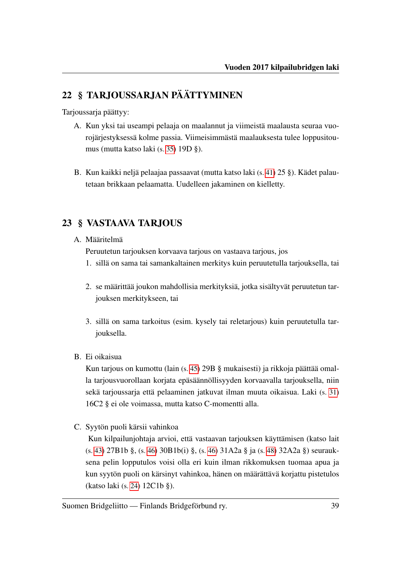## 22 § TARJOUSSARJAN PÄÄTTYMINEN

Tarjoussarja päättyy:

- A. Kun yksi tai useampi pelaaja on maalannut ja viimeistä maalausta seuraa vuorojärjestyksessä kolme passia. Viimeisimmästä maalauksesta tulee loppusitoumus (mutta katso laki (s. [35\)](#page-37-1) 19D §).
- B. Kun kaikki neljä pelaajaa passaavat (mutta katso laki (s. [41\)](#page-43-0) 25 §). Kädet palautetaan brikkaan pelaamatta. Uudelleen jakaminen on kielletty.

#### 23 § VASTAAVA TARJOUS

#### <span id="page-41-0"></span>A. Määritelmä

Peruutetun tarjouksen korvaava tarjous on vastaava tarjous, jos

- 1. sillä on sama tai samankaltainen merkitys kuin peruutetulla tarjouksella, tai
- 2. se määrittää joukon mahdollisia merkityksiä, jotka sisältyvät peruutetun tarjouksen merkitykseen, tai
- 3. sillä on sama tarkoitus (esim. kysely tai reletarjous) kuin peruutetulla tarjouksella.
- B. Ei oikaisua

Kun tarjous on kumottu (lain (s. [45\)](#page-47-0) 29B § mukaisesti) ja rikkoja päättää omalla tarjousvuorollaan korjata epäsäännöllisyyden korvaavalla tarjouksella, niin sekä tarjoussarja että pelaaminen jatkuvat ilman muuta oikaisua. Laki (s. [31\)](#page-33-1) 16C2 § ei ole voimassa, mutta katso C-momentti alla.

<span id="page-41-1"></span>C. Syytön puoli kärsii vahinkoa

Kun kilpailunjohtaja arvioi, että vastaavan tarjouksen käyttämisen (katso lait (s. [43\)](#page-45-0) 27B1b §, (s. [46\)](#page-48-0) 30B1b(i) §, (s. [46\)](#page-48-1) 31A2a § ja (s. [48\)](#page-50-0) 32A2a §) seurauksena pelin lopputulos voisi olla eri kuin ilman rikkomuksen tuomaa apua ja kun syytön puoli on kärsinyt vahinkoa, hänen on määrättävä korjattu pistetulos (katso laki (s. [24\)](#page-26-1) 12C1b §).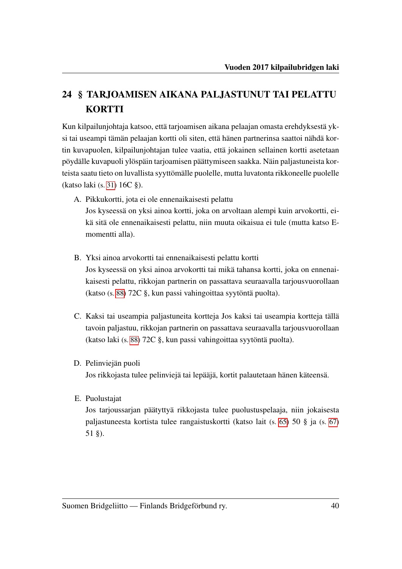# 24 § TARJOAMISEN AIKANA PALJASTUNUT TAI PELATTU **KORTTI**

Kun kilpailunjohtaja katsoo, että tarjoamisen aikana pelaajan omasta erehdyksestä yksi tai useampi tämän pelaajan kortti oli siten, että hänen partnerinsa saattoi nähdä kortin kuvapuolen, kilpailunjohtajan tulee vaatia, että jokainen sellainen kortti asetetaan pöydälle kuvapuoli ylöspäin tarjoamisen päättymiseen saakka. Näin paljastuneista korteista saatu tieto on luvallista syyttömälle puolelle, mutta luvatonta rikkoneelle puolelle (katso laki (s. [31\)](#page-33-0) 16C §).

A. Pikkukortti, jota ei ole ennenaikaisesti pelattu Jos kyseessä on yksi ainoa kortti, joka on arvoltaan alempi kuin arvokortti, eikä sitä ole ennenaikaisesti pelattu, niin muuta oikaisua ei tule (mutta katso E-

momentti alla).

- B. Yksi ainoa arvokortti tai ennenaikaisesti pelattu kortti Jos kyseessä on yksi ainoa arvokortti tai mikä tahansa kortti, joka on ennenaikaisesti pelattu, rikkojan partnerin on passattava seuraavalla tarjousvuorollaan (katso (s. [88\)](#page-90-0) 72C §, kun passi vahingoittaa syytöntä puolta).
- C. Kaksi tai useampia paljastuneita kortteja Jos kaksi tai useampia kortteja tällä tavoin paljastuu, rikkojan partnerin on passattava seuraavalla tarjousvuorollaan (katso laki (s. [88\)](#page-90-0) 72C §, kun passi vahingoittaa syytöntä puolta).
- D. Pelinviejän puoli

Jos rikkojasta tulee pelinviejä tai lepääjä, kortit palautetaan hänen käteensä.

E. Puolustajat

Jos tarjoussarjan päätyttyä rikkojasta tulee puolustuspelaaja, niin jokaisesta paljastuneesta kortista tulee rangaistuskortti (katso lait (s. [65\)](#page-67-0) 50 § ja (s. [67\)](#page-69-0) 51 §).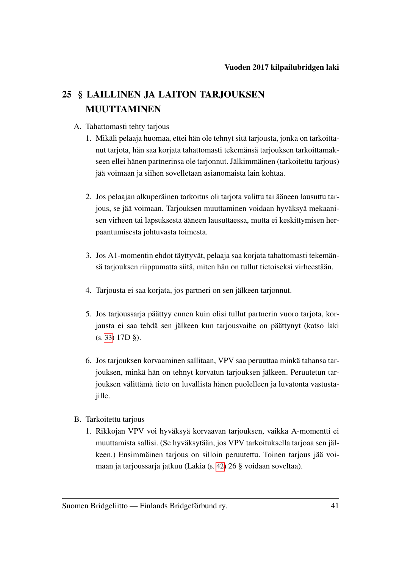# <span id="page-43-0"></span>25 § LAILLINEN JA LAITON TARJOUKSEN MUUTTAMINEN

- A. Tahattomasti tehty tarjous
	- 1. Mikäli pelaaja huomaa, ettei hän ole tehnyt sitä tarjousta, jonka on tarkoittanut tarjota, hän saa korjata tahattomasti tekemänsä tarjouksen tarkoittamakseen ellei hänen partnerinsa ole tarjonnut. Jälkimmäinen (tarkoitettu tarjous) jää voimaan ja siihen sovelletaan asianomaista lain kohtaa.
	- 2. Jos pelaajan alkuperäinen tarkoitus oli tarjota valittu tai ääneen lausuttu tarjous, se jää voimaan. Tarjouksen muuttaminen voidaan hyväksyä mekaanisen virheen tai lapsuksesta ääneen lausuttaessa, mutta ei keskittymisen herpaantumisesta johtuvasta toimesta.
	- 3. Jos A1-momentin ehdot täyttyvät, pelaaja saa korjata tahattomasti tekemänsä tarjouksen riippumatta siitä, miten hän on tullut tietoiseksi virheestään.
	- 4. Tarjousta ei saa korjata, jos partneri on sen jälkeen tarjonnut.
	- 5. Jos tarjoussarja päättyy ennen kuin olisi tullut partnerin vuoro tarjota, korjausta ei saa tehdä sen jälkeen kun tarjousvaihe on päättynyt (katso laki (s. [33\)](#page-35-0) 17D §).
	- 6. Jos tarjouksen korvaaminen sallitaan, VPV saa peruuttaa minkä tahansa tarjouksen, minkä hän on tehnyt korvatun tarjouksen jälkeen. Peruutetun tarjouksen välittämä tieto on luvallista hänen puolelleen ja luvatonta vastustajille.
- B. Tarkoitettu tarjous
	- 1. Rikkojan VPV voi hyväksyä korvaavan tarjouksen, vaikka A-momentti ei muuttamista sallisi. (Se hyväksytään, jos VPV tarkoituksella tarjoaa sen jälkeen.) Ensimmäinen tarjous on silloin peruutettu. Toinen tarjous jää voimaan ja tarjoussarja jatkuu (Lakia (s. [42\)](#page-44-1) 26 § voidaan soveltaa).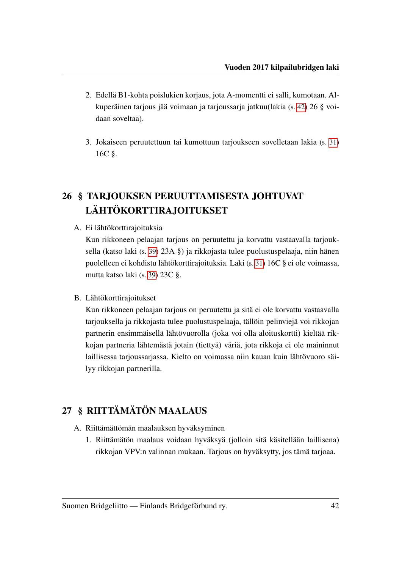- 2. Edellä B1-kohta poislukien korjaus, jota A-momentti ei salli, kumotaan. Alkuperäinen tarjous jää voimaan ja tarjoussarja jatkuu(lakia (s. [42\)](#page-44-1) 26 § voidaan soveltaa).
- 3. Jokaiseen peruutettuun tai kumottuun tarjoukseen sovelletaan lakia (s. [31\)](#page-33-0) 16C §.

# <span id="page-44-1"></span>26 § TARJOUKSEN PERUUTTAMISESTA JOHTUVAT LÄHTÖKORTTIRAJOITUKSET

A. Ei lähtökorttirajoituksia

Kun rikkoneen pelaajan tarjous on peruutettu ja korvattu vastaavalla tarjouksella (katso laki (s. [39\)](#page-41-0) 23A §) ja rikkojasta tulee puolustuspelaaja, niin hänen puolelleen ei kohdistu lähtökorttirajoituksia. Laki (s. [31\)](#page-33-0) 16C § ei ole voimassa, mutta katso laki (s. [39\)](#page-41-1) 23C §.

<span id="page-44-2"></span>B. Lähtökorttirajoitukset

Kun rikkoneen pelaajan tarjous on peruutettu ja sitä ei ole korvattu vastaavalla tarjouksella ja rikkojasta tulee puolustuspelaaja, tällöin pelinviejä voi rikkojan partnerin ensimmäisellä lähtövuorolla (joka voi olla aloituskortti) kieltää rikkojan partneria lähtemästä jotain (tiettyä) väriä, jota rikkoja ei ole maininnut laillisessa tarjoussarjassa. Kielto on voimassa niin kauan kuin lähtövuoro säilyy rikkojan partnerilla.

## <span id="page-44-0"></span>27 § RIITTÄMÄTÖN MAALAUS

- A. Riittämättömän maalauksen hyväksyminen
	- 1. Riittämätön maalaus voidaan hyväksyä (jolloin sitä käsitellään laillisena) rikkojan VPV:n valinnan mukaan. Tarjous on hyväksytty, jos tämä tarjoaa.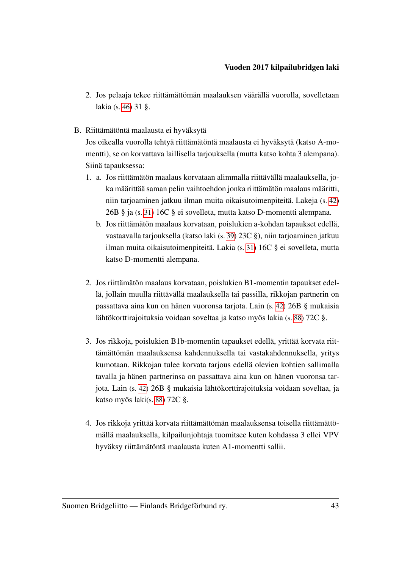- 2. Jos pelaaja tekee riittämättömän maalauksen väärällä vuorolla, sovelletaan lakia (s. [46\)](#page-48-2) 31 §.
- B. Riittämätöntä maalausta ei hyväksytä

Jos oikealla vuorolla tehtyä riittämätöntä maalausta ei hyväksytä (katso A-momentti), se on korvattava laillisella tarjouksella (mutta katso kohta 3 alempana). Siinä tapauksessa:

- <span id="page-45-0"></span>1. a. Jos riittämätön maalaus korvataan alimmalla riittävällä maalauksella, joka määrittää saman pelin vaihtoehdon jonka riittämätön maalaus määritti, niin tarjoaminen jatkuu ilman muita oikaisutoimenpiteitä. Lakeja (s. [42\)](#page-44-2) 26B § ja (s. [31\)](#page-33-0) 16C § ei sovelleta, mutta katso D-momentti alempana.
	- b. Jos riittämätön maalaus korvataan, poislukien a-kohdan tapaukset edellä, vastaavalla tarjouksella (katso laki (s. [39\)](#page-41-1) 23C §), niin tarjoaminen jatkuu ilman muita oikaisutoimenpiteitä. Lakia (s. [31\)](#page-33-0) 16C § ei sovelleta, mutta katso D-momentti alempana.
- 2. Jos riittämätön maalaus korvataan, poislukien B1-momentin tapaukset edellä, jollain muulla riittävällä maalauksella tai passilla, rikkojan partnerin on passattava aina kun on hänen vuoronsa tarjota. Lain (s. [42\)](#page-44-2) 26B § mukaisia lähtökorttirajoituksia voidaan soveltaa ja katso myös lakia (s. [88\)](#page-90-0) 72C §.
- 3. Jos rikkoja, poislukien B1b-momentin tapaukset edellä, yrittää korvata riittämättömän maalauksensa kahdennuksella tai vastakahdennuksella, yritys kumotaan. Rikkojan tulee korvata tarjous edellä olevien kohtien sallimalla tavalla ja hänen partnerinsa on passattava aina kun on hänen vuoronsa tarjota. Lain (s. [42\)](#page-44-2) 26B § mukaisia lähtökorttirajoituksia voidaan soveltaa, ja katso myös laki(s. [88\)](#page-90-0) 72C §.
- 4. Jos rikkoja yrittää korvata riittämättömän maalauksensa toisella riittämättömällä maalauksella, kilpailunjohtaja tuomitsee kuten kohdassa 3 ellei VPV hyväksy riittämätöntä maalausta kuten A1-momentti sallii.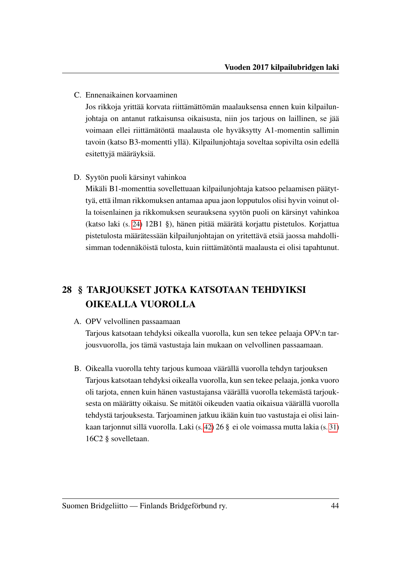C. Ennenaikainen korvaaminen

Jos rikkoja yrittää korvata riittämättömän maalauksensa ennen kuin kilpailunjohtaja on antanut ratkaisunsa oikaisusta, niin jos tarjous on laillinen, se jää voimaan ellei riittämätöntä maalausta ole hyväksytty A1-momentin sallimin tavoin (katso B3-momentti yllä). Kilpailunjohtaja soveltaa sopivilta osin edellä esitettyjä määräyksiä.

D. Syytön puoli kärsinyt vahinkoa

Mikäli B1-momenttia sovellettuaan kilpailunjohtaja katsoo pelaamisen päätyttyä, että ilman rikkomuksen antamaa apua jaon lopputulos olisi hyvin voinut olla toisenlainen ja rikkomuksen seurauksena syytön puoli on kärsinyt vahinkoa (katso laki (s. [24\)](#page-26-2) 12B1 §), hänen pitää määrätä korjattu pistetulos. Korjattua pistetulosta määrätessään kilpailunjohtajan on yritettävä etsiä jaossa mahdollisimman todennäköistä tulosta, kuin riittämätöntä maalausta ei olisi tapahtunut.

# 28 § TARJOUKSET JOTKA KATSOTAAN TEHDYIKSI OIKEALLA VUOROLLA

#### A. OPV velvollinen passaamaan

Tarjous katsotaan tehdyksi oikealla vuorolla, kun sen tekee pelaaja OPV:n tarjousvuorolla, jos tämä vastustaja lain mukaan on velvollinen passaamaan.

B. Oikealla vuorolla tehty tarjous kumoaa väärällä vuorolla tehdyn tarjouksen Tarjous katsotaan tehdyksi oikealla vuorolla, kun sen tekee pelaaja, jonka vuoro oli tarjota, ennen kuin hänen vastustajansa väärällä vuorolla tekemästä tarjouksesta on määrätty oikaisu. Se mitätöi oikeuden vaatia oikaisua väärällä vuorolla tehdystä tarjouksesta. Tarjoaminen jatkuu ikään kuin tuo vastustaja ei olisi lainkaan tarjonnut sillä vuorolla. Laki (s. [42\)](#page-44-1) 26 § ei ole voimassa mutta lakia (s. [31\)](#page-33-1) 16C2 § sovelletaan.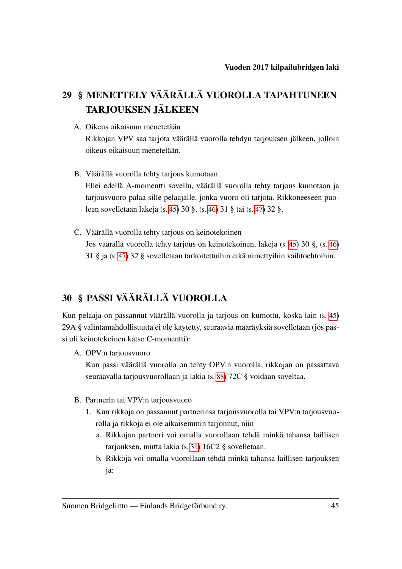# 29 § MENETTELY VÄÄRÄLLÄ VUOROLLA TAPAHTUNEEN TARJOUKSEN JÄLKEEN

- <span id="page-47-2"></span>A. Oikeus oikaisuun menetetään Rikkojan VPV saa tarjota väärällä vuorolla tehdyn tarjouksen jälkeen, jolloin oikeus oikaisuun menetetään.
- <span id="page-47-0"></span>B. Väärällä vuorolla tehty tarjous kumotaan Ellei edellä A-momentti sovellu, väärällä vuorolla tehty tarjous kumotaan ja tarjousvuoro palaa sille pelaajalle, jonka vuoro oli tarjota. Rikkoneeseen puoleen sovelletaan lakeja (s. [45\)](#page-47-1) 30 §, (s. [46\)](#page-48-2) 31 § tai (s. [47\)](#page-49-0) 32 §.
- C. Väärällä vuorolla tehty tarjous on keinotekoinen Jos väärällä vuorolla tehty tarjous on keinotekoinen, lakeja (s. [45\)](#page-47-1) 30 §, (s. [46\)](#page-48-2) 31 § ja (s. [47\)](#page-49-0) 32 § sovelletaan tarkoitettuihin eikä nimettyihin vaihtoehtoihin.

## <span id="page-47-1"></span>30 § PASSI VÄÄRÄLLÄ VUOROLLA

Kun pelaaja on passannut väärällä vuorolla ja tarjous on kumottu, koska lain (s. [45\)](#page-47-2) 29A § valintamahdollisuutta ei ole käytetty, seuraavia määräyksiä sovelletaan (jos passi oli keinotekoinen katso C-momentti):

A. OPV:n tarjousvuoro

Kun passi väärällä vuorolla on tehty OPV:n vuorolla, rikkojan on passattava seuraavalla tarjousvuorollaan ja lakia (s. [88\)](#page-90-0) 72C § voidaan soveltaa.

- B. Partnerin tai VPV:n tarjousvuoro
	- 1. Kun rikkoja on passannut partnerinsa tarjousvuorolla tai VPV:n tarjousvuorolla ja rikkoja ei ole aikaisemmin tarjonnut, niin
		- a. Rikkojan partneri voi omalla vuorollaan tehdä minkä tahansa laillisen tarjouksen, mutta lakia (s. [31\)](#page-33-1) 16C2 § sovelletaan.
		- b. Rikkoja voi omalla vuorollaan tehdä minkä tahansa laillisen tarjouksen ja: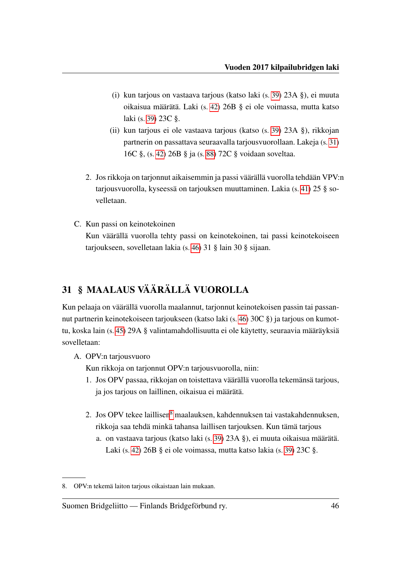- <span id="page-48-0"></span>(i) kun tarjous on vastaava tarjous (katso laki (s. [39\)](#page-41-0) 23A §), ei muuta oikaisua määrätä. Laki (s. [42\)](#page-44-2) 26B § ei ole voimassa, mutta katso laki (s. [39\)](#page-41-1) 23C §.
- (ii) kun tarjous ei ole vastaava tarjous (katso (s. [39\)](#page-41-0) 23A §), rikkojan partnerin on passattava seuraavalla tarjousvuorollaan. Lakeja (s. [31\)](#page-33-0) 16C §, (s. [42\)](#page-44-2) 26B § ja (s. [88\)](#page-90-0) 72C § voidaan soveltaa.
- 2. Jos rikkoja on tarjonnut aikaisemmin ja passi väärällä vuorolla tehdään VPV:n tarjousvuorolla, kyseessä on tarjouksen muuttaminen. Lakia (s. [41\)](#page-43-0) 25 § sovelletaan.
- <span id="page-48-3"></span>C. Kun passi on keinotekoinen Kun väärällä vuorolla tehty passi on keinotekoinen, tai passi keinotekoiseen tarjoukseen, sovelletaan lakia (s. [46\)](#page-48-2) 31 § lain 30 § sijaan.

#### <span id="page-48-2"></span>31 § MAALAUS VÄÄRÄLLÄ VUOROLLA

Kun pelaaja on väärällä vuorolla maalannut, tarjonnut keinotekoisen passin tai passannut partnerin keinotekoiseen tarjoukseen (katso laki (s. [46\)](#page-48-3) 30C §) ja tarjous on kumottu, koska lain (s. [45\)](#page-47-2) 29A § valintamahdollisuutta ei ole käytetty, seuraavia määräyksiä sovelletaan:

A. OPV:n tarjousvuoro

Kun rikkoja on tarjonnut OPV:n tarjousvuorolla, niin:

- 1. Jos OPV passaa, rikkojan on toistettava väärällä vuorolla tekemänsä tarjous, ja jos tarjous on laillinen, oikaisua ei määrätä.
- <span id="page-48-1"></span>2. Jos OPV tekee laillisen<sup>[8](#page-48-4)</sup> maalauksen, kahdennuksen tai vastakahdennuksen, rikkoja saa tehdä minkä tahansa laillisen tarjouksen. Kun tämä tarjous
	- a. on vastaava tarjous (katso laki (s. [39\)](#page-41-0) 23A §), ei muuta oikaisua määrätä. Laki (s. [42\)](#page-44-2) 26B § ei ole voimassa, mutta katso lakia (s. [39\)](#page-41-1) 23C §.

<span id="page-48-4"></span><sup>8.</sup> OPV:n tekemä laiton tarjous oikaistaan lain mukaan.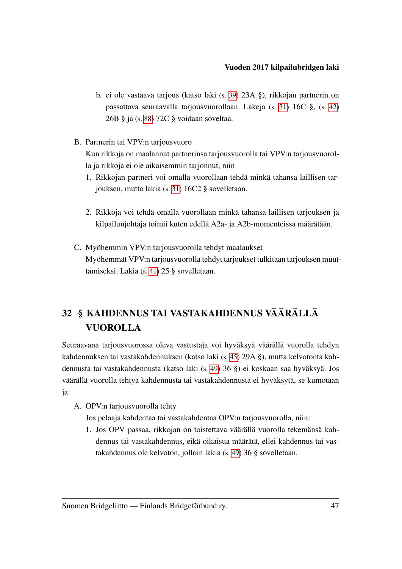- b. ei ole vastaava tarjous (katso laki (s. [39\)](#page-41-0) 23A §), rikkojan partnerin on passattava seuraavalla tarjousvuorollaan. Lakeja (s. [31\)](#page-33-0) 16C §, (s. [42\)](#page-44-2) 26B § ja (s. [88\)](#page-90-0) 72C § voidaan soveltaa.
- B. Partnerin tai VPV:n tarjousvuoro Kun rikkoja on maalannut partnerinsa tarjousvuorolla tai VPV:n tarjousvuorolla ja rikkoja ei ole aikaisemmin tarjonnut, niin
	- 1. Rikkojan partneri voi omalla vuorollaan tehdä minkä tahansa laillisen tarjouksen, mutta lakia (s. [31\)](#page-33-1) 16C2 § sovelletaan.
	- 2. Rikkoja voi tehdä omalla vuorollaan minkä tahansa laillisen tarjouksen ja kilpailunjohtaja toimii kuten edellä A2a- ja A2b-momenteissa määrätään.
- C. Myöhemmin VPV:n tarjousvuorolla tehdyt maalaukset Myöhemmät VPV:n tarjousvuorolla tehdyt tarjoukset tulkitaan tarjouksen muuttamiseksi. Lakia (s. [41\)](#page-43-0) 25 § sovelletaan.

# <span id="page-49-0"></span>32 § KAHDENNUS TAI VASTAKAHDENNUS VÄÄRÄLLÄ VUOROLLA

Seuraavana tarjousvuorossa oleva vastustaja voi hyväksyä väärällä vuorolla tehdyn kahdennuksen tai vastakahdennuksen (katso laki (s. [45\)](#page-47-2) 29A §), mutta kelvotonta kahdennusta tai vastakahdennusta (katso laki (s. [49\)](#page-51-0) 36 §) ei koskaan saa hyväksyä. Jos väärällä vuorolla tehtyä kahdennusta tai vastakahdennusta ei hyväksytä, se kumotaan ja:

A. OPV:n tarjousvuorolla tehty

Jos pelaaja kahdentaa tai vastakahdentaa OPV:n tarjousvuorolla, niin:

1. Jos OPV passaa, rikkojan on toistettava väärällä vuorolla tekemänsä kahdennus tai vastakahdennus, eikä oikaisua määrätä, ellei kahdennus tai vastakahdennus ole kelvoton, jolloin lakia (s. [49\)](#page-51-0) 36 § sovelletaan.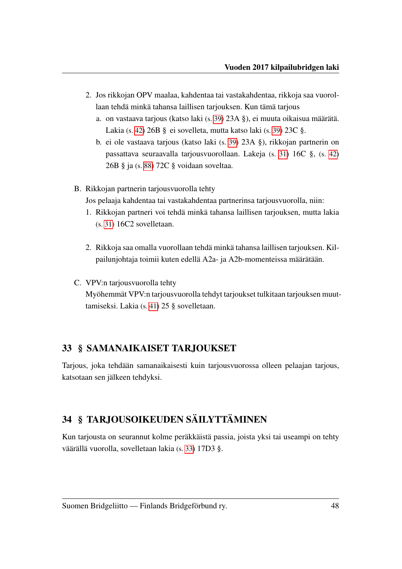- <span id="page-50-0"></span>2. Jos rikkojan OPV maalaa, kahdentaa tai vastakahdentaa, rikkoja saa vuorollaan tehdä minkä tahansa laillisen tarjouksen. Kun tämä tarjous
	- a. on vastaava tarjous (katso laki (s. [39\)](#page-41-0) 23A §), ei muuta oikaisua määrätä. Lakia (s. [42\)](#page-44-2) 26B § ei sovelleta, mutta katso laki (s. [39\)](#page-41-1) 23C §.
	- b. ei ole vastaava tarjous (katso laki (s. [39\)](#page-41-0) 23A §), rikkojan partnerin on passattava seuraavalla tarjousvuorollaan. Lakeja (s. [31\)](#page-33-0) 16C §, (s. [42\)](#page-44-2) 26B § ja (s. [88\)](#page-90-0) 72C § voidaan soveltaa.
- B. Rikkojan partnerin tarjousvuorolla tehty

Jos pelaaja kahdentaa tai vastakahdentaa partnerinsa tarjousvuorolla, niin:

- 1. Rikkojan partneri voi tehdä minkä tahansa laillisen tarjouksen, mutta lakia (s. [31\)](#page-33-1) 16C2 sovelletaan.
- 2. Rikkoja saa omalla vuorollaan tehdä minkä tahansa laillisen tarjouksen. Kilpailunjohtaja toimii kuten edellä A2a- ja A2b-momenteissa määrätään.
- C. VPV:n tarjousvuorolla tehty Myöhemmät VPV:n tarjousvuorolla tehdyt tarjoukset tulkitaan tarjouksen muuttamiseksi. Lakia (s. [41\)](#page-43-0) 25 § sovelletaan.

#### 33 § SAMANAIKAISET TARJOUKSET

Tarjous, joka tehdään samanaikaisesti kuin tarjousvuorossa olleen pelaajan tarjous, katsotaan sen jälkeen tehdyksi.

#### 34 § TARJOUSOIKEUDEN SÄILYTTÄMINEN

Kun tarjousta on seurannut kolme peräkkäistä passia, joista yksi tai useampi on tehty väärällä vuorolla, sovelletaan lakia (s. [33\)](#page-35-1) 17D3 §.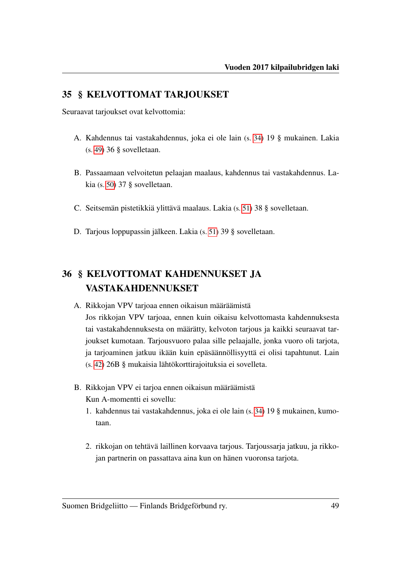#### 35 § KELVOTTOMAT TARJOUKSET

Seuraavat tarjoukset ovat kelvottomia:

- A. Kahdennus tai vastakahdennus, joka ei ole lain (s. [34\)](#page-36-0) 19 § mukainen. Lakia (s. [49\)](#page-51-0) 36 § sovelletaan.
- B. Passaamaan velvoitetun pelaajan maalaus, kahdennus tai vastakahdennus. Lakia (s. [50\)](#page-52-0) 37 § sovelletaan.
- C. Seitsemän pistetikkiä ylittävä maalaus. Lakia (s. [51\)](#page-53-0) 38 § sovelletaan.
- D. Tarjous loppupassin jälkeen. Lakia (s. [51\)](#page-53-1) 39 § sovelletaan.

## <span id="page-51-0"></span>36 § KELVOTTOMAT KAHDENNUKSET JA VASTAKAHDENNUKSET

- A. Rikkojan VPV tarjoaa ennen oikaisun määräämistä Jos rikkojan VPV tarjoaa, ennen kuin oikaisu kelvottomasta kahdennuksesta tai vastakahdennuksesta on määrätty, kelvoton tarjous ja kaikki seuraavat tarjoukset kumotaan. Tarjousvuoro palaa sille pelaajalle, jonka vuoro oli tarjota, ja tarjoaminen jatkuu ikään kuin epäsäännöllisyyttä ei olisi tapahtunut. Lain (s. [42\)](#page-44-2) 26B § mukaisia lähtökorttirajoituksia ei sovelleta.
- B. Rikkojan VPV ei tarjoa ennen oikaisun määräämistä Kun A-momentti ei sovellu:
	- 1. kahdennus tai vastakahdennus, joka ei ole lain (s. [34\)](#page-36-0) 19 § mukainen, kumotaan.
	- 2. rikkojan on tehtävä laillinen korvaava tarjous. Tarjoussarja jatkuu, ja rikkojan partnerin on passattava aina kun on hänen vuoronsa tarjota.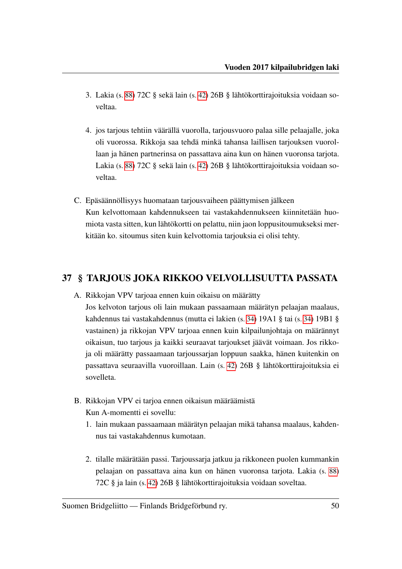- 3. Lakia (s. [88\)](#page-90-0) 72C § sekä lain (s. [42\)](#page-44-2) 26B § lähtökorttirajoituksia voidaan soveltaa.
- 4. jos tarjous tehtiin väärällä vuorolla, tarjousvuoro palaa sille pelaajalle, joka oli vuorossa. Rikkoja saa tehdä minkä tahansa laillisen tarjouksen vuorollaan ja hänen partnerinsa on passattava aina kun on hänen vuoronsa tarjota. Lakia (s. [88\)](#page-90-0) 72C § sekä lain (s. [42\)](#page-44-2) 26B § lähtökorttirajoituksia voidaan soveltaa.
- C. Epäsäännöllisyys huomataan tarjousvaiheen päättymisen jälkeen Kun kelvottomaan kahdennukseen tai vastakahdennukseen kiinnitetään huomiota vasta sitten, kun lähtökortti on pelattu, niin jaon loppusitoumukseksi merkitään ko. sitoumus siten kuin kelvottomia tarjouksia ei olisi tehty.

#### <span id="page-52-0"></span>37 § TARJOUS JOKA RIKKOO VELVOLLISUUTTA PASSATA

A. Rikkojan VPV tarjoaa ennen kuin oikaisu on määrätty

Jos kelvoton tarjous oli lain mukaan passaamaan määrätyn pelaajan maalaus, kahdennus tai vastakahdennus (mutta ei lakien (s. [34\)](#page-36-1) 19A1 § tai (s. [34\)](#page-36-2) 19B1 § vastainen) ja rikkojan VPV tarjoaa ennen kuin kilpailunjohtaja on määrännyt oikaisun, tuo tarjous ja kaikki seuraavat tarjoukset jäävät voimaan. Jos rikkoja oli määrätty passaamaan tarjoussarjan loppuun saakka, hänen kuitenkin on passattava seuraavilla vuoroillaan. Lain (s. [42\)](#page-44-2) 26B § lähtökorttirajoituksia ei sovelleta.

- B. Rikkojan VPV ei tarjoa ennen oikaisun määräämistä Kun A-momentti ei sovellu:
	- 1. lain mukaan passaamaan määrätyn pelaajan mikä tahansa maalaus, kahdennus tai vastakahdennus kumotaan.
	- 2. tilalle määrätään passi. Tarjoussarja jatkuu ja rikkoneen puolen kummankin pelaajan on passattava aina kun on hänen vuoronsa tarjota. Lakia (s. [88\)](#page-90-0) 72C § ja lain (s. [42\)](#page-44-2) 26B § lähtökorttirajoituksia voidaan soveltaa.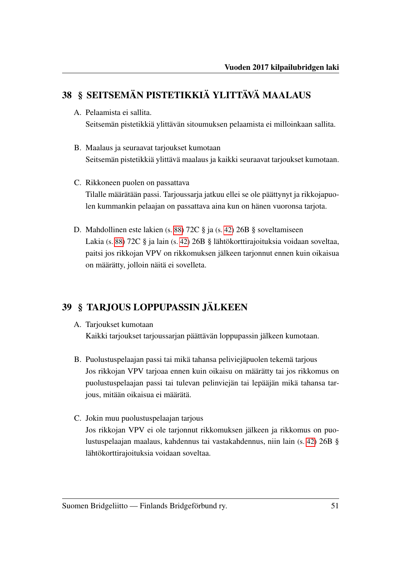# <span id="page-53-0"></span>38 § SEITSEMÄN PISTETIKKIÄ YLITTÄVÄ MAALAUS

- A. Pelaamista ei sallita. Seitsemän pistetikkiä ylittävän sitoumuksen pelaamista ei milloinkaan sallita.
- B. Maalaus ja seuraavat tarjoukset kumotaan Seitsemän pistetikkiä ylittävä maalaus ja kaikki seuraavat tarjoukset kumotaan.
- C. Rikkoneen puolen on passattava Tilalle määrätään passi. Tarjoussarja jatkuu ellei se ole päättynyt ja rikkojapuolen kummankin pelaajan on passattava aina kun on hänen vuoronsa tarjota.
- D. Mahdollinen este lakien (s. [88\)](#page-90-0) 72C § ja (s. [42\)](#page-44-2) 26B § soveltamiseen Lakia (s. [88\)](#page-90-0) 72C § ja lain (s. [42\)](#page-44-2) 26B § lähtökorttirajoituksia voidaan soveltaa, paitsi jos rikkojan VPV on rikkomuksen jälkeen tarjonnut ennen kuin oikaisua on määrätty, jolloin näitä ei sovelleta.

## <span id="page-53-1"></span>39 § TARJOUS LOPPUPASSIN JÄLKEEN

- A. Tarjoukset kumotaan Kaikki tarjoukset tarjoussarjan päättävän loppupassin jälkeen kumotaan.
- B. Puolustuspelaajan passi tai mikä tahansa peliviejäpuolen tekemä tarjous Jos rikkojan VPV tarjoaa ennen kuin oikaisu on määrätty tai jos rikkomus on puolustuspelaajan passi tai tulevan pelinviejän tai lepääjän mikä tahansa tarjous, mitään oikaisua ei määrätä.
- C. Jokin muu puolustuspelaajan tarjous

Jos rikkojan VPV ei ole tarjonnut rikkomuksen jälkeen ja rikkomus on puolustuspelaajan maalaus, kahdennus tai vastakahdennus, niin lain (s. [42\)](#page-44-2) 26B § lähtökorttirajoituksia voidaan soveltaa.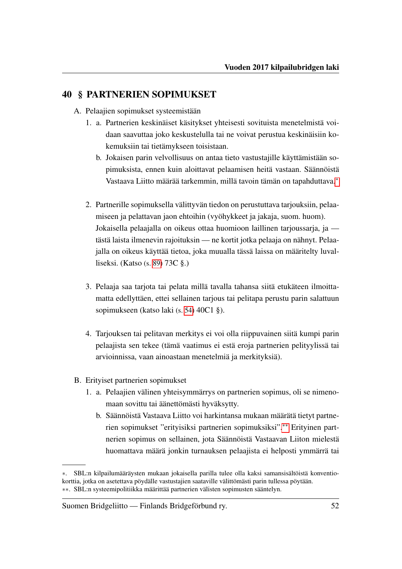#### 40 § PARTNERIEN SOPIMUKSET

- A. Pelaajien sopimukset systeemistään
	- 1. a. Partnerien keskinäiset käsitykset yhteisesti sovituista menetelmistä voidaan saavuttaa joko keskustelulla tai ne voivat perustua keskinäisiin kokemuksiin tai tietämykseen toisistaan.
		- b. Jokaisen parin velvollisuus on antaa tieto vastustajille käyttämistään sopimuksista, ennen kuin aloittavat pelaamisen heitä vastaan. Säännöistä Vastaava Liitto määrää tarkemmin, millä tavoin tämän on tapahduttava.[∗](#page-54-0)
	- 2. Partnerille sopimuksella välittyvän tiedon on perustuttava tarjouksiin, pelaamiseen ja pelattavan jaon ehtoihin (vyöhykkeet ja jakaja, suom. huom). Jokaisella pelaajalla on oikeus ottaa huomioon laillinen tarjoussarja, ja tästä laista ilmenevin rajoituksin — ne kortit jotka pelaaja on nähnyt. Pelaajalla on oikeus käyttää tietoa, joka muualla tässä laissa on määritelty luvalliseksi. (Katso (s. [89\)](#page-91-0) 73C §.)
	- 3. Pelaaja saa tarjota tai pelata millä tavalla tahansa siitä etukäteen ilmoittamatta edellyttäen, ettei sellainen tarjous tai pelitapa perustu parin salattuun sopimukseen (katso laki (s. [54\)](#page-56-1) 40C1 §).
	- 4. Tarjouksen tai pelitavan merkitys ei voi olla riippuvainen siitä kumpi parin pelaajista sen tekee (tämä vaatimus ei estä eroja partnerien pelityylissä tai arvioinnissa, vaan ainoastaan menetelmiä ja merkityksiä).
- B. Erityiset partnerien sopimukset
	- 1. a. Pelaajien välinen yhteisymmärrys on partnerien sopimus, oli se nimenomaan sovittu tai äänettömästi hyväksytty.
		- b. Säännöistä Vastaava Liitto voi harkintansa mukaan määrätä tietyt partnerien sopimukset "erityisiksi partnerien sopimuksiksi".[∗∗](#page-54-1) Erityinen partnerien sopimus on sellainen, jota Säännöistä Vastaavan Liiton mielestä huomattava määrä jonkin turnauksen pelaajista ei helposti ymmärrä tai

<span id="page-54-1"></span><span id="page-54-0"></span><sup>∗</sup>. SBL:n kilpailumääräysten mukaan jokaisella parilla tulee olla kaksi samansisältöistä konventiokorttia, jotka on asetettava pöydälle vastustajien saataville välittömästi parin tullessa pöytään. ∗∗. SBL:n systeemipolitiikka määrittää partnerien välisten sopimusten sääntelyn.

Suomen Bridgeliitto — Finlands Bridgeförbund ry. 52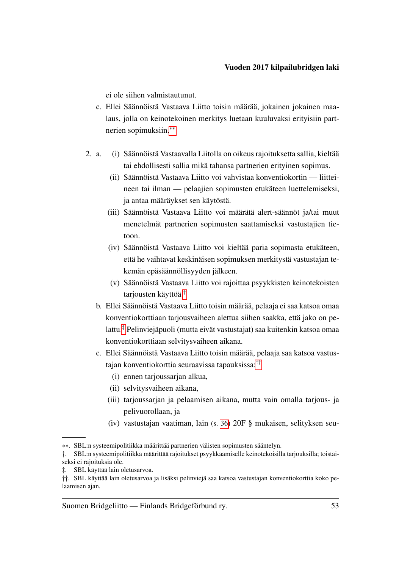ei ole siihen valmistautunut.

- c. Ellei Säännöistä Vastaava Liitto toisin määrää, jokainen jokainen maalaus, jolla on keinotekoinen merkitys luetaan kuuluvaksi erityisiin partnerien sopimuksiin.[∗∗](#page-55-1)
- 2. a. (i) Säännöistä Vastaavalla Liitolla on oikeus rajoituksetta sallia, kieltää tai ehdollisesti sallia mikä tahansa partnerien erityinen sopimus.
	- (ii) Säännöistä Vastaava Liitto voi vahvistaa konventiokortin liitteineen tai ilman — pelaajien sopimusten etukäteen luettelemiseksi, ja antaa määräykset sen käytöstä.
	- (iii) Säännöistä Vastaava Liitto voi määrätä alert-säännöt ja/tai muut menetelmät partnerien sopimusten saattamiseksi vastustajien tietoon.
	- (iv) Säännöistä Vastaava Liitto voi kieltää paria sopimasta etukäteen, että he vaihtavat keskinäisen sopimuksen merkitystä vastustajan tekemän epäsäännöllisyyden jälkeen.
	- (v) Säännöistä Vastaava Liitto voi rajoittaa psyykkisten keinotekoisten tarjousten käyttöä.[†](#page-55-2)
	- b. Ellei Säännöistä Vastaava Liitto toisin määrää, pelaaja ei saa katsoa omaa konventiokorttiaan tarjousvaiheen alettua siihen saakka, että jako on pelattu.[‡](#page-55-3) Pelinviejäpuoli (mutta eivät vastustajat) saa kuitenkin katsoa omaa konventiokorttiaan selvitysvaiheen aikana.
	- c. Ellei Säännöistä Vastaava Liitto toisin määrää, pelaaja saa katsoa vastustajan konventiokorttia seuraavissa tapauksissa:[††](#page-55-4)
		- (i) ennen tarjoussarjan alkua,
		- (ii) selvitysvaiheen aikana,
		- (iii) tarjoussarjan ja pelaamisen aikana, mutta vain omalla tarjous- ja pelivuorollaan, ja
		- (iv) vastustajan vaatiman, lain (s. [36\)](#page-38-1) 20F § mukaisen, selityksen seu-

<span id="page-55-1"></span><span id="page-55-0"></span><sup>∗∗</sup>. SBL:n systeemipolitiikka määrittää partnerien välisten sopimusten sääntelyn.

<span id="page-55-2"></span><sup>†</sup>. SBL:n systeemipolitiikka määrittää rajoitukset psyykkaamiselle keinotekoisilla tarjouksilla; toistaiseksi ei rajoituksia ole.

<span id="page-55-3"></span><sup>‡</sup>. SBL käyttää lain oletusarvoa.

<span id="page-55-4"></span><sup>††</sup>. SBL käyttää lain oletusarvoa ja lisäksi pelinviejä saa katsoa vastustajan konventiokorttia koko pelaamisen ajan.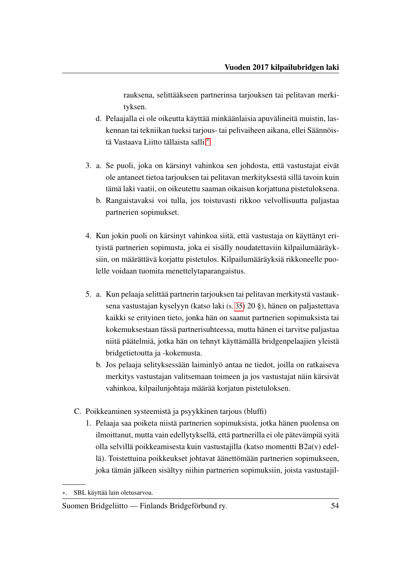rauksena, selittääkseen partnerinsa tarjouksen tai pelitavan merkityksen.

- d. Pelaajalla ei ole oikeutta käyttää minkäänlaisia apuvälineitä muistin, laskennan tai tekniikan tueksi tarjous- tai pelivaiheen aikana, ellei Säännöistä Vastaava Liitto tällaista salli.[∗](#page-56-2)
- <span id="page-56-0"></span>3. a. Se puoli, joka on kärsinyt vahinkoa sen johdosta, että vastustajat eivät ole antaneet tietoa tarjouksen tai pelitavan merkityksestä sillä tavoin kuin tämä laki vaatii, on oikeutettu saaman oikaisun korjattuna pistetuloksena.
	- b. Rangaistavaksi voi tulla, jos toistuvasti rikkoo velvollisuutta paljastaa partnerien sopimukset.
- 4. Kun jokin puoli on kärsinyt vahinkoa siitä, että vastustaja on käyttänyt erityistä partnerien sopimusta, joka ei sisälly noudatettaviin kilpailumääräyksiin, on määrättävä korjattu pistetulos. Kilpailumääräyksiä rikkoneelle puolelle voidaan tuomita menettelytaparangaistus.
- 5. a. Kun pelaaja selittää partnerin tarjouksen tai pelitavan merkitystä vastauksena vastustajan kyselyyn (katso laki (s. [35\)](#page-37-2) 20 §), hänen on paljastettava kaikki se erityinen tieto, jonka hän on saanut partnerien sopimuksista tai kokemuksestaan tässä partnerisuhteessa, mutta hänen ei tarvitse paljastaa niitä päätelmiä, jotka hän on tehnyt käyttämällä bridgenpelaajien yleistä bridgetietoutta ja -kokemusta.
	- b. Jos pelaaja selityksessään laiminlyö antaa ne tiedot, joilla on ratkaiseva merkitys vastustajan valitsemaan toimeen ja jos vastustajat näin kärsivät vahinkoa, kilpailunjohtaja määrää korjatun pistetuloksen.
- <span id="page-56-1"></span>C. Poikkeaminen systeemistä ja psyykkinen tarjous (bluffi)
	- 1. Pelaaja saa poiketa niistä partnerien sopimuksista, jotka hänen puolensa on ilmoittanut, mutta vain edellytyksellä, että partnerilla ei ole pätevämpiä syitä olla selvillä poikkeamisesta kuin vastustajilla (katso momentti B2a(v) edellä). Toistettuina poikkeukset johtavat äänettömään partnerien sopimukseen, joka tämän jälkeen sisältyy niihin partnerien sopimuksiin, joista vastustajil-

<span id="page-56-2"></span><sup>∗</sup>. SBL käyttää lain oletusarvoa.

Suomen Bridgeliitto — Finlands Bridgeförbund ry. 54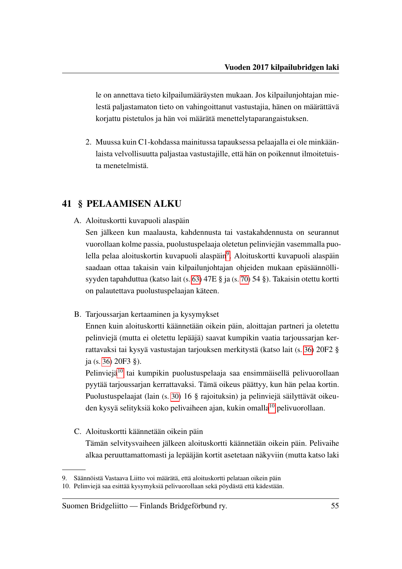le on annettava tieto kilpailumääräysten mukaan. Jos kilpailunjohtajan mielestä paljastamaton tieto on vahingoittanut vastustajia, hänen on määrättävä korjattu pistetulos ja hän voi määrätä menettelytaparangaistuksen.

2. Muussa kuin C1-kohdassa mainitussa tapauksessa pelaajalla ei ole minkäänlaista velvollisuutta paljastaa vastustajille, että hän on poikennut ilmoitetuista menetelmistä.

#### <span id="page-57-0"></span>41 § PELAAMISEN ALKU

A. Aloituskortti kuvapuoli alaspäin

Sen jälkeen kun maalausta, kahdennusta tai vastakahdennusta on seurannut vuorollaan kolme passia, puolustuspelaaja oletetun pelinviejän vasemmalla puo-lella pelaa aloituskortin kuvapuoli alaspäin<sup>[9](#page-57-3)</sup>. Aloituskortti kuvapuoli alaspäin saadaan ottaa takaisin vain kilpailunjohtajan ohjeiden mukaan epäsäännöllisyyden tapahduttua (katso lait (s. [63\)](#page-65-0) 47E § ja (s. [70\)](#page-72-0) 54 §). Takaisin otettu kortti on palautettava puolustuspelaajan käteen.

<span id="page-57-1"></span>B. Tarjoussarjan kertaaminen ja kysymykset

Ennen kuin aloituskortti käännetään oikein päin, aloittajan partneri ja oletettu pelinviejä (mutta ei oletettu lepääjä) saavat kumpikin vaatia tarjoussarjan kerrattavaksi tai kysyä vastustajan tarjouksen merkitystä (katso lait (s. [36\)](#page-38-2) 20F2 § ja (s. [36\)](#page-38-3) 20F3 §).

Pelinviejä<sup>[10](#page-57-4)</sup> tai kumpikin puolustuspelaaja saa ensimmäisellä pelivuorollaan pyytää tarjoussarjan kerrattavaksi. Tämä oikeus päättyy, kun hän pelaa kortin. Puolustuspelaajat (lain (s. [30\)](#page-32-0) 16 § rajoituksin) ja pelinviejä säilyttävät oikeu-den kysyä selityksiä koko pelivaiheen ajan, kukin omalla<sup>[10](#page-0-0)</sup> pelivuorollaan.

<span id="page-57-2"></span>C. Aloituskortti käännetään oikein päin

Tämän selvitysvaiheen jälkeen aloituskortti käännetään oikein päin. Pelivaihe alkaa peruuttamattomasti ja lepääjän kortit asetetaan näkyviin (mutta katso laki

<span id="page-57-3"></span><sup>9.</sup> Säännöistä Vastaava Liitto voi määrätä, että aloituskortti pelataan oikein päin

<span id="page-57-4"></span><sup>10.</sup> Pelinviejä saa esittää kysymyksiä pelivuorollaan sekä pöydästä että kädestään.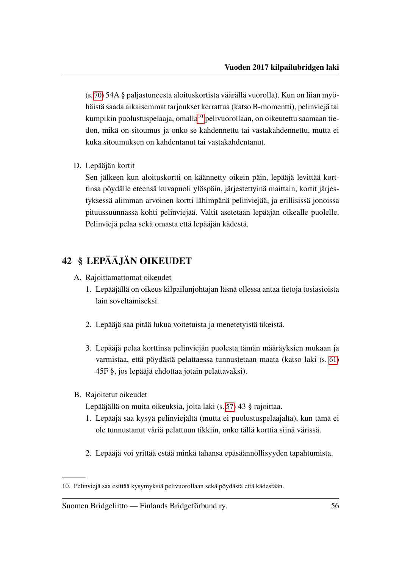(s. [70\)](#page-72-1) 54A § paljastuneesta aloituskortista väärällä vuorolla). Kun on liian myöhäistä saada aikaisemmat tarjoukset kerrattua (katso B-momentti), pelinviejä tai kumpikin puolustuspelaaja, omalla<sup>[10](#page-58-0)</sup> pelivuorollaan, on oikeutettu saamaan tiedon, mikä on sitoumus ja onko se kahdennettu tai vastakahdennettu, mutta ei kuka sitoumuksen on kahdentanut tai vastakahdentanut.

D. Lepääjän kortit

Sen jälkeen kun aloituskortti on käännetty oikein päin, lepääjä levittää korttinsa pöydälle eteensä kuvapuoli ylöspäin, järjestettyinä maittain, kortit järjestyksessä alimman arvoinen kortti lähimpänä pelinviejää, ja erillisissä jonoissa pituussuunnassa kohti pelinviejää. Valtit asetetaan lepääjän oikealle puolelle. Pelinviejä pelaa sekä omasta että lepääjän kädestä.

### <span id="page-58-1"></span>42 § LEPÄÄJÄN OIKEUDET

- A. Rajoittamattomat oikeudet
	- 1. Lepääjällä on oikeus kilpailunjohtajan läsnä ollessa antaa tietoja tosiasioista lain soveltamiseksi.
	- 2. Lepääjä saa pitää lukua voitetuista ja menetetyistä tikeistä.
	- 3. Lepääjä pelaa korttinsa pelinviejän puolesta tämän määräyksien mukaan ja varmistaa, että pöydästä pelattaessa tunnustetaan maata (katso laki (s. [61\)](#page-63-0) 45F §, jos lepääjä ehdottaa jotain pelattavaksi).
- B. Rajoitetut oikeudet

Lepääjällä on muita oikeuksia, joita laki (s. [57\)](#page-59-0) 43 § rajoittaa.

- 1. Lepääjä saa kysyä pelinviejältä (mutta ei puolustuspelaajalta), kun tämä ei ole tunnustanut väriä pelattuun tikkiin, onko tällä korttia siinä värissä.
- 2. Lepääjä voi yrittää estää minkä tahansa epäsäännöllisyyden tapahtumista.

<span id="page-58-0"></span><sup>10.</sup> Pelinviejä saa esittää kysymyksiä pelivuorollaan sekä pöydästä että kädestään.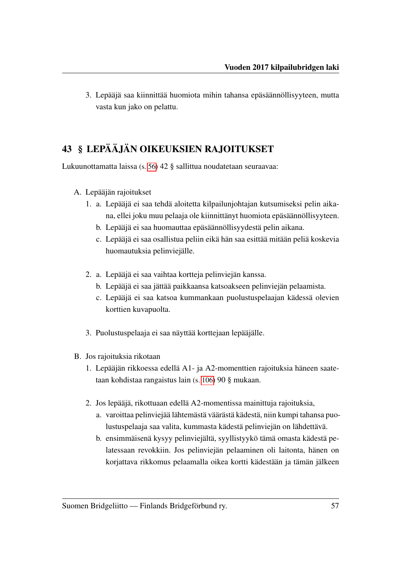3. Lepääjä saa kiinnittää huomiota mihin tahansa epäsäännöllisyyteen, mutta vasta kun jako on pelattu.

## <span id="page-59-0"></span>43 § LEPÄÄJÄN OIKEUKSIEN RAJOITUKSET

Lukuunottamatta laissa (s. [56\)](#page-58-1) 42 § sallittua noudatetaan seuraavaa:

- A. Lepääjän rajoitukset
	- 1. a. Lepääjä ei saa tehdä aloitetta kilpailunjohtajan kutsumiseksi pelin aikana, ellei joku muu pelaaja ole kiinnittänyt huomiota epäsäännöllisyyteen.
		- b. Lepääjä ei saa huomauttaa epäsäännöllisyydestä pelin aikana.
		- c. Lepääjä ei saa osallistua peliin eikä hän saa esittää mitään peliä koskevia huomautuksia pelinviejälle.
	- 2. a. Lepääjä ei saa vaihtaa kortteja pelinviejän kanssa.
		- b. Lepääjä ei saa jättää paikkaansa katsoakseen pelinviejän pelaamista.
		- c. Lepääjä ei saa katsoa kummankaan puolustuspelaajan kädessä olevien korttien kuvapuolta.
	- 3. Puolustuspelaaja ei saa näyttää korttejaan lepääjälle.
- B. Jos rajoituksia rikotaan
	- 1. Lepääjän rikkoessa edellä A1- ja A2-momenttien rajoituksia häneen saatetaan kohdistaa rangaistus lain (s. [106\)](#page-108-0) 90 § mukaan.
	- 2. Jos lepääjä, rikottuaan edellä A2-momentissa mainittuja rajoituksia,
		- a. varoittaa pelinviejää lähtemästä väärästä kädestä, niin kumpi tahansa puolustuspelaaja saa valita, kummasta kädestä pelinviejän on lähdettävä.
		- b. ensimmäisenä kysyy pelinviejältä, syyllistyykö tämä omasta kädestä pelatessaan revokkiin. Jos pelinviejän pelaaminen oli laitonta, hänen on korjattava rikkomus pelaamalla oikea kortti kädestään ja tämän jälkeen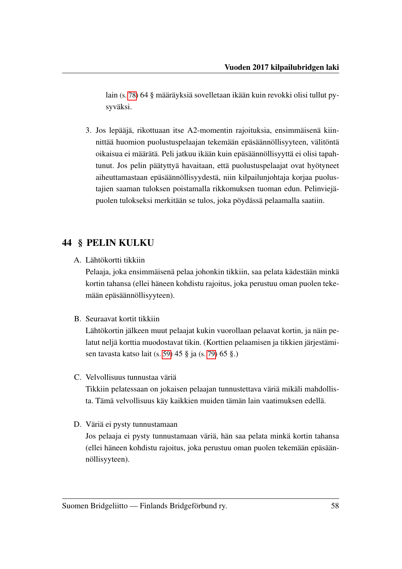lain (s. [78\)](#page-80-0) 64 § määräyksiä sovelletaan ikään kuin revokki olisi tullut pysyväksi.

3. Jos lepääjä, rikottuaan itse A2-momentin rajoituksia, ensimmäisenä kiinnittää huomion puolustuspelaajan tekemään epäsäännöllisyyteen, välitöntä oikaisua ei määrätä. Peli jatkuu ikään kuin epäsäännöllisyyttä ei olisi tapahtunut. Jos pelin päätyttyä havaitaan, että puolustuspelaajat ovat hyötyneet aiheuttamastaan epäsäännöllisyydestä, niin kilpailunjohtaja korjaa puolustajien saaman tuloksen poistamalla rikkomuksen tuoman edun. Pelinviejäpuolen tulokseksi merkitään se tulos, joka pöydässä pelaamalla saatiin.

#### 44 § PELIN KULKU

A. Lähtökortti tikkiin

Pelaaja, joka ensimmäisenä pelaa johonkin tikkiin, saa pelata kädestään minkä kortin tahansa (ellei häneen kohdistu rajoitus, joka perustuu oman puolen tekemään epäsäännöllisyyteen).

B. Seuraavat kortit tikkiin

Lähtökortin jälkeen muut pelaajat kukin vuorollaan pelaavat kortin, ja näin pelatut neljä korttia muodostavat tikin. (Korttien pelaamisen ja tikkien järjestämisen tavasta katso lait (s. [59\)](#page-61-0) 45 § ja (s. [79\)](#page-81-0) 65 §.)

- C. Velvollisuus tunnustaa väriä Tikkiin pelatessaan on jokaisen pelaajan tunnustettava väriä mikäli mahdollista. Tämä velvollisuus käy kaikkien muiden tämän lain vaatimuksen edellä.
- D. Väriä ei pysty tunnustamaan

Jos pelaaja ei pysty tunnustamaan väriä, hän saa pelata minkä kortin tahansa (ellei häneen kohdistu rajoitus, joka perustuu oman puolen tekemään epäsäännöllisyyteen).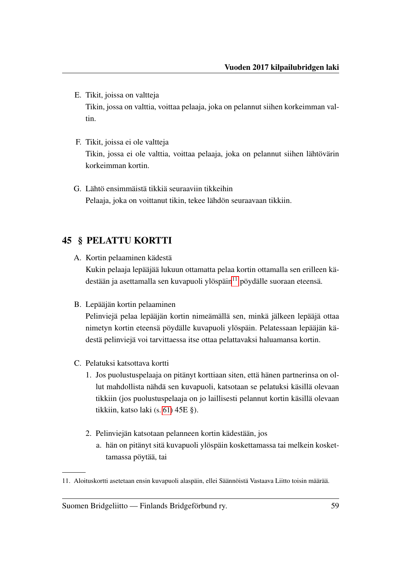- E. Tikit, joissa on valtteja Tikin, jossa on valttia, voittaa pelaaja, joka on pelannut siihen korkeimman valtin.
- F. Tikit, joissa ei ole valtteja Tikin, jossa ei ole valttia, voittaa pelaaja, joka on pelannut siihen lähtövärin korkeimman kortin.
- G. Lähtö ensimmäistä tikkiä seuraaviin tikkeihin Pelaaja, joka on voittanut tikin, tekee lähdön seuraavaan tikkiin.

### <span id="page-61-0"></span>45 § PELATTU KORTTI

- A. Kortin pelaaminen kädestä Kukin pelaaja lepääjää lukuun ottamatta pelaa kortin ottamalla sen erilleen kädestään ja asettamalla sen kuvapuoli ylöspäin $11$  pöydälle suoraan eteensä.
- B. Lepääjän kortin pelaaminen

Pelinviejä pelaa lepääjän kortin nimeämällä sen, minkä jälkeen lepääjä ottaa nimetyn kortin eteensä pöydälle kuvapuoli ylöspäin. Pelatessaan lepääjän kädestä pelinviejä voi tarvittaessa itse ottaa pelattavaksi haluamansa kortin.

- C. Pelatuksi katsottava kortti
	- 1. Jos puolustuspelaaja on pitänyt korttiaan siten, että hänen partnerinsa on ollut mahdollista nähdä sen kuvapuoli, katsotaan se pelatuksi käsillä olevaan tikkiin (jos puolustuspelaaja on jo laillisesti pelannut kortin käsillä olevaan tikkiin, katso laki (s. [61\)](#page-63-1) 45E §).
	- 2. Pelinviejän katsotaan pelanneen kortin kädestään, jos
		- a. hän on pitänyt sitä kuvapuoli ylöspäin koskettamassa tai melkein koskettamassa pöytää, tai

<span id="page-61-2"></span><span id="page-61-1"></span><sup>11.</sup> Aloituskortti asetetaan ensin kuvapuoli alaspäin, ellei Säännöistä Vastaava Liitto toisin määrää.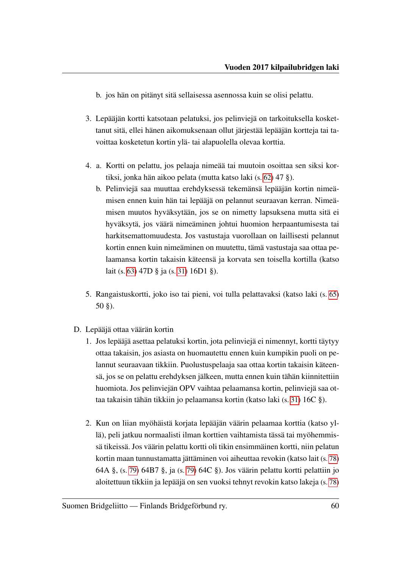b. jos hän on pitänyt sitä sellaisessa asennossa kuin se olisi pelattu.

- 3. Lepääjän kortti katsotaan pelatuksi, jos pelinviejä on tarkoituksella koskettanut sitä, ellei hänen aikomuksenaan ollut järjestää lepääjän kortteja tai tavoittaa kosketetun kortin ylä- tai alapuolella olevaa korttia.
- <span id="page-62-0"></span>4. a. Kortti on pelattu, jos pelaaja nimeää tai muutoin osoittaa sen siksi kortiksi, jonka hän aikoo pelata (mutta katso laki (s. [62\)](#page-64-0) 47 §).
	- b. Pelinviejä saa muuttaa erehdyksessä tekemänsä lepääjän kortin nimeämisen ennen kuin hän tai lepääjä on pelannut seuraavan kerran. Nimeämisen muutos hyväksytään, jos se on nimetty lapsuksena mutta sitä ei hyväksytä, jos väärä nimeäminen johtui huomion herpaantumisesta tai harkitsemattomuudesta. Jos vastustaja vuorollaan on laillisesti pelannut kortin ennen kuin nimeäminen on muutettu, tämä vastustaja saa ottaa pelaamansa kortin takaisin käteensä ja korvata sen toisella kortilla (katso lait (s. [63\)](#page-65-1) 47D § ja (s. [31\)](#page-33-2) 16D1 §).
- 5. Rangaistuskortti, joko iso tai pieni, voi tulla pelattavaksi (katso laki (s. [65\)](#page-67-0) 50 §).
- D. Lepääjä ottaa väärän kortin
	- 1. Jos lepääjä asettaa pelatuksi kortin, jota pelinviejä ei nimennyt, kortti täytyy ottaa takaisin, jos asiasta on huomautettu ennen kuin kumpikin puoli on pelannut seuraavaan tikkiin. Puolustuspelaaja saa ottaa kortin takaisin käteensä, jos se on pelattu erehdyksen jälkeen, mutta ennen kuin tähän kiinnitettiin huomiota. Jos pelinviejän OPV vaihtaa pelaamansa kortin, pelinviejä saa ottaa takaisin tähän tikkiin jo pelaamansa kortin (katso laki (s. [31\)](#page-33-0) 16C §).
	- 2. Kun on liian myöhäistä korjata lepääjän väärin pelaamaa korttia (katso yllä), peli jatkuu normaalisti ilman korttien vaihtamista tässä tai myöhemmissä tikeissä. Jos väärin pelattu kortti oli tikin ensimmäinen kortti, niin pelatun kortin maan tunnustamatta jättäminen voi aiheuttaa revokin (katso lait (s. [78\)](#page-80-1) 64A §, (s. [79\)](#page-81-1) 64B7 §, ja (s. [79\)](#page-81-2) 64C §). Jos väärin pelattu kortti pelattiin jo aloitettuun tikkiin ja lepääjä on sen vuoksi tehnyt revokin katso lakeja (s. [78\)](#page-80-2)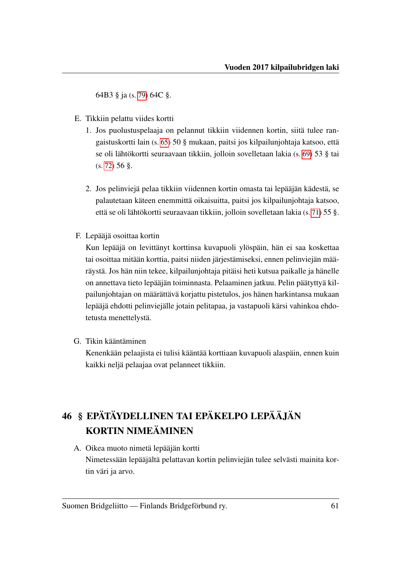64B3 § ja (s. [79\)](#page-81-2) 64C §.

- <span id="page-63-1"></span>E. Tikkiin pelattu viides kortti
	- 1. Jos puolustuspelaaja on pelannut tikkiin viidennen kortin, siitä tulee rangaistuskortti lain (s. [65\)](#page-67-0) 50 § mukaan, paitsi jos kilpailunjohtaja katsoo, että se oli lähtökortti seuraavaan tikkiin, jolloin sovelletaan lakia (s. [69\)](#page-71-0) 53 § tai (s. [72\)](#page-74-0) 56 §.
	- 2. Jos pelinviejä pelaa tikkiin viidennen kortin omasta tai lepääjän kädestä, se palautetaan käteen enemmittä oikaisuitta, paitsi jos kilpailunjohtaja katsoo, että se oli lähtökortti seuraavaan tikkiin, jolloin sovelletaan lakia (s. [71\)](#page-73-0) 55 §.
- <span id="page-63-0"></span>F. Lepääjä osoittaa kortin

Kun lepääjä on levittänyt korttinsa kuvapuoli ylöspäin, hän ei saa koskettaa tai osoittaa mitään korttia, paitsi niiden järjestämiseksi, ennen pelinviejän määräystä. Jos hän niin tekee, kilpailunjohtaja pitäisi heti kutsua paikalle ja hänelle on annettava tieto lepääjän toiminnasta. Pelaaminen jatkuu. Pelin päätyttyä kilpailunjohtajan on määrättävä korjattu pistetulos, jos hänen harkintansa mukaan lepääjä ehdotti pelinviejälle jotain pelitapaa, ja vastapuoli kärsi vahinkoa ehdotetusta menettelystä.

G. Tikin kääntäminen

Kenenkään pelaajista ei tulisi kääntää korttiaan kuvapuoli alaspäin, ennen kuin kaikki neljä pelaajaa ovat pelanneet tikkiin.

# 46 § EPÄTÄYDELLINEN TAI EPÄKELPO LEPÄÄJÄN KORTIN NIMEÄMINEN

A. Oikea muoto nimetä lepääjän kortti

Nimetessään lepääjältä pelattavan kortin pelinviejän tulee selvästi mainita kortin väri ja arvo.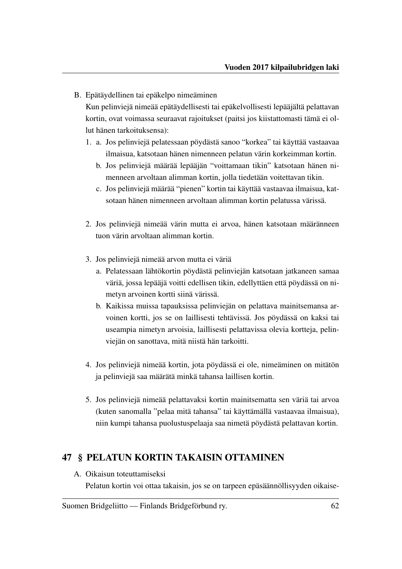B. Epätäydellinen tai epäkelpo nimeäminen

Kun pelinviejä nimeää epätäydellisesti tai epäkelvollisesti lepääjältä pelattavan kortin, ovat voimassa seuraavat rajoitukset (paitsi jos kiistattomasti tämä ei ollut hänen tarkoituksensa):

- 1. a. Jos pelinviejä pelatessaan pöydästä sanoo "korkea" tai käyttää vastaavaa ilmaisua, katsotaan hänen nimenneen pelatun värin korkeimman kortin.
	- b. Jos pelinviejä määrää lepääjän "voittamaan tikin" katsotaan hänen nimenneen arvoltaan alimman kortin, jolla tiedetään voitettavan tikin.
	- c. Jos pelinviejä määrää "pienen" kortin tai käyttää vastaavaa ilmaisua, katsotaan hänen nimenneen arvoltaan alimman kortin pelatussa värissä.
- 2. Jos pelinviejä nimeää värin mutta ei arvoa, hänen katsotaan määränneen tuon värin arvoltaan alimman kortin.
- 3. Jos pelinviejä nimeää arvon mutta ei väriä
	- a. Pelatessaan lähtökortin pöydästä pelinviejän katsotaan jatkaneen samaa väriä, jossa lepääjä voitti edellisen tikin, edellyttäen että pöydässä on nimetyn arvoinen kortti siinä värissä.
	- b. Kaikissa muissa tapauksissa pelinviejän on pelattava mainitsemansa arvoinen kortti, jos se on laillisesti tehtävissä. Jos pöydässä on kaksi tai useampia nimetyn arvoisia, laillisesti pelattavissa olevia kortteja, pelinviejän on sanottava, mitä niistä hän tarkoitti.
- 4. Jos pelinviejä nimeää kortin, jota pöydässä ei ole, nimeäminen on mitätön ja pelinviejä saa määrätä minkä tahansa laillisen kortin.
- 5. Jos pelinviejä nimeää pelattavaksi kortin mainitsematta sen väriä tai arvoa (kuten sanomalla "pelaa mitä tahansa" tai käyttämällä vastaavaa ilmaisua), niin kumpi tahansa puolustuspelaaja saa nimetä pöydästä pelattavan kortin.

#### <span id="page-64-0"></span>47 § PELATUN KORTIN TAKAISIN OTTAMINEN

A. Oikaisun toteuttamiseksi

Pelatun kortin voi ottaa takaisin, jos se on tarpeen epäsäännöllisyyden oikaise-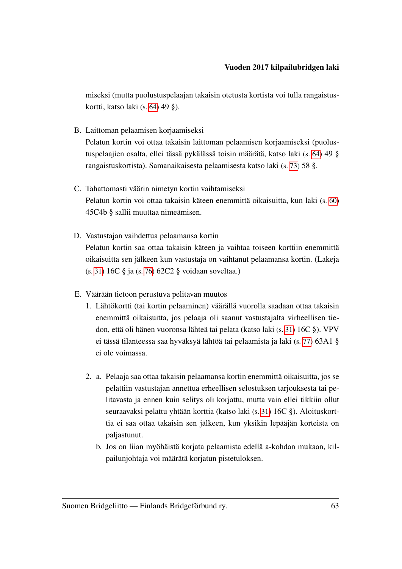miseksi (mutta puolustuspelaajan takaisin otetusta kortista voi tulla rangaistuskortti, katso laki (s. [64\)](#page-66-0) 49 §).

<span id="page-65-3"></span>B. Laittoman pelaamisen korjaamiseksi

Pelatun kortin voi ottaa takaisin laittoman pelaamisen korjaamiseksi (puolustuspelaajien osalta, ellei tässä pykälässä toisin määrätä, katso laki (s. [64\)](#page-66-0) 49 § rangaistuskortista). Samanaikaisesta pelaamisesta katso laki (s. [73\)](#page-75-0) 58 §.

- C. Tahattomasti väärin nimetyn kortin vaihtamiseksi Pelatun kortin voi ottaa takaisin käteen enemmittä oikaisuitta, kun laki (s. [60\)](#page-62-0) 45C4b § sallii muuttaa nimeämisen.
- <span id="page-65-1"></span>D. Vastustajan vaihdettua pelaamansa kortin Pelatun kortin saa ottaa takaisin käteen ja vaihtaa toiseen korttiin enemmittä oikaisuitta sen jälkeen kun vastustaja on vaihtanut pelaamansa kortin. (Lakeja (s. [31\)](#page-33-0) 16C § ja (s. [76\)](#page-78-0) 62C2 § voidaan soveltaa.)
- <span id="page-65-2"></span><span id="page-65-0"></span>E. Väärään tietoon perustuva pelitavan muutos
	- 1. Lähtökortti (tai kortin pelaaminen) väärällä vuorolla saadaan ottaa takaisin enemmittä oikaisuitta, jos pelaaja oli saanut vastustajalta virheellisen tiedon, että oli hänen vuoronsa lähteä tai pelata (katso laki (s. [31\)](#page-33-0) 16C §). VPV ei tässä tilanteessa saa hyväksyä lähtöä tai pelaamista ja laki (s. [77\)](#page-79-0) 63A1 § ei ole voimassa.
	- 2. a. Pelaaja saa ottaa takaisin pelaamansa kortin enemmittä oikaisuitta, jos se pelattiin vastustajan annettua erheellisen selostuksen tarjouksesta tai pelitavasta ja ennen kuin selitys oli korjattu, mutta vain ellei tikkiin ollut seuraavaksi pelattu yhtään korttia (katso laki (s. [31\)](#page-33-0) 16C §). Aloituskorttia ei saa ottaa takaisin sen jälkeen, kun yksikin lepääjän korteista on paljastunut.
		- b. Jos on liian myöhäistä korjata pelaamista edellä a-kohdan mukaan, kilpailunjohtaja voi määrätä korjatun pistetuloksen.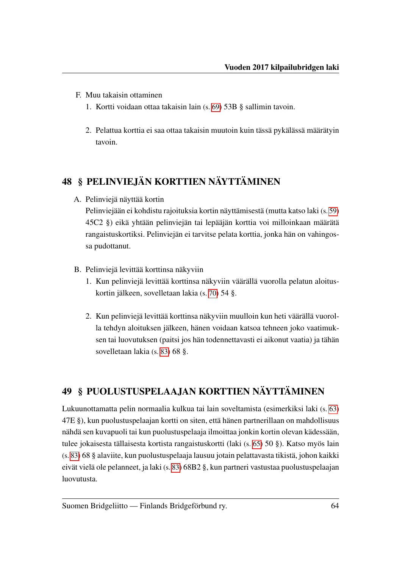- F. Muu takaisin ottaminen
	- 1. Kortti voidaan ottaa takaisin lain (s. [69\)](#page-71-1) 53B § sallimin tavoin.
	- 2. Pelattua korttia ei saa ottaa takaisin muutoin kuin tässä pykälässä määrätyin tavoin.

## 48 § PELINVIEJÄN KORTTIEN NÄYTTÄMINEN

A. Pelinviejä näyttää kortin

Pelinviejään ei kohdistu rajoituksia kortin näyttämisestä (mutta katso laki (s. [59\)](#page-61-2) 45C2 §) eikä yhtään pelinviejän tai lepääjän korttia voi milloinkaan määrätä rangaistuskortiksi. Pelinviejän ei tarvitse pelata korttia, jonka hän on vahingossa pudottanut.

- B. Pelinviejä levittää korttinsa näkyviin
	- 1. Kun pelinviejä levittää korttinsa näkyviin väärällä vuorolla pelatun aloituskortin jälkeen, sovelletaan lakia (s. [70\)](#page-72-0) 54 §.
	- 2. Kun pelinviejä levittää korttinsa näkyviin muulloin kun heti väärällä vuorolla tehdyn aloituksen jälkeen, hänen voidaan katsoa tehneen joko vaatimuksen tai luovutuksen (paitsi jos hän todennettavasti ei aikonut vaatia) ja tähän sovelletaan lakia (s. [83\)](#page-85-0) 68 §.

## <span id="page-66-0"></span>49 § PUOLUSTUSPELAAJAN KORTTIEN NÄYTTÄMINEN

Lukuunottamatta pelin normaalia kulkua tai lain soveltamista (esimerkiksi laki (s. [63\)](#page-65-0) 47E §), kun puolustuspelaajan kortti on siten, että hänen partnerillaan on mahdollisuus nähdä sen kuvapuoli tai kun puolustuspelaaja ilmoittaa jonkin kortin olevan kädessään, tulee jokaisesta tällaisesta kortista rangaistuskortti (laki (s. [65\)](#page-67-0) 50 §). Katso myös lain (s. [83\)](#page-85-0) 68 § alaviite, kun puolustuspelaaja lausuu jotain pelattavasta tikistä, johon kaikki eivät vielä ole pelanneet, ja laki (s. [83\)](#page-85-1) 68B2 §, kun partneri vastustaa puolustuspelaajan luovutusta.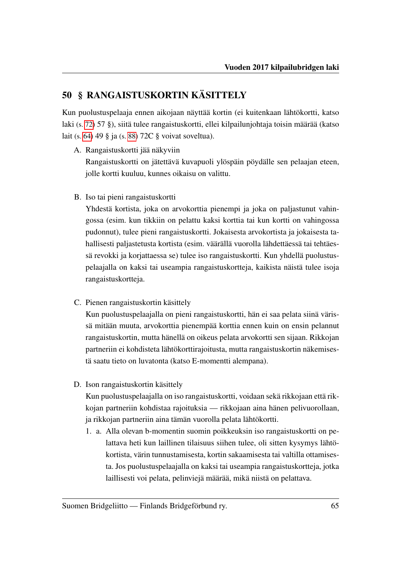## <span id="page-67-0"></span>50 § RANGAISTUSKORTIN KÄSITTELY

Kun puolustuspelaaja ennen aikojaan näyttää kortin (ei kuitenkaan lähtökortti, katso laki (s. [72\)](#page-74-1) 57 §), siitä tulee rangaistuskortti, ellei kilpailunjohtaja toisin määrää (katso lait (s. [64\)](#page-66-0) 49 § ja (s. [88\)](#page-90-0) 72C § voivat soveltua).

A. Rangaistuskortti jää näkyviin

Rangaistuskortti on jätettävä kuvapuoli ylöspäin pöydälle sen pelaajan eteen, jolle kortti kuuluu, kunnes oikaisu on valittu.

B. Iso tai pieni rangaistuskortti

Yhdestä kortista, joka on arvokorttia pienempi ja joka on paljastunut vahingossa (esim. kun tikkiin on pelattu kaksi korttia tai kun kortti on vahingossa pudonnut), tulee pieni rangaistuskortti. Jokaisesta arvokortista ja jokaisesta tahallisesti paljastetusta kortista (esim. väärällä vuorolla lähdettäessä tai tehtäessä revokki ja korjattaessa se) tulee iso rangaistuskortti. Kun yhdellä puolustuspelaajalla on kaksi tai useampia rangaistuskortteja, kaikista näistä tulee isoja rangaistuskortteja.

C. Pienen rangaistuskortin käsittely

Kun puolustuspelaajalla on pieni rangaistuskortti, hän ei saa pelata siinä värissä mitään muuta, arvokorttia pienempää korttia ennen kuin on ensin pelannut rangaistuskortin, mutta hänellä on oikeus pelata arvokortti sen sijaan. Rikkojan partneriin ei kohdisteta lähtökorttirajoitusta, mutta rangaistuskortin näkemisestä saatu tieto on luvatonta (katso E-momentti alempana).

D. Ison rangaistuskortin käsittely

Kun puolustuspelaajalla on iso rangaistuskortti, voidaan sekä rikkojaan että rikkojan partneriin kohdistaa rajoituksia — rikkojaan aina hänen pelivuorollaan, ja rikkojan partneriin aina tämän vuorolla pelata lähtökortti.

1. a. Alla olevan b-momentin suomin poikkeuksin iso rangaistuskortti on pelattava heti kun laillinen tilaisuus siihen tulee, oli sitten kysymys lähtökortista, värin tunnustamisesta, kortin sakaamisesta tai valtilla ottamisesta. Jos puolustuspelaajalla on kaksi tai useampia rangaistuskortteja, jotka laillisesti voi pelata, pelinviejä määrää, mikä niistä on pelattava.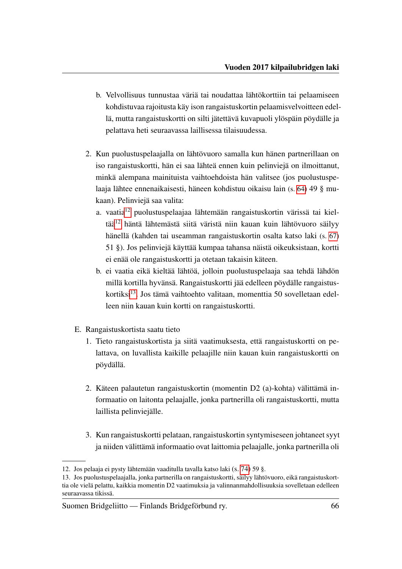- b. Velvollisuus tunnustaa väriä tai noudattaa lähtökorttiin tai pelaamiseen kohdistuvaa rajoitusta käy ison rangaistuskortin pelaamisvelvoitteen edellä, mutta rangaistuskortti on silti jätettävä kuvapuoli ylöspäin pöydälle ja pelattava heti seuraavassa laillisessa tilaisuudessa.
- <span id="page-68-2"></span>2. Kun puolustuspelaajalla on lähtövuoro samalla kun hänen partnerillaan on iso rangaistuskortti, hän ei saa lähteä ennen kuin pelinviejä on ilmoittanut, minkä alempana mainituista vaihtoehdoista hän valitsee (jos puolustuspelaaja lähtee ennenaikaisesti, häneen kohdistuu oikaisu lain (s. [64\)](#page-66-0) 49 § mukaan). Pelinviejä saa valita:
	- a. vaatia[12](#page-68-0) puolustuspelaajaa lähtemään rangaistuskortin värissä tai kieltää[12](#page-0-0) häntä lähtemästä siitä väristä niin kauan kuin lähtövuoro säilyy hänellä (kahden tai useamman rangaistuskortin osalta katso laki (s. [67\)](#page-69-0) 51 §). Jos pelinviejä käyttää kumpaa tahansa näistä oikeuksistaan, kortti ei enää ole rangaistuskortti ja otetaan takaisin käteen.
	- b. ei vaatia eikä kieltää lähtöä, jolloin puolustuspelaaja saa tehdä lähdön millä kortilla hyvänsä. Rangaistuskortti jää edelleen pöydälle rangaistus-kortiksi<sup>[13](#page-68-1)</sup>. Jos tämä vaihtoehto valitaan, momenttia 50 sovelletaan edelleen niin kauan kuin kortti on rangaistuskortti.
- E. Rangaistuskortista saatu tieto
	- 1. Tieto rangaistuskortista ja siitä vaatimuksesta, että rangaistuskortti on pelattava, on luvallista kaikille pelaajille niin kauan kuin rangaistuskortti on pöydällä.
	- 2. Käteen palautetun rangaistuskortin (momentin D2 (a)-kohta) välittämä informaatio on laitonta pelaajalle, jonka partnerilla oli rangaistuskortti, mutta laillista pelinviejälle.
	- 3. Kun rangaistuskortti pelataan, rangaistuskortin syntymiseseen johtaneet syyt ja niiden välittämä informaatio ovat laittomia pelaajalle, jonka partnerilla oli

<span id="page-68-0"></span><sup>12.</sup> Jos pelaaja ei pysty lähtemään vaaditulla tavalla katso laki (s. [74\)](#page-76-0) 59 §.

<span id="page-68-1"></span><sup>13.</sup> Jos puolustuspelaajalla, jonka partnerilla on rangaistuskortti, säilyy lähtövuoro, eikä rangaistuskorttia ole vielä pelattu, kaikkia momentin D2 vaatimuksia ja valinnanmahdollisuuksia sovelletaan edelleen seuraavassa tikissä.

Suomen Bridgeliitto — Finlands Bridgeförbund ry. 66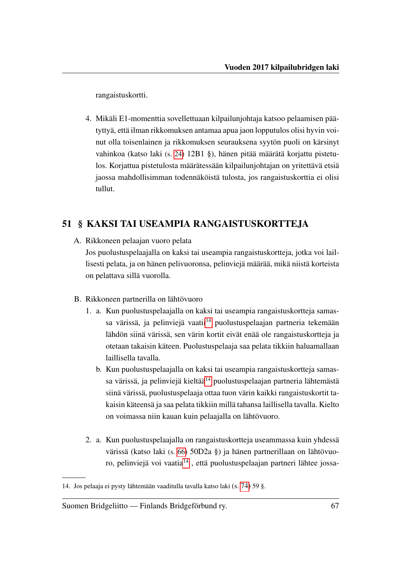rangaistuskortti.

4. Mikäli E1-momenttia sovellettuaan kilpailunjohtaja katsoo pelaamisen päätyttyä, että ilman rikkomuksen antamaa apua jaon lopputulos olisi hyvin voinut olla toisenlainen ja rikkomuksen seurauksena syytön puoli on kärsinyt vahinkoa (katso laki (s. [24\)](#page-26-2) 12B1 §), hänen pitää määrätä korjattu pistetulos. Korjattua pistetulosta määrätessään kilpailunjohtajan on yritettävä etsiä jaossa mahdollisimman todennäköistä tulosta, jos rangaistuskorttia ei olisi tullut.

#### <span id="page-69-0"></span>51 § KAKSI TAI USEAMPIA RANGAISTUSKORTTEJA

A. Rikkoneen pelaajan vuoro pelata

Jos puolustuspelaajalla on kaksi tai useampia rangaistuskortteja, jotka voi laillisesti pelata, ja on hänen pelivuoronsa, pelinviejä määrää, mikä niistä korteista on pelattava sillä vuorolla.

- B. Rikkoneen partnerilla on lähtövuoro
	- 1. a. Kun puolustuspelaajalla on kaksi tai useampia rangaistuskortteja samas-sa värissä, ja pelinviejä vaatii<sup>[14](#page-69-1)</sup> puolustuspelaajan partneria tekemään lähdön siinä värissä, sen värin kortit eivät enää ole rangaistuskortteja ja otetaan takaisin käteen. Puolustuspelaaja saa pelata tikkiin haluamallaan laillisella tavalla.
		- b. Kun puolustuspelaajalla on kaksi tai useampia rangaistuskortteja samas-sa värissä, ja pelinviejä kieltää<sup>[14](#page-0-0)</sup> puolustuspelaajan partneria lähtemästä siinä värissä, puolustuspelaaja ottaa tuon värin kaikki rangaistuskortit takaisin käteensä ja saa pelata tikkiin millä tahansa laillisella tavalla. Kielto on voimassa niin kauan kuin pelaajalla on lähtövuoro.
	- 2. a. Kun puolustuspelaajalla on rangaistuskortteja useammassa kuin yhdessä värissä (katso laki (s. [66\)](#page-68-2) 50D2a §) ja hänen partnerillaan on lähtövuo-ro, pelinviejä voi vaatia<sup>[14](#page-0-0)</sup>, että puolustuspelaajan partneri lähtee jossa-

<span id="page-69-1"></span><sup>14.</sup> Jos pelaaja ei pysty lähtemään vaaditulla tavalla katso laki (s. [74\)](#page-76-0) 59 §.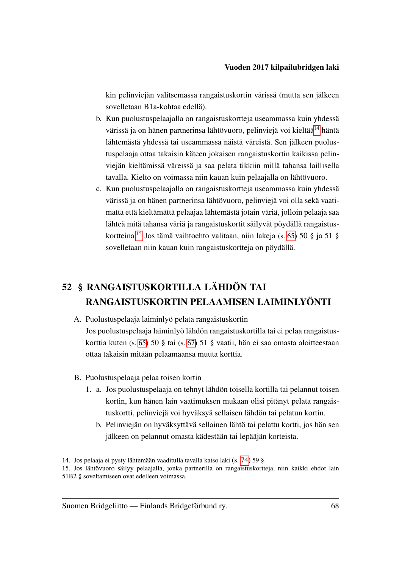kin pelinviejän valitsemassa rangaistuskortin värissä (mutta sen jälkeen sovelletaan B1a-kohtaa edellä).

- b. Kun puolustuspelaajalla on rangaistuskortteja useammassa kuin yhdessä värissä ja on hänen partnerinsa lähtövuoro, pelinviejä voi kieltää<sup>[14](#page-70-0)</sup> häntä lähtemästä yhdessä tai useammassa näistä väreistä. Sen jälkeen puolustuspelaaja ottaa takaisin käteen jokaisen rangaistuskortin kaikissa pelinviejän kieltämissä väreissä ja saa pelata tikkiin millä tahansa laillisella tavalla. Kielto on voimassa niin kauan kuin pelaajalla on lähtövuoro.
- c. Kun puolustuspelaajalla on rangaistuskortteja useammassa kuin yhdessä värissä ja on hänen partnerinsa lähtövuoro, pelinviejä voi olla sekä vaatimatta että kieltämättä pelaajaa lähtemästä jotain väriä, jolloin pelaaja saa lähteä mitä tahansa väriä ja rangaistuskortit säilyvät pöydällä rangaistuskortteina.[15](#page-70-1) Jos tämä vaihtoehto valitaan, niin lakeja (s. [65\)](#page-67-0) 50 § ja 51 § sovelletaan niin kauan kuin rangaistuskortteja on pöydällä.

# 52 § RANGAISTUSKORTILLA LÄHDÖN TAI RANGAISTUSKORTIN PELAAMISEN LAIMINLYÖNTI

- A. Puolustuspelaaja laiminlyö pelata rangaistuskortin Jos puolustuspelaaja laiminlyö lähdön rangaistuskortilla tai ei pelaa rangaistuskorttia kuten (s. [65\)](#page-67-0) 50 § tai (s. [67\)](#page-69-0) 51 § vaatii, hän ei saa omasta aloitteestaan ottaa takaisin mitään pelaamaansa muuta korttia.
- B. Puolustuspelaaja pelaa toisen kortin
	- 1. a. Jos puolustuspelaaja on tehnyt lähdön toisella kortilla tai pelannut toisen kortin, kun hänen lain vaatimuksen mukaan olisi pitänyt pelata rangaistuskortti, pelinviejä voi hyväksyä sellaisen lähdön tai pelatun kortin.
		- b. Pelinviejän on hyväksyttävä sellainen lähtö tai pelattu kortti, jos hän sen jälkeen on pelannut omasta kädestään tai lepääjän korteista.

<span id="page-70-0"></span><sup>14.</sup> Jos pelaaja ei pysty lähtemään vaaditulla tavalla katso laki (s. [74\)](#page-76-0) 59 §.

<span id="page-70-1"></span><sup>15.</sup> Jos lähtövuoro säilyy pelaajalla, jonka partnerilla on rangaistuskortteja, niin kaikki ehdot lain 51B2 § soveltamiseen ovat edelleen voimassa.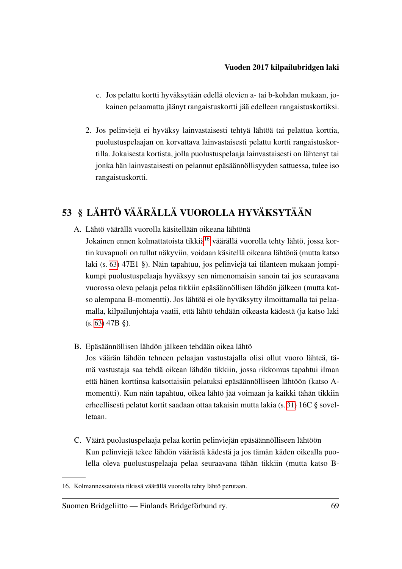- c. Jos pelattu kortti hyväksytään edellä olevien a- tai b-kohdan mukaan, jokainen pelaamatta jäänyt rangaistuskortti jää edelleen rangaistuskortiksi.
- 2. Jos pelinviejä ei hyväksy lainvastaisesti tehtyä lähtöä tai pelattua korttia, puolustuspelaajan on korvattava lainvastaisesti pelattu kortti rangaistuskortilla. Jokaisesta kortista, jolla puolustuspelaaja lainvastaisesti on lähtenyt tai jonka hän lainvastaisesti on pelannut epäsäännöllisyyden sattuessa, tulee iso rangaistuskortti.

## <span id="page-71-0"></span>53 § LÄHTÖ VÄÄRÄLLÄ VUOROLLA HYVÄKSYTÄÄN

- A. Lähtö väärällä vuorolla käsitellään oikeana lähtönä Jokainen ennen kolmattatoista tikkiä<sup>[16](#page-71-2)</sup> väärällä vuorolla tehty lähtö, jossa kortin kuvapuoli on tullut näkyviin, voidaan käsitellä oikeana lähtönä (mutta katso laki (s. [63\)](#page-65-2) 47E1 §). Näin tapahtuu, jos pelinviejä tai tilanteen mukaan jompikumpi puolustuspelaaja hyväksyy sen nimenomaisin sanoin tai jos seuraavana vuorossa oleva pelaaja pelaa tikkiin epäsäännöllisen lähdön jälkeen (mutta katso alempana B-momentti). Jos lähtöä ei ole hyväksytty ilmoittamalla tai pelaamalla, kilpailunjohtaja vaatii, että lähtö tehdään oikeasta kädestä (ja katso laki (s. [63\)](#page-65-3) 47B §).
- <span id="page-71-1"></span>B. Epäsäännöllisen lähdön jälkeen tehdään oikea lähtö

Jos väärän lähdön tehneen pelaajan vastustajalla olisi ollut vuoro lähteä, tämä vastustaja saa tehdä oikean lähdön tikkiin, jossa rikkomus tapahtui ilman että hänen korttinsa katsottaisiin pelatuksi epäsäännölliseen lähtöön (katso Amomentti). Kun näin tapahtuu, oikea lähtö jää voimaan ja kaikki tähän tikkiin erheellisesti pelatut kortit saadaan ottaa takaisin mutta lakia (s. [31\)](#page-33-0) 16C § sovelletaan.

C. Väärä puolustuspelaaja pelaa kortin pelinviejän epäsäännölliseen lähtöön Kun pelinviejä tekee lähdön väärästä kädestä ja jos tämän käden oikealla puolella oleva puolustuspelaaja pelaa seuraavana tähän tikkiin (mutta katso B-

<span id="page-71-2"></span><sup>16.</sup> Kolmannessatoista tikissä väärällä vuorolla tehty lähtö perutaan.

Suomen Bridgeliitto — Finlands Bridgeförbund ry. 69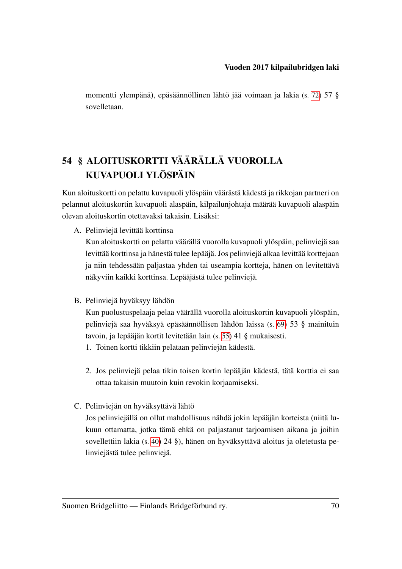momentti ylempänä), epäsäännöllinen lähtö jää voimaan ja lakia (s. [72\)](#page-74-0) 57 § sovelletaan.

# <span id="page-72-0"></span>54 § ALOITUSKORTTI VÄÄRÄLLÄ VUOROLLA KUVAPUOLI YLÖSPÄIN

Kun aloituskortti on pelattu kuvapuoli ylöspäin väärästä kädestä ja rikkojan partneri on pelannut aloituskortin kuvapuoli alaspäin, kilpailunjohtaja määrää kuvapuoli alaspäin olevan aloituskortin otettavaksi takaisin. Lisäksi:

A. Pelinviejä levittää korttinsa

Kun aloituskortti on pelattu väärällä vuorolla kuvapuoli ylöspäin, pelinviejä saa levittää korttinsa ja hänestä tulee lepääjä. Jos pelinviejä alkaa levittää korttejaan ja niin tehdessään paljastaa yhden tai useampia kortteja, hänen on levitettävä näkyviin kaikki korttinsa. Lepääjästä tulee pelinviejä.

B. Pelinviejä hyväksyy lähdön

Kun puolustuspelaaja pelaa väärällä vuorolla aloituskortin kuvapuoli ylöspäin, pelinviejä saa hyväksyä epäsäännöllisen lähdön laissa (s. [69\)](#page-71-0) 53 § mainituin tavoin, ja lepääjän kortit levitetään lain (s. [55\)](#page-57-0) 41 § mukaisesti.

- 1. Toinen kortti tikkiin pelataan pelinviejän kädestä.
- 2. Jos pelinviejä pelaa tikin toisen kortin lepääjän kädestä, tätä korttia ei saa ottaa takaisin muutoin kuin revokin korjaamiseksi.
- C. Pelinviejän on hyväksyttävä lähtö

Jos pelinviejällä on ollut mahdollisuus nähdä jokin lepääjän korteista (niitä lukuun ottamatta, jotka tämä ehkä on paljastanut tarjoamisen aikana ja joihin sovellettiin lakia (s. [40\)](#page-42-0) 24 §), hänen on hyväksyttävä aloitus ja oletetusta pelinviejästä tulee pelinviejä.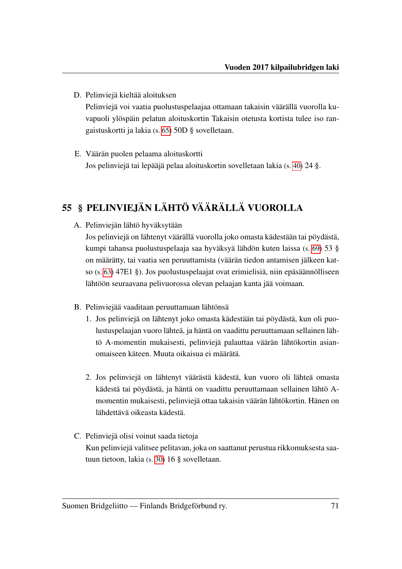D. Pelinviejä kieltää aloituksen

Pelinviejä voi vaatia puolustuspelaajaa ottamaan takaisin väärällä vuorolla kuvapuoli ylöspäin pelatun aloituskortin Takaisin otetusta kortista tulee iso rangaistuskortti ja lakia (s. [65\)](#page-67-0) 50D § sovelletaan.

E. Väärän puolen pelaama aloituskortti Jos pelinviejä tai lepääjä pelaa aloituskortin sovelletaan lakia (s. [40\)](#page-42-0) 24 §.

## 55 § PELINVIEJÄN LÄHTÖ VÄÄRÄLLÄ VUOROLLA

A. Pelinviejän lähtö hyväksytään

Jos pelinviejä on lähtenyt väärällä vuorolla joko omasta kädestään tai pöydästä, kumpi tahansa puolustuspelaaja saa hyväksyä lähdön kuten laissa (s. [69\)](#page-71-0) 53 § on määrätty, tai vaatia sen peruuttamista (väärän tiedon antamisen jälkeen katso (s. [63\)](#page-65-0) 47E1 §). Jos puolustuspelaajat ovat erimielisiä, niin epäsäännölliseen lähtöön seuraavana pelivuorossa olevan pelaajan kanta jää voimaan.

- B. Pelinviejää vaaditaan peruuttamaan lähtönsä
	- 1. Jos pelinviejä on lähtenyt joko omasta kädestään tai pöydästä, kun oli puolustuspelaajan vuoro lähteä, ja häntä on vaadittu peruuttamaan sellainen lähtö A-momentin mukaisesti, pelinviejä palauttaa väärän lähtökortin asianomaiseen käteen. Muuta oikaisua ei määrätä.
	- 2. Jos pelinviejä on lähtenyt väärästä kädestä, kun vuoro oli lähteä omasta kädestä tai pöydästä, ja häntä on vaadittu peruuttamaan sellainen lähtö Amomentin mukaisesti, pelinviejä ottaa takaisin väärän lähtökortin. Hänen on lähdettävä oikeasta kädestä.
- C. Pelinviejä olisi voinut saada tietoja

Kun pelinviejä valitsee pelitavan, joka on saattanut perustua rikkomuksesta saatuun tietoon, lakia (s. [30\)](#page-32-0) 16 § sovelletaan.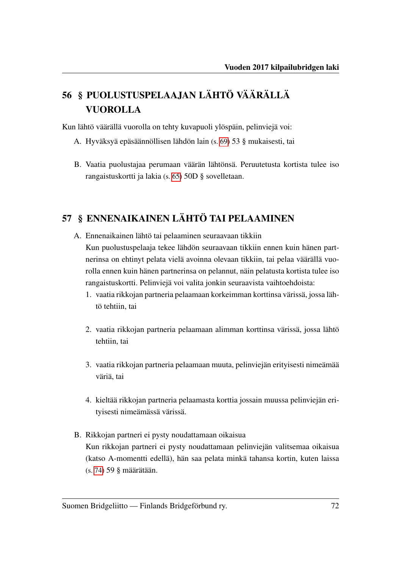# 56 § PUOLUSTUSPELAAJAN LÄHTÖ VÄÄRÄLLÄ VUOROLLA

Kun lähtö väärällä vuorolla on tehty kuvapuoli ylöspäin, pelinviejä voi:

- A. Hyväksyä epäsäännöllisen lähdön lain (s. [69\)](#page-71-0) 53 § mukaisesti, tai
- B. Vaatia puolustajaa perumaan väärän lähtönsä. Peruutetusta kortista tulee iso rangaistuskortti ja lakia (s. [65\)](#page-67-0) 50D § sovelletaan.

## <span id="page-74-0"></span>57 § ENNENAIKAINEN LÄHTÖ TAI PELAAMINEN

- <span id="page-74-1"></span>A. Ennenaikainen lähtö tai pelaaminen seuraavaan tikkiin Kun puolustuspelaaja tekee lähdön seuraavaan tikkiin ennen kuin hänen partnerinsa on ehtinyt pelata vielä avoinna olevaan tikkiin, tai pelaa väärällä vuorolla ennen kuin hänen partnerinsa on pelannut, näin pelatusta kortista tulee iso rangaistuskortti. Pelinviejä voi valita jonkin seuraavista vaihtoehdoista:
	- 1. vaatia rikkojan partneria pelaamaan korkeimman korttinsa värissä, jossa lähtö tehtiin, tai
	- 2. vaatia rikkojan partneria pelaamaan alimman korttinsa värissä, jossa lähtö tehtiin, tai
	- 3. vaatia rikkojan partneria pelaamaan muuta, pelinviejän erityisesti nimeämää väriä, tai
	- 4. kieltää rikkojan partneria pelaamasta korttia jossain muussa pelinviejän erityisesti nimeämässä värissä.
- B. Rikkojan partneri ei pysty noudattamaan oikaisua Kun rikkojan partneri ei pysty noudattamaan pelinviejän valitsemaa oikaisua (katso A-momentti edellä), hän saa pelata minkä tahansa kortin, kuten laissa (s. [74\)](#page-76-0) 59 § määrätään.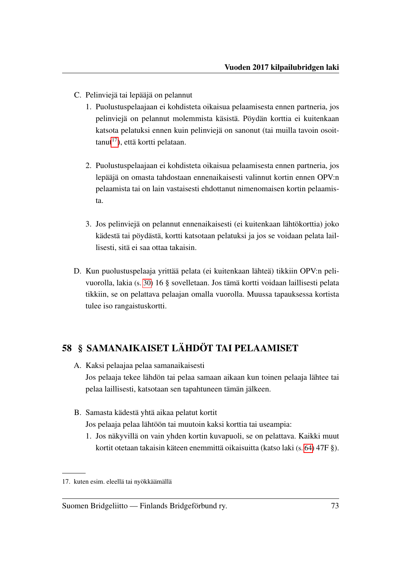- C. Pelinviejä tai lepääjä on pelannut
	- 1. Puolustuspelaajaan ei kohdisteta oikaisua pelaamisesta ennen partneria, jos pelinviejä on pelannut molemmista käsistä. Pöydän korttia ei kuitenkaan katsota pelatuksi ennen kuin pelinviejä on sanonut (tai muilla tavoin osoit $t$ tanut<sup>[17](#page-75-0)</sup>), että kortti pelataan.
	- 2. Puolustuspelaajaan ei kohdisteta oikaisua pelaamisesta ennen partneria, jos lepääjä on omasta tahdostaan ennenaikaisesti valinnut kortin ennen OPV:n pelaamista tai on lain vastaisesti ehdottanut nimenomaisen kortin pelaamista.
	- 3. Jos pelinviejä on pelannut ennenaikaisesti (ei kuitenkaan lähtökorttia) joko kädestä tai pöydästä, kortti katsotaan pelatuksi ja jos se voidaan pelata laillisesti, sitä ei saa ottaa takaisin.
- D. Kun puolustuspelaaja yrittää pelata (ei kuitenkaan lähteä) tikkiin OPV:n pelivuorolla, lakia (s. [30\)](#page-32-0) 16 § sovelletaan. Jos tämä kortti voidaan laillisesti pelata tikkiin, se on pelattava pelaajan omalla vuorolla. Muussa tapauksessa kortista tulee iso rangaistuskortti.

## 58 § SAMANAIKAISET LÄHDÖT TAI PELAAMISET

- A. Kaksi pelaajaa pelaa samanaikaisesti Jos pelaaja tekee lähdön tai pelaa samaan aikaan kun toinen pelaaja lähtee tai pelaa laillisesti, katsotaan sen tapahtuneen tämän jälkeen.
- <span id="page-75-1"></span>B. Samasta kädestä yhtä aikaa pelatut kortit Jos pelaaja pelaa lähtöön tai muutoin kaksi korttia tai useampia:
	- 1. Jos näkyvillä on vain yhden kortin kuvapuoli, se on pelattava. Kaikki muut kortit otetaan takaisin käteen enemmittä oikaisuitta (katso laki (s. [64\)](#page-66-0) 47F §).

<span id="page-75-0"></span><sup>17.</sup> kuten esim. eleellä tai nyökkäämällä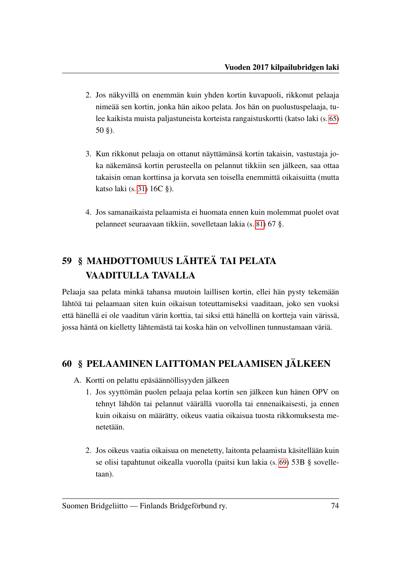- 2. Jos näkyvillä on enemmän kuin yhden kortin kuvapuoli, rikkonut pelaaja nimeää sen kortin, jonka hän aikoo pelata. Jos hän on puolustuspelaaja, tulee kaikista muista paljastuneista korteista rangaistuskortti (katso laki (s. [65\)](#page-67-1) 50 §).
- 3. Kun rikkonut pelaaja on ottanut näyttämänsä kortin takaisin, vastustaja joka näkemänsä kortin perusteella on pelannut tikkiin sen jälkeen, saa ottaa takaisin oman korttinsa ja korvata sen toisella enemmittä oikaisuitta (mutta katso laki (s. [31\)](#page-33-0) 16C §).
- 4. Jos samanaikaista pelaamista ei huomata ennen kuin molemmat puolet ovat pelanneet seuraavaan tikkiin, sovelletaan lakia (s. [81\)](#page-83-0) 67 §.

# <span id="page-76-0"></span>59 § MAHDOTTOMUUS LÄHTEÄ TAI PELATA VAADITULLA TAVALLA

Pelaaja saa pelata minkä tahansa muutoin laillisen kortin, ellei hän pysty tekemään lähtöä tai pelaamaan siten kuin oikaisun toteuttamiseksi vaaditaan, joko sen vuoksi että hänellä ei ole vaaditun värin korttia, tai siksi että hänellä on kortteja vain värissä, jossa häntä on kielletty lähtemästä tai koska hän on velvollinen tunnustamaan väriä.

## 60 § PELAAMINEN LAITTOMAN PELAAMISEN JÄLKEEN

- A. Kortti on pelattu epäsäännöllisyyden jälkeen
	- 1. Jos syyttömän puolen pelaaja pelaa kortin sen jälkeen kun hänen OPV on tehnyt lähdön tai pelannut väärällä vuorolla tai ennenaikaisesti, ja ennen kuin oikaisu on määrätty, oikeus vaatia oikaisua tuosta rikkomuksesta menetetään.
	- 2. Jos oikeus vaatia oikaisua on menetetty, laitonta pelaamista käsitellään kuin se olisi tapahtunut oikealla vuorolla (paitsi kun lakia (s. [69\)](#page-71-1) 53B § sovelletaan).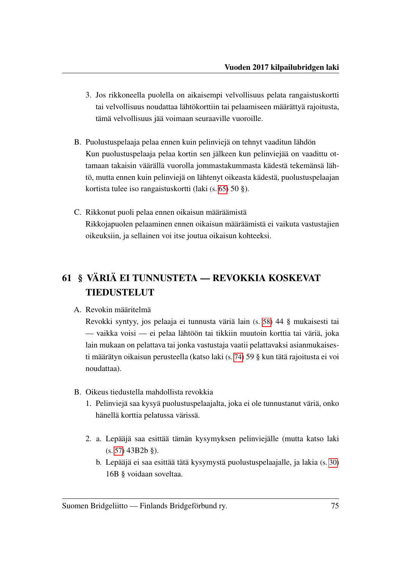- 3. Jos rikkoneella puolella on aikaisempi velvollisuus pelata rangaistuskortti tai velvollisuus noudattaa lähtökorttiin tai pelaamiseen määrättyä rajoitusta, tämä velvollisuus jää voimaan seuraaville vuoroille.
- B. Puolustuspelaaja pelaa ennen kuin pelinviejä on tehnyt vaaditun lähdön Kun puolustuspelaaja pelaa kortin sen jälkeen kun pelinviejää on vaadittu ottamaan takaisin väärällä vuorolla jommastakummasta kädestä tekemänsä lähtö, mutta ennen kuin pelinviejä on lähtenyt oikeasta kädestä, puolustuspelaajan kortista tulee iso rangaistuskortti (laki (s. [65\)](#page-67-1) 50 §).
- C. Rikkonut puoli pelaa ennen oikaisun määräämistä Rikkojapuolen pelaaminen ennen oikaisun määräämistä ei vaikuta vastustajien oikeuksiin, ja sellainen voi itse joutua oikaisun kohteeksi.

## 61 § VÄRIÄ EI TUNNUSTETA — REVOKKIA KOSKEVAT TIEDUSTELUT

#### A. Revokin määritelmä

Revokki syntyy, jos pelaaja ei tunnusta väriä lain (s. [58\)](#page-60-0) 44 § mukaisesti tai — vaikka voisi — ei pelaa lähtöön tai tikkiin muutoin korttia tai väriä, joka lain mukaan on pelattava tai jonka vastustaja vaatii pelattavaksi asianmukaisesti määrätyn oikaisun perusteella (katso laki (s. [74\)](#page-76-0) 59 § kun tätä rajoitusta ei voi noudattaa).

- B. Oikeus tiedustella mahdollista revokkia
	- 1. Pelinviejä saa kysyä puolustuspelaajalta, joka ei ole tunnustanut väriä, onko hänellä korttia pelatussa värissä.
	- 2. a. Lepääjä saa esittää tämän kysymyksen pelinviejälle (mutta katso laki (s. [57\)](#page-59-0) 43B2b §).
		- b. Lepääjä ei saa esittää tätä kysymystä puolustuspelaajalle, ja lakia (s. [30\)](#page-32-1) 16B § voidaan soveltaa.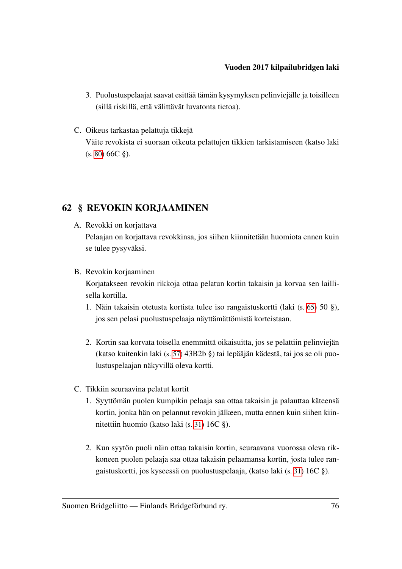- 3. Puolustuspelaajat saavat esittää tämän kysymyksen pelinviejälle ja toisilleen (sillä riskillä, että välittävät luvatonta tietoa).
- C. Oikeus tarkastaa pelattuja tikkejä Väite revokista ei suoraan oikeuta pelattujen tikkien tarkistamiseen (katso laki  $(s. 80) 66C \$  $(s. 80) 66C \$  $(s. 80) 66C \$ .

## 62 § REVOKIN KORJAAMINEN

- <span id="page-78-0"></span>A. Revokki on korjattava Pelaajan on korjattava revokkinsa, jos siihen kiinnitetään huomiota ennen kuin se tulee pysyväksi.
- B. Revokin korjaaminen Korjatakseen revokin rikkoja ottaa pelatun kortin takaisin ja korvaa sen laillisella kortilla.
	- 1. Näin takaisin otetusta kortista tulee iso rangaistuskortti (laki (s. [65\)](#page-67-1) 50 §), jos sen pelasi puolustuspelaaja näyttämättömistä korteistaan.
	- 2. Kortin saa korvata toisella enemmittä oikaisuitta, jos se pelattiin pelinviejän (katso kuitenkin laki (s. [57\)](#page-59-0) 43B2b §) tai lepääjän kädestä, tai jos se oli puolustuspelaajan näkyvillä oleva kortti.
- C. Tikkiin seuraavina pelatut kortit
	- 1. Syyttömän puolen kumpikin pelaaja saa ottaa takaisin ja palauttaa käteensä kortin, jonka hän on pelannut revokin jälkeen, mutta ennen kuin siihen kiinnitettiin huomio (katso laki (s. [31\)](#page-33-0) 16C §).
	- 2. Kun syytön puoli näin ottaa takaisin kortin, seuraavana vuorossa oleva rikkoneen puolen pelaaja saa ottaa takaisin pelaamansa kortin, josta tulee rangaistuskortti, jos kyseessä on puolustuspelaaja, (katso laki (s. [31\)](#page-33-0) 16C §).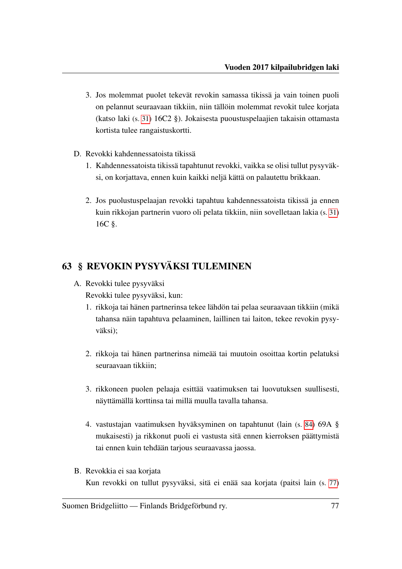- <span id="page-79-1"></span>3. Jos molemmat puolet tekevät revokin samassa tikissä ja vain toinen puoli on pelannut seuraavaan tikkiin, niin tällöin molemmat revokit tulee korjata (katso laki (s. [31\)](#page-33-1) 16C2 §). Jokaisesta puoustuspelaajien takaisin ottamasta kortista tulee rangaistuskortti.
- <span id="page-79-0"></span>D. Revokki kahdennessatoista tikissä
	- 1. Kahdennessatoista tikissä tapahtunut revokki, vaikka se olisi tullut pysyväksi, on korjattava, ennen kuin kaikki neljä kättä on palautettu brikkaan.
	- 2. Jos puolustuspelaajan revokki tapahtuu kahdennessatoista tikissä ja ennen kuin rikkojan partnerin vuoro oli pelata tikkiin, niin sovelletaan lakia (s. [31\)](#page-33-0) 16C §.

## 63 § REVOKIN PYSYVÄKSI TULEMINEN

A. Revokki tulee pysyväksi

Revokki tulee pysyväksi, kun:

- 1. rikkoja tai hänen partnerinsa tekee lähdön tai pelaa seuraavaan tikkiin (mikä tahansa näin tapahtuva pelaaminen, laillinen tai laiton, tekee revokin pysyväksi);
- 2. rikkoja tai hänen partnerinsa nimeää tai muutoin osoittaa kortin pelatuksi seuraavaan tikkiin;
- 3. rikkoneen puolen pelaaja esittää vaatimuksen tai luovutuksen suullisesti, näyttämällä korttinsa tai millä muulla tavalla tahansa.
- 4. vastustajan vaatimuksen hyväksyminen on tapahtunut (lain (s. [84\)](#page-86-0) 69A § mukaisesti) ja rikkonut puoli ei vastusta sitä ennen kierroksen päättymistä tai ennen kuin tehdään tarjous seuraavassa jaossa.
- B. Revokkia ei saa korjata Kun revokki on tullut pysyväksi, sitä ei enää saa korjata (paitsi lain (s. [77\)](#page-79-0)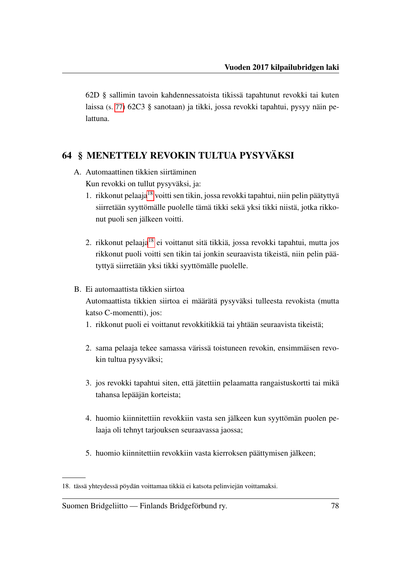62D § sallimin tavoin kahdennessatoista tikissä tapahtunut revokki tai kuten laissa (s. [77\)](#page-79-1) 62C3 § sanotaan) ja tikki, jossa revokki tapahtui, pysyy näin pelattuna.

## 64 § MENETTELY REVOKIN TULTUA PYSYVÄKSI

- A. Automaattinen tikkien siirtäminen Kun revokki on tullut pysyväksi, ja:
	- 1. rikkonut pelaaja[18](#page-80-0) voitti sen tikin, jossa revokki tapahtui, niin pelin päätyttyä siirretään syyttömälle puolelle tämä tikki sekä yksi tikki niistä, jotka rikkonut puoli sen jälkeen voitti.
	- 2. rikkonut pelaaja<sup>[18](#page-0-0)</sup> ei voittanut sitä tikkiä, jossa revokki tapahtui, mutta jos rikkonut puoli voitti sen tikin tai jonkin seuraavista tikeistä, niin pelin päätyttyä siirretään yksi tikki syyttömälle puolelle.
- <span id="page-80-1"></span>B. Ei automaattista tikkien siirtoa

Automaattista tikkien siirtoa ei määrätä pysyväksi tulleesta revokista (mutta katso C-momentti), jos:

- 1. rikkonut puoli ei voittanut revokkitikkiä tai yhtään seuraavista tikeistä;
- 2. sama pelaaja tekee samassa värissä toistuneen revokin, ensimmäisen revokin tultua pysyväksi;
- 3. jos revokki tapahtui siten, että jätettiin pelaamatta rangaistuskortti tai mikä tahansa lepääjän korteista;
- 4. huomio kiinnitettiin revokkiin vasta sen jälkeen kun syyttömän puolen pelaaja oli tehnyt tarjouksen seuraavassa jaossa;
- 5. huomio kiinnitettiin revokkiin vasta kierroksen päättymisen jälkeen;

<span id="page-80-0"></span><sup>18.</sup> tässä yhteydessä pöydän voittamaa tikkiä ei katsota pelinviejän voittamaksi.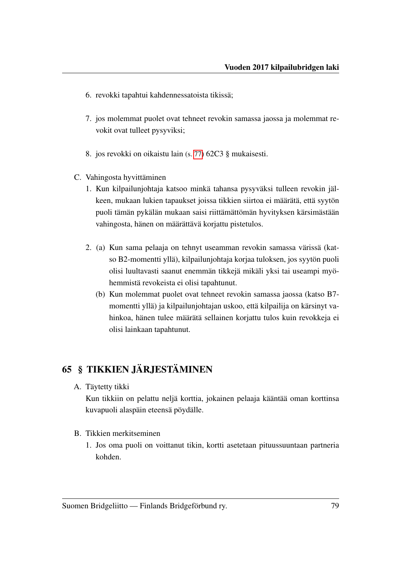- 6. revokki tapahtui kahdennessatoista tikissä;
- 7. jos molemmat puolet ovat tehneet revokin samassa jaossa ja molemmat revokit ovat tulleet pysyviksi;
- 8. jos revokki on oikaistu lain (s. [77\)](#page-79-1) 62C3 § mukaisesti.
- C. Vahingosta hyvittäminen
	- 1. Kun kilpailunjohtaja katsoo minkä tahansa pysyväksi tulleen revokin jälkeen, mukaan lukien tapaukset joissa tikkien siirtoa ei määrätä, että syytön puoli tämän pykälän mukaan saisi riittämättömän hyvityksen kärsimästään vahingosta, hänen on määrättävä korjattu pistetulos.
	- 2. (a) Kun sama pelaaja on tehnyt useamman revokin samassa värissä (katso B2-momentti yllä), kilpailunjohtaja korjaa tuloksen, jos syytön puoli olisi luultavasti saanut enemmän tikkejä mikäli yksi tai useampi myöhemmistä revokeista ei olisi tapahtunut.
		- (b) Kun molemmat puolet ovat tehneet revokin samassa jaossa (katso B7 momentti yllä) ja kilpailunjohtajan uskoo, että kilpailija on kärsinyt vahinkoa, hänen tulee määrätä sellainen korjattu tulos kuin revokkeja ei olisi lainkaan tapahtunut.

## 65 § TIKKIEN JÄRJESTÄMINEN

A. Täytetty tikki

Kun tikkiin on pelattu neljä korttia, jokainen pelaaja kääntää oman korttinsa kuvapuoli alaspäin eteensä pöydälle.

- B. Tikkien merkitseminen
	- 1. Jos oma puoli on voittanut tikin, kortti asetetaan pituussuuntaan partneria kohden.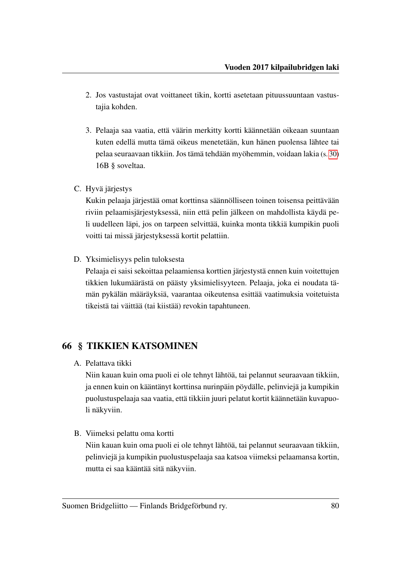- 2. Jos vastustajat ovat voittaneet tikin, kortti asetetaan pituussuuntaan vastustajia kohden.
- 3. Pelaaja saa vaatia, että väärin merkitty kortti käännetään oikeaan suuntaan kuten edellä mutta tämä oikeus menetetään, kun hänen puolensa lähtee tai pelaa seuraavaan tikkiin. Jos tämä tehdään myöhemmin, voidaan lakia (s. [30\)](#page-32-1) 16B § soveltaa.
- C. Hyvä järjestys

Kukin pelaaja järjestää omat korttinsa säännölliseen toinen toisensa peittävään riviin pelaamisjärjestyksessä, niin että pelin jälkeen on mahdollista käydä peli uudelleen läpi, jos on tarpeen selvittää, kuinka monta tikkiä kumpikin puoli voitti tai missä järjestyksessä kortit pelattiin.

D. Yksimielisyys pelin tuloksesta

Pelaaja ei saisi sekoittaa pelaamiensa korttien järjestystä ennen kuin voitettujen tikkien lukumäärästä on päästy yksimielisyyteen. Pelaaja, joka ei noudata tämän pykälän määräyksiä, vaarantaa oikeutensa esittää vaatimuksia voitetuista tikeistä tai väittää (tai kiistää) revokin tapahtuneen.

## <span id="page-82-0"></span>66 § TIKKIEN KATSOMINEN

A. Pelattava tikki

Niin kauan kuin oma puoli ei ole tehnyt lähtöä, tai pelannut seuraavaan tikkiin, ja ennen kuin on kääntänyt korttinsa nurinpäin pöydälle, pelinviejä ja kumpikin puolustuspelaaja saa vaatia, että tikkiin juuri pelatut kortit käännetään kuvapuoli näkyviin.

B. Viimeksi pelattu oma kortti

Niin kauan kuin oma puoli ei ole tehnyt lähtöä, tai pelannut seuraavaan tikkiin, pelinviejä ja kumpikin puolustuspelaaja saa katsoa viimeksi pelaamansa kortin, mutta ei saa kääntää sitä näkyviin.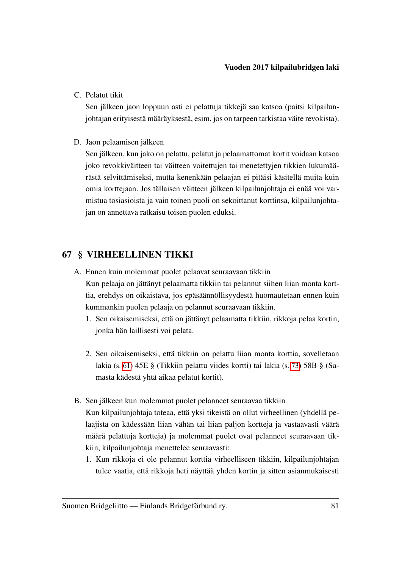C. Pelatut tikit

Sen jälkeen jaon loppuun asti ei pelattuja tikkejä saa katsoa (paitsi kilpailunjohtajan erityisestä määräyksestä, esim. jos on tarpeen tarkistaa väite revokista).

D. Jaon pelaamisen jälkeen

Sen jälkeen, kun jako on pelattu, pelatut ja pelaamattomat kortit voidaan katsoa joko revokkiväitteen tai väitteen voitettujen tai menetettyjen tikkien lukumäärästä selvittämiseksi, mutta kenenkään pelaajan ei pitäisi käsitellä muita kuin omia korttejaan. Jos tällaisen väitteen jälkeen kilpailunjohtaja ei enää voi varmistua tosiasioista ja vain toinen puoli on sekoittanut korttinsa, kilpailunjohtajan on annettava ratkaisu toisen puolen eduksi.

### <span id="page-83-0"></span>67 § VIRHEELLINEN TIKKI

- A. Ennen kuin molemmat puolet pelaavat seuraavaan tikkiin Kun pelaaja on jättänyt pelaamatta tikkiin tai pelannut siihen liian monta korttia, erehdys on oikaistava, jos epäsäännöllisyydestä huomautetaan ennen kuin kummankin puolen pelaaja on pelannut seuraavaan tikkiin.
	- 1. Sen oikaisemiseksi, että on jättänyt pelaamatta tikkiin, rikkoja pelaa kortin, jonka hän laillisesti voi pelata.
	- 2. Sen oikaisemiseksi, että tikkiin on pelattu liian monta korttia, sovelletaan lakia (s. [61\)](#page-63-0) 45E § (Tikkiin pelattu viides kortti) tai lakia (s. [73\)](#page-75-1) 58B § (Samasta kädestä yhtä aikaa pelatut kortit).
- B. Sen jälkeen kun molemmat puolet pelanneet seuraavaa tikkiin Kun kilpailunjohtaja toteaa, että yksi tikeistä on ollut virheellinen (yhdellä pelaajista on kädessään liian vähän tai liian paljon kortteja ja vastaavasti väärä määrä pelattuja kortteja) ja molemmat puolet ovat pelanneet seuraavaan tikkiin, kilpailunjohtaja menettelee seuraavasti:
	- 1. Kun rikkoja ei ole pelannut korttia virheelliseen tikkiin, kilpailunjohtajan tulee vaatia, että rikkoja heti näyttää yhden kortin ja sitten asianmukaisesti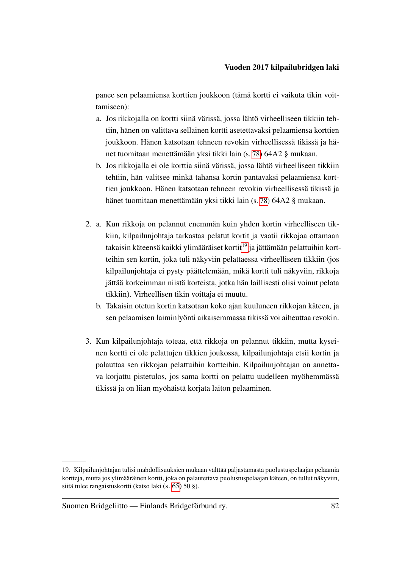panee sen pelaamiensa korttien joukkoon (tämä kortti ei vaikuta tikin voittamiseen):

- a. Jos rikkojalla on kortti siinä värissä, jossa lähtö virheelliseen tikkiin tehtiin, hänen on valittava sellainen kortti asetettavaksi pelaamiensa korttien joukkoon. Hänen katsotaan tehneen revokin virheellisessä tikissä ja hänet tuomitaan menettämään yksi tikki lain (s. [78\)](#page-80-1) 64A2 § mukaan.
- b. Jos rikkojalla ei ole korttia siinä värissä, jossa lähtö virheelliseen tikkiin tehtiin, hän valitsee minkä tahansa kortin pantavaksi pelaamiensa korttien joukkoon. Hänen katsotaan tehneen revokin virheellisessä tikissä ja hänet tuomitaan menettämään yksi tikki lain (s. [78\)](#page-80-1) 64A2 § mukaan.
- 2. a. Kun rikkoja on pelannut enemmän kuin yhden kortin virheelliseen tikkiin, kilpailunjohtaja tarkastaa pelatut kortit ja vaatii rikkojaa ottamaan takaisin käteensä kaikki ylimääräiset kortit<sup>[19](#page-84-0)</sup> ja jättämään pelattuihin kortteihin sen kortin, joka tuli näkyviin pelattaessa virheelliseen tikkiin (jos kilpailunjohtaja ei pysty päättelemään, mikä kortti tuli näkyviin, rikkoja jättää korkeimman niistä korteista, jotka hän laillisesti olisi voinut pelata tikkiin). Virheellisen tikin voittaja ei muutu.
	- b. Takaisin otetun kortin katsotaan koko ajan kuuluneen rikkojan käteen, ja sen pelaamisen laiminlyönti aikaisemmassa tikissä voi aiheuttaa revokin.
- 3. Kun kilpailunjohtaja toteaa, että rikkoja on pelannut tikkiin, mutta kyseinen kortti ei ole pelattujen tikkien joukossa, kilpailunjohtaja etsii kortin ja palauttaa sen rikkojan pelattuihin kortteihin. Kilpailunjohtajan on annettava korjattu pistetulos, jos sama kortti on pelattu uudelleen myöhemmässä tikissä ja on liian myöhäistä korjata laiton pelaaminen.

<span id="page-84-0"></span><sup>19.</sup> Kilpailunjohtajan tulisi mahdollisuuksien mukaan välttää paljastamasta puolustuspelaajan pelaamia kortteja, mutta jos ylimääräinen kortti, joka on palautettava puolustuspelaajan käteen, on tullut näkyviin, siitä tulee rangaistuskortti (katso laki (s. [65\)](#page-67-1) 50 §).

Suomen Bridgeliitto — Finlands Bridgeförbund ry. 82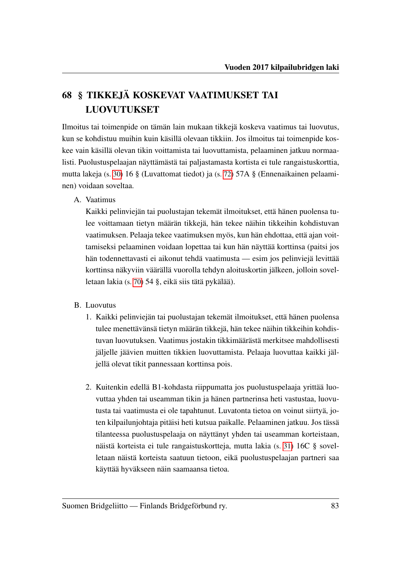# 68 § TIKKEJÄ KOSKEVAT VAATIMUKSET TAI LUOVUTUKSET

Ilmoitus tai toimenpide on tämän lain mukaan tikkejä koskeva vaatimus tai luovutus, kun se kohdistuu muihin kuin käsillä olevaan tikkiin. Jos ilmoitus tai toimenpide koskee vain käsillä olevan tikin voittamista tai luovuttamista, pelaaminen jatkuu normaalisti. Puolustuspelaajan näyttämästä tai paljastamasta kortista ei tule rangaistuskorttia, mutta lakeja (s. [30\)](#page-32-0) 16 § (Luvattomat tiedot) ja (s. [72\)](#page-74-1) 57A § (Ennenaikainen pelaaminen) voidaan soveltaa.

### A. Vaatimus

Kaikki pelinviejän tai puolustajan tekemät ilmoitukset, että hänen puolensa tulee voittamaan tietyn määrän tikkejä, hän tekee näihin tikkeihin kohdistuvan vaatimuksen. Pelaaja tekee vaatimuksen myös, kun hän ehdottaa, että ajan voittamiseksi pelaaminen voidaan lopettaa tai kun hän näyttää korttinsa (paitsi jos hän todennettavasti ei aikonut tehdä vaatimusta — esim jos pelinviejä levittää korttinsa näkyviin väärällä vuorolla tehdyn aloituskortin jälkeen, jolloin sovelletaan lakia (s. [70\)](#page-72-0) 54 §, eikä siis tätä pykälää).

- B. Luovutus
	- 1. Kaikki pelinviejän tai puolustajan tekemät ilmoitukset, että hänen puolensa tulee menettävänsä tietyn määrän tikkejä, hän tekee näihin tikkeihin kohdistuvan luovutuksen. Vaatimus jostakin tikkimäärästä merkitsee mahdollisesti jäljelle jäävien muitten tikkien luovuttamista. Pelaaja luovuttaa kaikki jäljellä olevat tikit pannessaan korttinsa pois.
	- 2. Kuitenkin edellä B1-kohdasta riippumatta jos puolustuspelaaja yrittää luovuttaa yhden tai useamman tikin ja hänen partnerinsa heti vastustaa, luovutusta tai vaatimusta ei ole tapahtunut. Luvatonta tietoa on voinut siirtyä, joten kilpailunjohtaja pitäisi heti kutsua paikalle. Pelaaminen jatkuu. Jos tässä tilanteessa puolustuspelaaja on näyttänyt yhden tai useamman korteistaan, näistä korteista ei tule rangaistuskortteja, mutta lakia (s. [31\)](#page-33-0) 16C § sovelletaan näistä korteista saatuun tietoon, eikä puolustuspelaajan partneri saa käyttää hyväkseen näin saamaansa tietoa.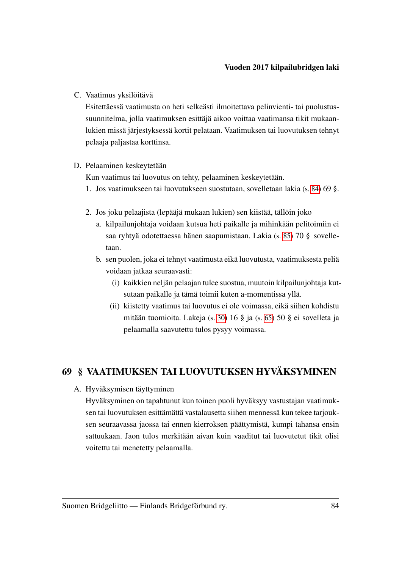C. Vaatimus yksilöitävä

Esitettäessä vaatimusta on heti selkeästi ilmoitettava pelinvienti- tai puolustussuunnitelma, jolla vaatimuksen esittäjä aikoo voittaa vaatimansa tikit mukaanlukien missä järjestyksessä kortit pelataan. Vaatimuksen tai luovutuksen tehnyt pelaaja paljastaa korttinsa.

#### D. Pelaaminen keskeytetään

Kun vaatimus tai luovutus on tehty, pelaaminen keskeytetään.

- 1. Jos vaatimukseen tai luovutukseen suostutaan, sovelletaan lakia (s. [84\)](#page-86-1) 69 §.
- 2. Jos joku pelaajista (lepääjä mukaan lukien) sen kiistää, tällöin joko
	- a. kilpailunjohtaja voidaan kutsua heti paikalle ja mihinkään pelitoimiin ei saa ryhtyä odotettaessa hänen saapumistaan. Lakia (s. [85\)](#page-87-0) 70 § sovelletaan.
	- b. sen puolen, joka ei tehnyt vaatimusta eikä luovutusta, vaatimuksesta peliä voidaan jatkaa seuraavasti:
		- (i) kaikkien neljän pelaajan tulee suostua, muutoin kilpailunjohtaja kutsutaan paikalle ja tämä toimii kuten a-momentissa yllä.
		- (ii) kiistetty vaatimus tai luovutus ei ole voimassa, eikä siihen kohdistu mitään tuomioita. Lakeja (s. [30\)](#page-32-0) 16 § ja (s. [65\)](#page-67-1) 50 § ei sovelleta ja pelaamalla saavutettu tulos pysyy voimassa.

## <span id="page-86-1"></span>69 § VAATIMUKSEN TAI LUOVUTUKSEN HYVÄKSYMINEN

<span id="page-86-0"></span>A. Hyväksymisen täyttyminen

Hyväksyminen on tapahtunut kun toinen puoli hyväksyy vastustajan vaatimuksen tai luovutuksen esittämättä vastalausetta siihen mennessä kun tekee tarjouksen seuraavassa jaossa tai ennen kierroksen päättymistä, kumpi tahansa ensin sattuukaan. Jaon tulos merkitään aivan kuin vaaditut tai luovutetut tikit olisi voitettu tai menetetty pelaamalla.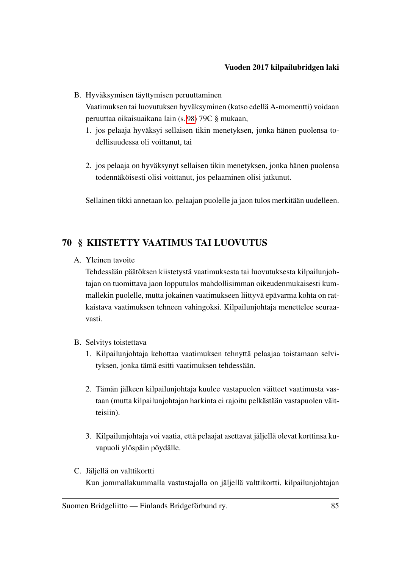- <span id="page-87-1"></span>B. Hyväksymisen täyttymisen peruuttaminen Vaatimuksen tai luovutuksen hyväksyminen (katso edellä A-momentti) voidaan peruuttaa oikaisuaikana lain (s. [98\)](#page-100-0) 79C § mukaan,
	- 1. jos pelaaja hyväksyi sellaisen tikin menetyksen, jonka hänen puolensa todellisuudessa oli voittanut, tai
	- 2. jos pelaaja on hyväksynyt sellaisen tikin menetyksen, jonka hänen puolensa todennäköisesti olisi voittanut, jos pelaaminen olisi jatkunut.

Sellainen tikki annetaan ko. pelaajan puolelle ja jaon tulos merkitään uudelleen.

## <span id="page-87-0"></span>70 § KIISTETTY VAATIMUS TAI LUOVUTUS

A. Yleinen tavoite

Tehdessään päätöksen kiistetystä vaatimuksesta tai luovutuksesta kilpailunjohtajan on tuomittava jaon lopputulos mahdollisimman oikeudenmukaisesti kummallekin puolelle, mutta jokainen vaatimukseen liittyvä epävarma kohta on ratkaistava vaatimuksen tehneen vahingoksi. Kilpailunjohtaja menettelee seuraavasti.

- B. Selvitys toistettava
	- 1. Kilpailunjohtaja kehottaa vaatimuksen tehnyttä pelaajaa toistamaan selvityksen, jonka tämä esitti vaatimuksen tehdessään.
	- 2. Tämän jälkeen kilpailunjohtaja kuulee vastapuolen väitteet vaatimusta vastaan (mutta kilpailunjohtajan harkinta ei rajoitu pelkästään vastapuolen väitteisiin).
	- 3. Kilpailunjohtaja voi vaatia, että pelaajat asettavat jäljellä olevat korttinsa kuvapuoli ylöspäin pöydälle.
- C. Jäljellä on valttikortti Kun jommallakummalla vastustajalla on jäljellä valttikortti, kilpailunjohtajan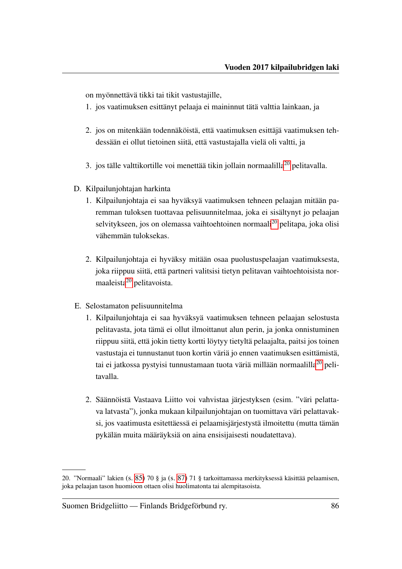on myönnettävä tikki tai tikit vastustajille,

- 1. jos vaatimuksen esittänyt pelaaja ei maininnut tätä valttia lainkaan, ja
- 2. jos on mitenkään todennäköistä, että vaatimuksen esittäjä vaatimuksen tehdessään ei ollut tietoinen siitä, että vastustajalla vielä oli valtti, ja
- 3. jos tälle valttikortille voi menettää tikin jollain normaalilla<sup>[20](#page-88-0)</sup> pelitavalla.
- D. Kilpailunjohtajan harkinta
	- 1. Kilpailunjohtaja ei saa hyväksyä vaatimuksen tehneen pelaajan mitään paremman tuloksen tuottavaa pelisuunnitelmaa, joka ei sisältynyt jo pelaajan selvitykseen, jos on olemassa vaihtoehtoinen normaali<sup>[20](#page-0-0)</sup> pelitapa, joka olisi vähemmän tuloksekas.
	- 2. Kilpailunjohtaja ei hyväksy mitään osaa puolustuspelaajan vaatimuksesta, joka riippuu siitä, että partneri valitsisi tietyn pelitavan vaihtoehtoisista nor-maaleista<sup>[20](#page-0-0)</sup> pelitavoista.
- E. Selostamaton pelisuunnitelma
	- 1. Kilpailunjohtaja ei saa hyväksyä vaatimuksen tehneen pelaajan selostusta pelitavasta, jota tämä ei ollut ilmoittanut alun perin, ja jonka onnistuminen riippuu siitä, että jokin tietty kortti löytyy tietyltä pelaajalta, paitsi jos toinen vastustaja ei tunnustanut tuon kortin väriä jo ennen vaatimuksen esittämistä, tai ei jatkossa pystyisi tunnustamaan tuota väriä millään normaalilla<sup>[20](#page-0-0)</sup> pelitavalla.
	- 2. Säännöistä Vastaava Liitto voi vahvistaa järjestyksen (esim. "väri pelattava latvasta"), jonka mukaan kilpailunjohtajan on tuomittava väri pelattavaksi, jos vaatimusta esitettäessä ei pelaamisjärjestystä ilmoitettu (mutta tämän pykälän muita määräyksiä on aina ensisijaisesti noudatettava).

<span id="page-88-0"></span><sup>20. &</sup>quot;Normaali" lakien (s. [85\)](#page-87-0) 70 § ja (s. [87\)](#page-89-0) 71 § tarkoittamassa merkityksessä käsittää pelaamisen, joka pelaajan tason huomioon ottaen olisi huolimatonta tai alempitasoista.

Suomen Bridgeliitto — Finlands Bridgeförbund ry. 86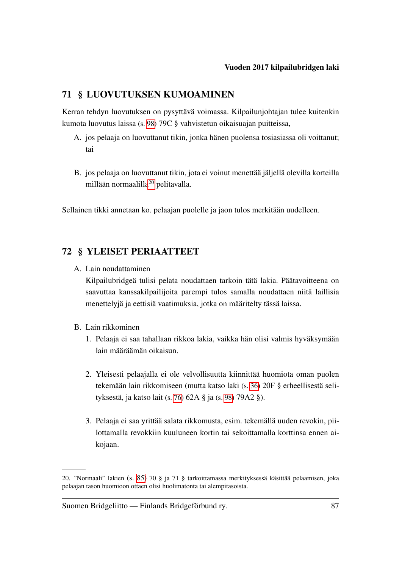### <span id="page-89-0"></span>71 § LUOVUTUKSEN KUMOAMINEN

Kerran tehdyn luovutuksen on pysyttävä voimassa. Kilpailunjohtajan tulee kuitenkin kumota luovutus laissa (s. [98\)](#page-100-1) 79C § vahvistetun oikaisuajan puitteissa,

- A. jos pelaaja on luovuttanut tikin, jonka hänen puolensa tosiasiassa oli voittanut; tai
- B. jos pelaaja on luovuttanut tikin, jota ei voinut menettää jäljellä olevilla korteilla millään normaalilla[20](#page-89-1) pelitavalla.

Sellainen tikki annetaan ko. pelaajan puolelle ja jaon tulos merkitään uudelleen.

### 72 § YLEISET PERIAATTEET

A. Lain noudattaminen

Kilpailubridgeä tulisi pelata noudattaen tarkoin tätä lakia. Päätavoitteena on saavuttaa kanssakilpailijoita parempi tulos samalla noudattaen niitä laillisia menettelyjä ja eettisiä vaatimuksia, jotka on määritelty tässä laissa.

- B. Lain rikkominen
	- 1. Pelaaja ei saa tahallaan rikkoa lakia, vaikka hän olisi valmis hyväksymään lain määräämän oikaisun.
	- 2. Yleisesti pelaajalla ei ole velvollisuutta kiinnittää huomiota oman puolen tekemään lain rikkomiseen (mutta katso laki (s. [36\)](#page-38-0) 20F § erheellisestä selityksestä, ja katso lait (s. [76\)](#page-78-0) 62A § ja (s. [98\)](#page-100-2) 79A2 §).
	- 3. Pelaaja ei saa yrittää salata rikkomusta, esim. tekemällä uuden revokin, piilottamalla revokkiin kuuluneen kortin tai sekoittamalla korttinsa ennen aikojaan.

<span id="page-89-1"></span><sup>20. &</sup>quot;Normaali" lakien (s. [85\)](#page-87-0) 70 § ja 71 § tarkoittamassa merkityksessä käsittää pelaamisen, joka pelaajan tason huomioon ottaen olisi huolimatonta tai alempitasoista.

Suomen Bridgeliitto — Finlands Bridgeförbund ry. 87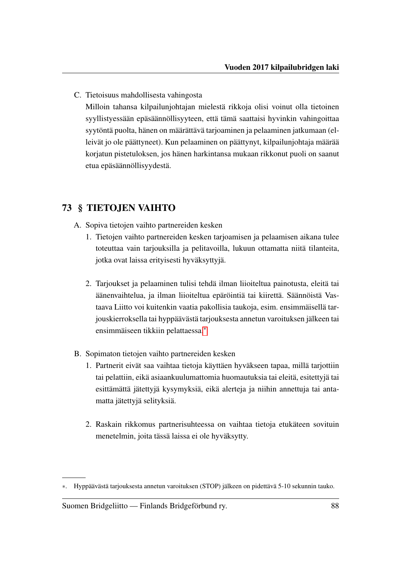C. Tietoisuus mahdollisesta vahingosta

Milloin tahansa kilpailunjohtajan mielestä rikkoja olisi voinut olla tietoinen syyllistyessään epäsäännöllisyyteen, että tämä saattaisi hyvinkin vahingoittaa syytöntä puolta, hänen on määrättävä tarjoaminen ja pelaaminen jatkumaan (elleivät jo ole päättyneet). Kun pelaaminen on päättynyt, kilpailunjohtaja määrää korjatun pistetuloksen, jos hänen harkintansa mukaan rikkonut puoli on saanut etua epäsäännöllisyydestä.

## 73 § TIETOJEN VAIHTO

- A. Sopiva tietojen vaihto partnereiden kesken
	- 1. Tietojen vaihto partnereiden kesken tarjoamisen ja pelaamisen aikana tulee toteuttaa vain tarjouksilla ja pelitavoilla, lukuun ottamatta niitä tilanteita, jotka ovat laissa erityisesti hyväksyttyjä.
	- 2. Tarjoukset ja pelaaminen tulisi tehdä ilman liioiteltua painotusta, eleitä tai äänenvaihtelua, ja ilman liioiteltua epäröintiä tai kiirettä. Säännöistä Vastaava Liitto voi kuitenkin vaatia pakollisia taukoja, esim. ensimmäisellä tarjouskierroksella tai hyppäävästä tarjouksesta annetun varoituksen jälkeen tai ensimmäiseen tikkiin pelattaessa.[∗](#page-90-0)
- B. Sopimaton tietojen vaihto partnereiden kesken
	- 1. Partnerit eivät saa vaihtaa tietoja käyttäen hyväkseen tapaa, millä tarjottiin tai pelattiin, eikä asiaankuulumattomia huomautuksia tai eleitä, esitettyjä tai esittämättä jätettyjä kysymyksiä, eikä alerteja ja niihin annettuja tai antamatta jätettyjä selityksiä.
	- 2. Raskain rikkomus partnerisuhteessa on vaihtaa tietoja etukäteen sovituin menetelmin, joita tässä laissa ei ole hyväksytty.

<span id="page-90-0"></span><sup>∗</sup>. Hyppäävästä tarjouksesta annetun varoituksen (STOP) jälkeen on pidettävä 5-10 sekunnin tauko.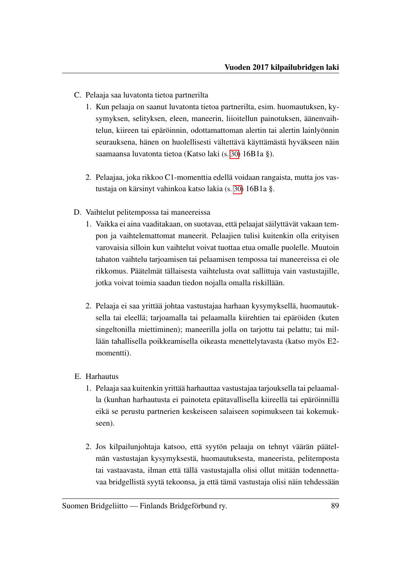- <span id="page-91-1"></span>C. Pelaaja saa luvatonta tietoa partnerilta
	- 1. Kun pelaaja on saanut luvatonta tietoa partnerilta, esim. huomautuksen, kysymyksen, selityksen, eleen, maneerin, liioitellun painotuksen, äänenvaihtelun, kiireen tai epäröinnin, odottamattoman alertin tai alertin lainlyönnin seurauksena, hänen on huolellisesti vältettävä käyttämästä hyväkseen näin saamaansa luvatonta tietoa (Katso laki (s. [30\)](#page-32-2) 16B1a §).
	- 2. Pelaajaa, joka rikkoo C1-momenttia edellä voidaan rangaista, mutta jos vastustaja on kärsinyt vahinkoa katso lakia (s. [30\)](#page-32-2) 16B1a §.
- D. Vaihtelut pelitempossa tai maneereissa
	- 1. Vaikka ei aina vaaditakaan, on suotavaa, että pelaajat säilyttävät vakaan tempon ja vaihtelemattomat maneerit. Pelaajien tulisi kuitenkin olla erityisen varovaisia silloin kun vaihtelut voivat tuottaa etua omalle puolelle. Muutoin tahaton vaihtelu tarjoamisen tai pelaamisen tempossa tai maneereissa ei ole rikkomus. Päätelmät tällaisesta vaihtelusta ovat sallittuja vain vastustajille, jotka voivat toimia saadun tiedon nojalla omalla riskillään.
	- 2. Pelaaja ei saa yrittää johtaa vastustajaa harhaan kysymyksellä, huomautuksella tai eleellä; tarjoamalla tai pelaamalla kiirehtien tai epäröiden (kuten singeltonilla miettiminen); maneerilla jolla on tarjottu tai pelattu; tai millään tahallisella poikkeamisella oikeasta menettelytavasta (katso myös E2 momentti).
- <span id="page-91-0"></span>E. Harhautus
	- 1. Pelaaja saa kuitenkin yrittää harhauttaa vastustajaa tarjouksella tai pelaamalla (kunhan harhautusta ei painoteta epätavallisella kiireellä tai epäröinnillä eikä se perustu partnerien keskeiseen salaiseen sopimukseen tai kokemukseen).
	- 2. Jos kilpailunjohtaja katsoo, että syytön pelaaja on tehnyt väärän päätelmän vastustajan kysymyksestä, huomautuksesta, maneerista, pelitemposta tai vastaavasta, ilman että tällä vastustajalla olisi ollut mitään todennettavaa bridgellistä syytä tekoonsa, ja että tämä vastustaja olisi näin tehdessään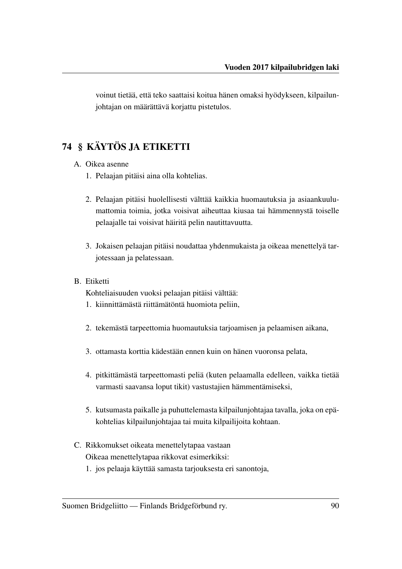voinut tietää, että teko saattaisi koitua hänen omaksi hyödykseen, kilpailunjohtajan on määrättävä korjattu pistetulos.

## 74 § KÄYTÖS JA ETIKETTI

- A. Oikea asenne
	- 1. Pelaajan pitäisi aina olla kohtelias.
	- 2. Pelaajan pitäisi huolellisesti välttää kaikkia huomautuksia ja asiaankuulumattomia toimia, jotka voisivat aiheuttaa kiusaa tai hämmennystä toiselle pelaajalle tai voisivat häiritä pelin nautittavuutta.
	- 3. Jokaisen pelaajan pitäisi noudattaa yhdenmukaista ja oikeaa menettelyä tarjotessaan ja pelatessaan.
- B. Etiketti

Kohteliaisuuden vuoksi pelaajan pitäisi välttää:

- 1. kiinnittämästä riittämätöntä huomiota peliin,
- 2. tekemästä tarpeettomia huomautuksia tarjoamisen ja pelaamisen aikana,
- 3. ottamasta korttia kädestään ennen kuin on hänen vuoronsa pelata,
- 4. pitkittämästä tarpeettomasti peliä (kuten pelaamalla edelleen, vaikka tietää varmasti saavansa loput tikit) vastustajien hämmentämiseksi,
- 5. kutsumasta paikalle ja puhuttelemasta kilpailunjohtajaa tavalla, joka on epäkohtelias kilpailunjohtajaa tai muita kilpailijoita kohtaan.
- C. Rikkomukset oikeata menettelytapaa vastaan Oikeaa menettelytapaa rikkovat esimerkiksi:
	- 1. jos pelaaja käyttää samasta tarjouksesta eri sanontoja,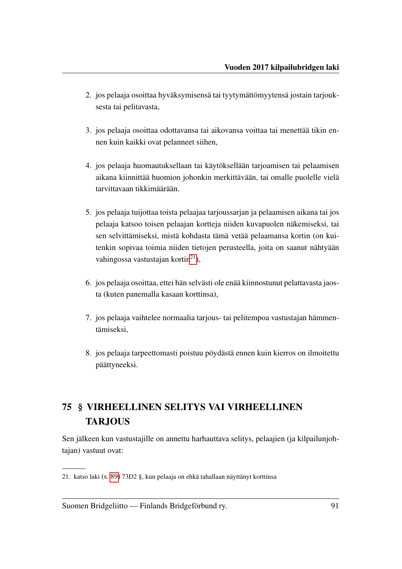- 2. jos pelaaja osoittaa hyväksymisensä tai tyytymättömyytensä jostain tarjouksesta tai pelitavasta,
- 3. jos pelaaja osoittaa odottavansa tai aikovansa voittaa tai menettää tikin ennen kuin kaikki ovat pelanneet siihen,
- 4. jos pelaaja huomautuksellaan tai käytöksellään tarjoamisen tai pelaamisen aikana kiinnittää huomion johonkin merkittävään, tai omalle puolelle vielä tarvittavaan tikkimäärään.
- 5. jos pelaaja tuijottaa toista pelaajaa tarjoussarjan ja pelaamisen aikana tai jos pelaaja katsoo toisen pelaajan kortteja niiden kuvapuolen näkemiseksi, tai sen selvittämiseksi, mistä kohdasta tämä vetää pelaamansa kortin (on kuitenkin sopivaa toimia niiden tietojen perusteella, joita on saanut nähtyään vahingossa vastustajan kortin $^{21}$  $^{21}$  $^{21}$ ),
- 6. jos pelaaja osoittaa, ettei hän selvästi ole enää kiinnostunut pelattavasta jaosta (kuten panemalla kasaan korttinsa),
- 7. jos pelaaja vaihtelee normaalia tarjous- tai pelitempoa vastustajan hämmentämiseksi,
- 8. jos pelaaja tarpeettomasti poistuu pöydästä ennen kuin kierros on ilmoitettu päättyneeksi.

# 75 § VIRHEELLINEN SELITYS VAI VIRHEELLINEN TARJOUS

Sen jälkeen kun vastustajille on annettu harhauttava selitys, pelaajien (ja kilpailunjohtajan) vastuut ovat:

<span id="page-93-0"></span><sup>21.</sup> katso laki (s. [89\)](#page-91-0) 73D2 §, kun pelaaja on ehkä tahallaan näyttänyt korttinsa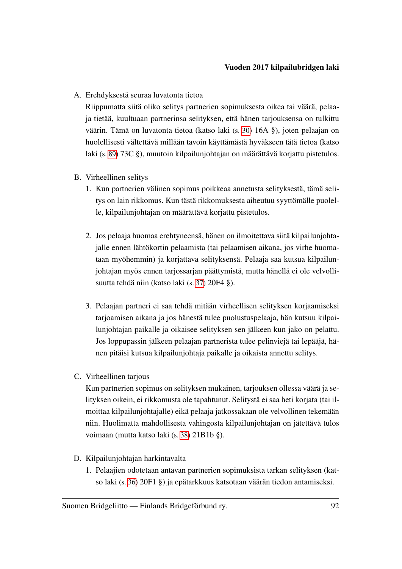A. Erehdyksestä seuraa luvatonta tietoa

Riippumatta siitä oliko selitys partnerien sopimuksesta oikea tai väärä, pelaaja tietää, kuultuaan partnerinsa selityksen, että hänen tarjouksensa on tulkittu väärin. Tämä on luvatonta tietoa (katso laki (s. [30\)](#page-32-3) 16A §), joten pelaajan on huolellisesti vältettävä millään tavoin käyttämästä hyväkseen tätä tietoa (katso laki (s. [89\)](#page-91-1) 73C §), muutoin kilpailunjohtajan on määrättävä korjattu pistetulos.

- B. Virheellinen selitys
	- 1. Kun partnerien välinen sopimus poikkeaa annetusta selityksestä, tämä selitys on lain rikkomus. Kun tästä rikkomuksesta aiheutuu syyttömälle puolelle, kilpailunjohtajan on määrättävä korjattu pistetulos.
	- 2. Jos pelaaja huomaa erehtyneensä, hänen on ilmoitettava siitä kilpailunjohtajalle ennen lähtökortin pelaamista (tai pelaamisen aikana, jos virhe huomataan myöhemmin) ja korjattava selityksensä. Pelaaja saa kutsua kilpailunjohtajan myös ennen tarjossarjan päättymistä, mutta hänellä ei ole velvollisuutta tehdä niin (katso laki (s. [37\)](#page-39-0) 20F4 §).
	- 3. Pelaajan partneri ei saa tehdä mitään virheellisen selityksen korjaamiseksi tarjoamisen aikana ja jos hänestä tulee puolustuspelaaja, hän kutsuu kilpailunjohtajan paikalle ja oikaisee selityksen sen jälkeen kun jako on pelattu. Jos loppupassin jälkeen pelaajan partnerista tulee pelinviejä tai lepääjä, hänen pitäisi kutsua kilpailunjohtaja paikalle ja oikaista annettu selitys.
- C. Virheellinen tarjous

Kun partnerien sopimus on selityksen mukainen, tarjouksen ollessa väärä ja selityksen oikein, ei rikkomusta ole tapahtunut. Selitystä ei saa heti korjata (tai ilmoittaa kilpailunjohtajalle) eikä pelaaja jatkossakaan ole velvollinen tekemään niin. Huolimatta mahdollisesta vahingosta kilpailunjohtajan on jätettävä tulos voimaan (mutta katso laki (s. [38\)](#page-40-0) 21B1b §).

- D. Kilpailunjohtajan harkintavalta
	- 1. Pelaajien odotetaan antavan partnerien sopimuksista tarkan selityksen (katso laki (s. [36\)](#page-38-1) 20F1 §) ja epätarkkuus katsotaan väärän tiedon antamiseksi.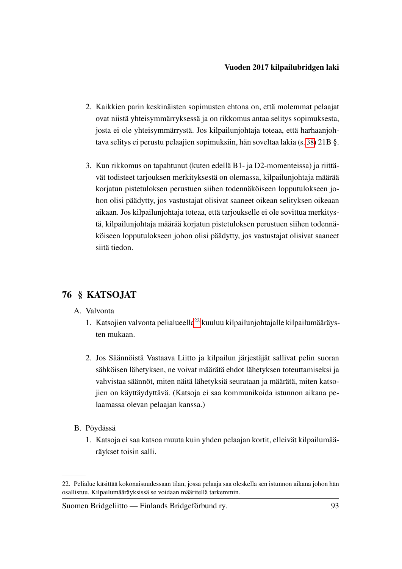- 2. Kaikkien parin keskinäisten sopimusten ehtona on, että molemmat pelaajat ovat niistä yhteisymmärryksessä ja on rikkomus antaa selitys sopimuksesta, josta ei ole yhteisymmärrystä. Jos kilpailunjohtaja toteaa, että harhaanjohtava selitys ei perustu pelaajien sopimuksiin, hän soveltaa lakia (s. [38\)](#page-40-1) 21B §.
- 3. Kun rikkomus on tapahtunut (kuten edellä B1- ja D2-momenteissa) ja riittävät todisteet tarjouksen merkityksestä on olemassa, kilpailunjohtaja määrää korjatun pistetuloksen perustuen siihen todennäköiseen lopputulokseen johon olisi päädytty, jos vastustajat olisivat saaneet oikean selityksen oikeaan aikaan. Jos kilpailunjohtaja toteaa, että tarjoukselle ei ole sovittua merkitystä, kilpailunjohtaja määrää korjatun pistetuloksen perustuen siihen todennäköiseen lopputulokseen johon olisi päädytty, jos vastustajat olisivat saaneet siitä tiedon.

## 76 § KATSOJAT

- A. Valvonta
	- 1. Katsojien valvonta pelialueella<sup>[22](#page-95-0)</sup> kuuluu kilpailunjohtajalle kilpailumääräysten mukaan.
	- 2. Jos Säännöistä Vastaava Liitto ja kilpailun järjestäjät sallivat pelin suoran sähköisen lähetyksen, ne voivat määrätä ehdot lähetyksen toteuttamiseksi ja vahvistaa säännöt, miten näitä lähetyksiä seurataan ja määrätä, miten katsojien on käyttäydyttävä. (Katsoja ei saa kommunikoida istunnon aikana pelaamassa olevan pelaajan kanssa.)
- B. Pöydässä
	- 1. Katsoja ei saa katsoa muuta kuin yhden pelaajan kortit, elleivät kilpailumääräykset toisin salli.

<span id="page-95-0"></span><sup>22.</sup> Pelialue käsittää kokonaisuudessaan tilan, jossa pelaaja saa oleskella sen istunnon aikana johon hän osallistuu. Kilpailumääräyksissä se voidaan määritellä tarkemmin.

Suomen Bridgeliitto — Finlands Bridgeförbund ry. 93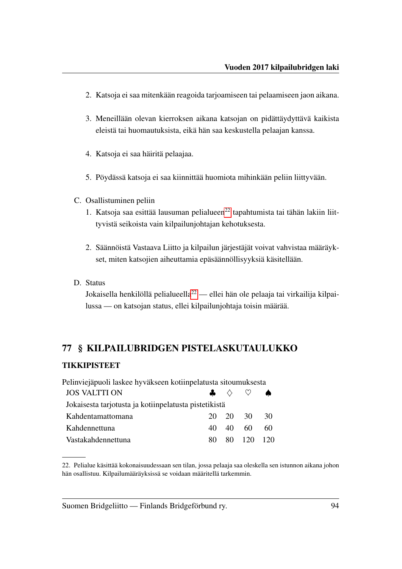- 2. Katsoja ei saa mitenkään reagoida tarjoamiseen tai pelaamiseen jaon aikana.
- 3. Meneillään olevan kierroksen aikana katsojan on pidättäydyttävä kaikista eleistä tai huomautuksista, eikä hän saa keskustella pelaajan kanssa.
- 4. Katsoja ei saa häiritä pelaajaa.
- 5. Pöydässä katsoja ei saa kiinnittää huomiota mihinkään peliin liittyvään.
- C. Osallistuminen peliin
	- 1. Katsoja saa esittää lausuman pelialueen $^{22}$  $^{22}$  $^{22}$  tapahtumista tai tähän lakiin liittyvistä seikoista vain kilpailunjohtajan kehotuksesta.
	- 2. Säännöistä Vastaava Liitto ja kilpailun järjestäjät voivat vahvistaa määräykset, miten katsojien aiheuttamia epäsäännöllisyyksiä käsitellään.
- D. Status

Jokaisella henkilöllä pelialueella<sup>[22](#page-96-0)</sup> — ellei hän ole pelaaja tai virkailija kilpailussa — on katsojan status, ellei kilpailunjohtaja toisin määrää.

#### 77 § KILPAILUBRIDGEN PISTELASKUTAULUKKO

#### TIKKIPISTEET

| Pelinviejäpuoli laskee hyväkseen kotiinpelatusta sitoumuksesta |               |       |        |     |  |
|----------------------------------------------------------------|---------------|-------|--------|-----|--|
| <b>JOS VALTTI ON</b>                                           | $\frac{1}{2}$ |       |        | ▲   |  |
| Jokaisesta tarjotusta ja kotiinpelatusta pistetikistä          |               |       |        |     |  |
| Kahdentamattomana                                              | 20.           | 20 30 |        | 30  |  |
| Kahdennettuna                                                  | 40            | 40    | 60     | 60  |  |
| Vastakahdennettuna                                             | 80            | 80.   | $-120$ | 12O |  |

<span id="page-96-0"></span><sup>22.</sup> Pelialue käsittää kokonaisuudessaan sen tilan, jossa pelaaja saa oleskella sen istunnon aikana johon hän osallistuu. Kilpailumääräyksissä se voidaan määritellä tarkemmin.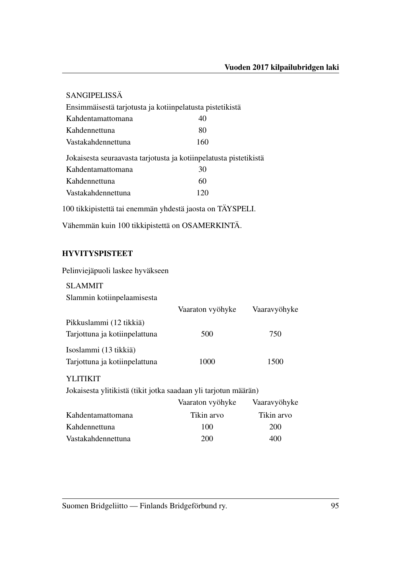| <b>SANGIPELISSÄ</b>                                               |     |  |
|-------------------------------------------------------------------|-----|--|
| Ensimmäisestä tarjotusta ja kotiinpelatusta pistetikistä          |     |  |
| Kahdentamattomana                                                 | 40  |  |
| Kahdennettuna                                                     | 80  |  |
| Vastakahdennettuna                                                | 160 |  |
| Jokaisesta seuraavasta tarjotusta ja kotiinpelatusta pistetikistä |     |  |
| Kahdentamattomana                                                 | 30  |  |
| Kahdennettuna                                                     | 60  |  |
| Vastakahdennettuna                                                | 120 |  |
|                                                                   |     |  |

100 tikkipistettä tai enemmän yhdestä jaosta on TÄYSPELI.

Vähemmän kuin 100 tikkipistettä on OSAMERKINTÄ.

### **HYVITYSPISTEET**

Pelinviejäpuoli laskee hyväkseen

| <b>SLAMMIT</b>                                                  |                  |              |
|-----------------------------------------------------------------|------------------|--------------|
| Slammin kotiinpelaamisesta                                      |                  |              |
|                                                                 | Vaaraton vyöhyke | Vaaravyöhyke |
| Pikkuslammi (12 tikkiä)                                         |                  |              |
| Tarjottuna ja kotiinpelattuna                                   | 500              | 750          |
| Isoslammi (13 tikkiä)                                           |                  |              |
| Tarjottuna ja kotiinpelattuna                                   | 1000             | 1500         |
| YLITIKIT                                                        |                  |              |
| Jokaisesta ylitikistä (tikit jotka saadaan yli tarjotun määrän) |                  |              |
|                                                                 | Vaaraton vyöhyke | Vaaravyöhyke |
| Kahdentamattomana                                               | Tikin arvo       | Tikin arvo   |
| Kahdennettuna                                                   | 100              | 200          |

Vastakahdennettuna 200 400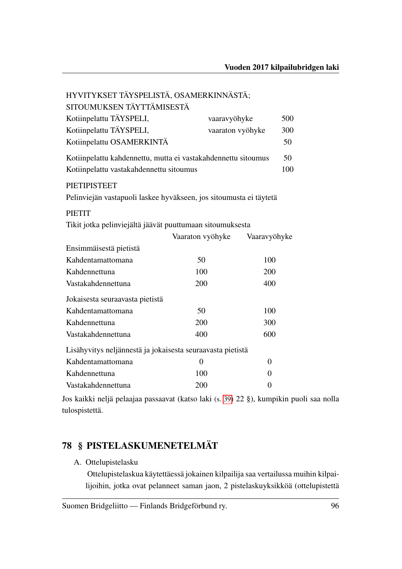| HYVITYKSET TÄYSPELISTÄ, OSAMERKINNÄSTÄ;                            |                  |              |  |  |
|--------------------------------------------------------------------|------------------|--------------|--|--|
| SITOUMUKSEN TÄYTTÄMISESTÄ                                          |                  |              |  |  |
| Kotiinpelattu TÄYSPELI,                                            | vaaravyöhyke     | 500          |  |  |
| Kotiinpelattu TÄYSPELI,                                            | vaaraton vyöhyke | 300          |  |  |
| Kotiinpelattu OSAMERKINTÄ                                          |                  | 50           |  |  |
| Kotiinpelattu kahdennettu, mutta ei vastakahdennettu sitoumus      |                  |              |  |  |
| Kotiinpelattu vastakahdennettu sitoumus                            |                  |              |  |  |
| <b>PIETIPISTEET</b>                                                |                  |              |  |  |
| Pelinviejän vastapuoli laskee hyväkseen, jos sitoumusta ei täytetä |                  |              |  |  |
| <b>PIETIT</b>                                                      |                  |              |  |  |
| Tikit jotka pelinviejältä jäävät puuttumaan sitoumuksesta          |                  |              |  |  |
|                                                                    | Vaaraton vyöhyke | Vaaravyöhyke |  |  |
| Ensimmäisestä pietistä                                             |                  |              |  |  |
| Kahdentamattomana                                                  | 50               | 100          |  |  |
| Kahdennettuna                                                      | 100              | 200          |  |  |
| Vastakahdennettuna                                                 | 200              | 400          |  |  |
| Jokaisesta seuraavasta pietistä                                    |                  |              |  |  |
| Kahdentamattomana                                                  | 50               | 100          |  |  |
| Kahdennettuna                                                      | 200              | 300          |  |  |
| Vastakahdennettuna                                                 | 400              | 600          |  |  |
| Lisähyvitys neljännestä ja jokaisesta seuraavasta pietistä         |                  |              |  |  |
| Kahdentamattomana                                                  | $\overline{0}$   | 0            |  |  |
| Kahdennettuna                                                      | 100              | 0            |  |  |
| Vastakahdennettuna                                                 | 200              | 0            |  |  |

Jos kaikki neljä pelaajaa passaavat (katso laki (s. [39\)](#page-41-0) 22 §), kumpikin puoli saa nolla tulospistettä.

## 78 § PISTELASKUMENETELMÄT

A. Ottelupistelasku

Ottelupistelaskua käytettäessä jokainen kilpailija saa vertailussa muihin kilpailijoihin, jotka ovat pelanneet saman jaon, 2 pistelaskuyksikköä (ottelupistettä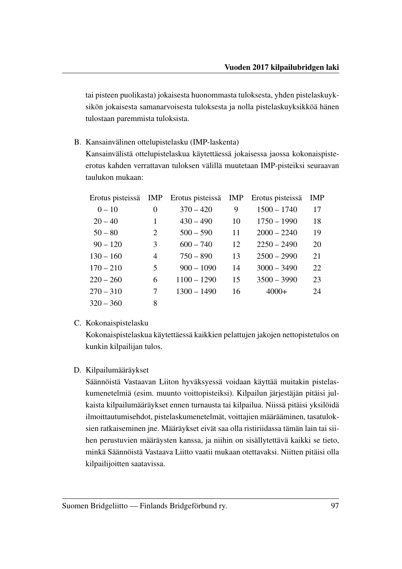tai pisteen puolikasta) jokaisesta huonommasta tuloksesta, yhden pistelaskuyksikön jokaisesta samanarvoisesta tuloksesta ja nolla pistelaskuyksikköä hänen tulostaan paremmista tuloksista.

B. Kansainvälinen ottelupistelasku (IMP-laskenta)

Kansainvälistä ottelupistelaskua käytettäessä jokaisessa jaossa kokonaispisteerotus kahden verrattavan tuloksen välillä muutetaan IMP-pisteiksi seuraavan taulukon mukaan:

| Erotus pisteissä | IMP | Erotus pisteissä | <b>IMP</b> | Erotus pisteissä | <b>IMP</b> |
|------------------|-----|------------------|------------|------------------|------------|
| $0 - 10$         | 0   | $370 - 420$      | 9          | $1500 - 1740$    | 17         |
| $20 - 40$        | 1   | $430 - 490$      | 10         | $1750 - 1990$    | 18         |
| $50 - 80$        | 2   | $500 - 590$      | 11         | $2000 - 2240$    | 19         |
| $90 - 120$       | 3   | $600 - 740$      | 12         | $2250 - 2490$    | 20         |
| $130 - 160$      | 4   | $750 - 890$      | 13         | $2500 - 2990$    | 21         |
| $170 - 210$      | 5   | $900 - 1090$     | 14         | $3000 - 3490$    | 22         |
| $220 - 260$      | 6   | $1100 - 1290$    | 15         | $3500 - 3990$    | 23         |
| $270 - 310$      | 7   | $1300 - 1490$    | 16         | $4000+$          | 24         |
| $320 - 360$      | 8   |                  |            |                  |            |

#### C. Kokonaispistelasku

Kokonaispistelaskua käytettäessä kaikkien pelattujen jakojen nettopistetulos on kunkin kilpailijan tulos.

#### D. Kilpailumääräykset

Säännöistä Vastaavan Liiton hyväksyessä voidaan käyttää muitakin pistelaskumenetelmiä (esim. muunto voittopisteiksi). Kilpailun järjestäjän pitäisi julkaista kilpailumääräykset ennen turnausta tai kilpailua. Niissä pitäisi yksilöidä ilmoittautumisehdot, pistelaskumenetelmät, voittajien määrääminen, tasatuloksien ratkaiseminen jne. Määräykset eivät saa olla ristiriidassa tämän lain tai siihen perustuvien määräysten kanssa, ja niihin on sisällytettävä kaikki se tieto, minkä Säännöistä Vastaava Liitto vaatii mukaan otettavaksi. Niitten pitäisi olla kilpailijoitten saatavissa.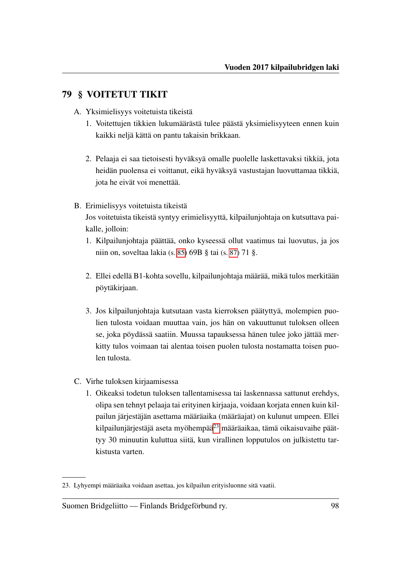## <span id="page-100-1"></span>79 § VOITETUT TIKIT

- <span id="page-100-2"></span>A. Yksimielisyys voitetuista tikeistä
	- 1. Voitettujen tikkien lukumäärästä tulee päästä yksimielisyyteen ennen kuin kaikki neljä kättä on pantu takaisin brikkaan.
	- 2. Pelaaja ei saa tietoisesti hyväksyä omalle puolelle laskettavaksi tikkiä, jota heidän puolensa ei voittanut, eikä hyväksyä vastustajan luovuttamaa tikkiä, jota he eivät voi menettää.
- B. Erimielisyys voitetuista tikeistä

Jos voitetuista tikeistä syntyy erimielisyyttä, kilpailunjohtaja on kutsuttava paikalle, jolloin:

- 1. Kilpailunjohtaja päättää, onko kyseessä ollut vaatimus tai luovutus, ja jos niin on, soveltaa lakia (s. [85\)](#page-87-1) 69B § tai (s. [87\)](#page-89-0) 71 §.
- 2. Ellei edellä B1-kohta sovellu, kilpailunjohtaja määrää, mikä tulos merkitään pöytäkirjaan.
- 3. Jos kilpailunjohtaja kutsutaan vasta kierroksen päätyttyä, molempien puolien tulosta voidaan muuttaa vain, jos hän on vakuuttunut tuloksen olleen se, joka pöydässä saatiin. Muussa tapauksessa hänen tulee joko jättää merkitty tulos voimaan tai alentaa toisen puolen tulosta nostamatta toisen puolen tulosta.
- <span id="page-100-0"></span>C. Virhe tuloksen kirjaamisessa
	- 1. Oikeaksi todetun tuloksen tallentamisessa tai laskennassa sattunut erehdys, olipa sen tehnyt pelaaja tai erityinen kirjaaja, voidaan korjata ennen kuin kilpailun järjestäjän asettama määräaika (määräajat) on kulunut umpeen. Ellei kilpailunjärjestäjä aseta myöhempää $^{23}$  $^{23}$  $^{23}$  määräaikaa, tämä oikaisuvaihe päättyy 30 minuutin kuluttua siitä, kun virallinen lopputulos on julkistettu tarkistusta varten.

<span id="page-100-3"></span><sup>23.</sup> Lyhyempi määräaika voidaan asettaa, jos kilpailun erityisluonne sitä vaatii.

Suomen Bridgeliitto — Finlands Bridgeförbund ry. 98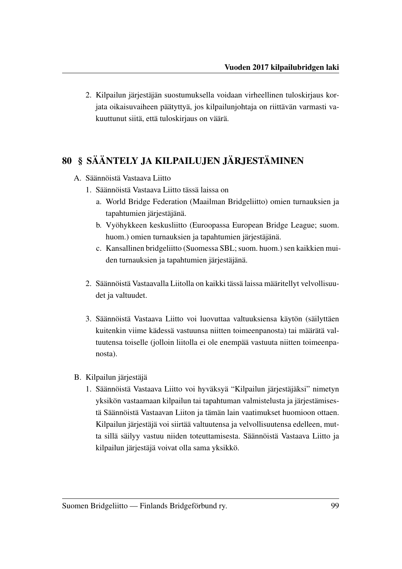2. Kilpailun järjestäjän suostumuksella voidaan virheellinen tuloskirjaus korjata oikaisuvaiheen päätyttyä, jos kilpailunjohtaja on riittävän varmasti vakuuttunut siitä, että tuloskirjaus on väärä.

## 80 § SÄÄNTELY JA KILPAILUJEN JÄRJESTÄMINEN

- A. Säännöistä Vastaava Liitto
	- 1. Säännöistä Vastaava Liitto tässä laissa on
		- a. World Bridge Federation (Maailman Bridgeliitto) omien turnauksien ja tapahtumien järjestäjänä.
		- b. Vyöhykkeen keskusliitto (Euroopassa European Bridge League; suom. huom.) omien turnauksien ja tapahtumien järjestäjänä.
		- c. Kansallinen bridgeliitto (Suomessa SBL; suom. huom.) sen kaikkien muiden turnauksien ja tapahtumien järjestäjänä.
	- 2. Säännöistä Vastaavalla Liitolla on kaikki tässä laissa määritellyt velvollisuudet ja valtuudet.
	- 3. Säännöistä Vastaava Liitto voi luovuttaa valtuuksiensa käytön (säilyttäen kuitenkin viime kädessä vastuunsa niitten toimeenpanosta) tai määrätä valtuutensa toiselle (jolloin liitolla ei ole enempää vastuuta niitten toimeenpanosta).
- B. Kilpailun järjestäjä
	- 1. Säännöistä Vastaava Liitto voi hyväksyä "Kilpailun järjestäjäksi" nimetyn yksikön vastaamaan kilpailun tai tapahtuman valmistelusta ja järjestämisestä Säännöistä Vastaavan Liiton ja tämän lain vaatimukset huomioon ottaen. Kilpailun järjestäjä voi siirtää valtuutensa ja velvollisuutensa edelleen, mutta sillä säilyy vastuu niiden toteuttamisesta. Säännöistä Vastaava Liitto ja kilpailun järjestäjä voivat olla sama yksikkö.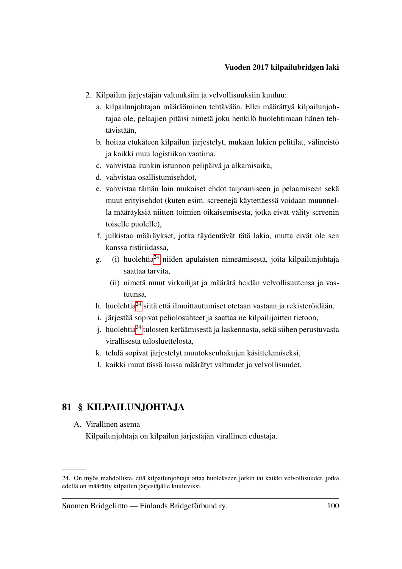- 2. Kilpailun järjestäjän valtuuksiin ja velvollisuuksiin kuuluu:
	- a. kilpailunjohtajan määrääminen tehtävään. Ellei määrättyä kilpailunjohtajaa ole, pelaajien pitäisi nimetä joku henkilö huolehtimaan hänen tehtävistään,
	- b. hoitaa etukäteen kilpailun järjestelyt, mukaan lukien pelitilat, välineistö ja kaikki muu logistiikan vaatima,
	- c. vahvistaa kunkin istunnon pelipäivä ja alkamisaika,
	- d. vahvistaa osallistumisehdot,
	- e. vahvistaa tämän lain mukaiset ehdot tarjoamiseen ja pelaamiseen sekä muut erityisehdot (kuten esim. screenejä käytettäessä voidaan muunnella määräyksiä niitten toimien oikaisemisesta, jotka eivät välity screenin toiselle puolelle),
	- f. julkistaa määräykset, jotka täydentävät tätä lakia, mutta eivät ole sen kanssa ristiriidassa,
	- g. (i) huolehtia[24](#page-102-0) niiden apulaisten nimeämisestä, joita kilpailunjohtaja saattaa tarvita,
		- (ii) nimetä muut virkailijat ja määrätä heidän velvollisuutensa ja vastuunsa,
	- h. huolehtia[24](#page-0-0) siitä että ilmoittautumiset otetaan vastaan ja rekisteröidään,
	- i. järjestää sopivat peliolosuhteet ja saattaa ne kilpailijoitten tietoon,
	- i. huolehtia<sup>[24](#page-0-0)</sup> tulosten keräämisestä ja laskennasta, sekä siihen perustuvasta virallisesta tulosluettelosta,
	- k. tehdä sopivat järjestelyt muutoksenhakujen käsittelemiseksi,
	- l. kaikki muut tässä laissa määrätyt valtuudet ja velvollisuudet.

## 81 § KILPAILUNJOHTAJA

A. Virallinen asema

Kilpailunjohtaja on kilpailun järjestäjän virallinen edustaja.

<span id="page-102-0"></span><sup>24.</sup> On myös mahdollista, että kilpailunjohtaja ottaa huolekseen jotkin tai kaikki velvollisuudet, jotka edellä on määrätty kilpailun järjestäjälle kuuluviksi.

Suomen Bridgeliitto — Finlands Bridgeförbund ry. 100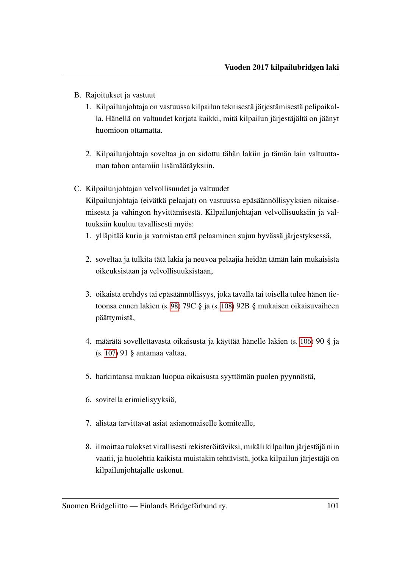- B. Rajoitukset ja vastuut
	- 1. Kilpailunjohtaja on vastuussa kilpailun teknisestä järjestämisestä pelipaikalla. Hänellä on valtuudet korjata kaikki, mitä kilpailun järjestäjältä on jäänyt huomioon ottamatta.
	- 2. Kilpailunjohtaja soveltaa ja on sidottu tähän lakiin ja tämän lain valtuuttaman tahon antamiin lisämääräyksiin.
- C. Kilpailunjohtajan velvollisuudet ja valtuudet Kilpailunjohtaja (eivätkä pelaajat) on vastuussa epäsäännöllisyyksien oikaisemisesta ja vahingon hyvittämisestä. Kilpailunjohtajan velvollisuuksiin ja valtuuksiin kuuluu tavallisesti myös:
	- 1. ylläpitää kuria ja varmistaa että pelaaminen sujuu hyvässä järjestyksessä,
	- 2. soveltaa ja tulkita tätä lakia ja neuvoa pelaajia heidän tämän lain mukaisista oikeuksistaan ja velvollisuuksistaan,
	- 3. oikaista erehdys tai epäsäännöllisyys, joka tavalla tai toisella tulee hänen tietoonsa ennen lakien (s. [98\)](#page-100-0) 79C § ja (s. [108\)](#page-110-0) 92B § mukaisen oikaisuvaiheen päättymistä,
	- 4. määrätä sovellettavasta oikaisusta ja käyttää hänelle lakien (s. [106\)](#page-108-0) 90 § ja (s. [107\)](#page-109-0) 91 § antamaa valtaa,
	- 5. harkintansa mukaan luopua oikaisusta syyttömän puolen pyynnöstä,
	- 6. sovitella erimielisyyksiä,
	- 7. alistaa tarvittavat asiat asianomaiselle komitealle,
	- 8. ilmoittaa tulokset virallisesti rekisteröitäviksi, mikäli kilpailun järjestäjä niin vaatii, ja huolehtia kaikista muistakin tehtävistä, jotka kilpailun järjestäjä on kilpailunjohtajalle uskonut.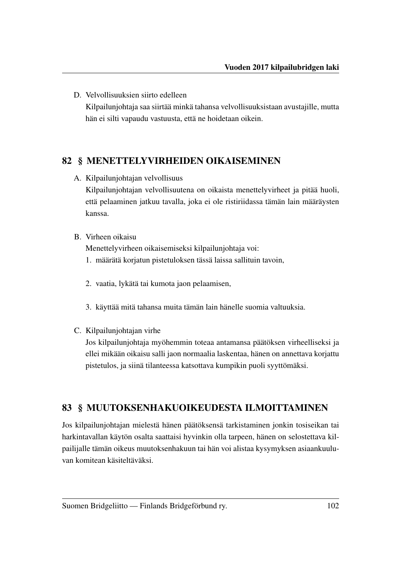D. Velvollisuuksien siirto edelleen Kilpailunjohtaja saa siirtää minkä tahansa velvollisuuksistaan avustajille, mutta hän ei silti vapaudu vastuusta, että ne hoidetaan oikein.

## 82 § MENETTELYVIRHEIDEN OIKAISEMINEN

A. Kilpailunjohtajan velvollisuus

Kilpailunjohtajan velvollisuutena on oikaista menettelyvirheet ja pitää huoli, että pelaaminen jatkuu tavalla, joka ei ole ristiriidassa tämän lain määräysten kanssa.

### B. Virheen oikaisu

Menettelyvirheen oikaisemiseksi kilpailunjohtaja voi:

- 1. määrätä korjatun pistetuloksen tässä laissa sallituin tavoin,
- 2. vaatia, lykätä tai kumota jaon pelaamisen,
- 3. käyttää mitä tahansa muita tämän lain hänelle suomia valtuuksia.
- C. Kilpailunjohtajan virhe

Jos kilpailunjohtaja myöhemmin toteaa antamansa päätöksen virheelliseksi ja ellei mikään oikaisu salli jaon normaalia laskentaa, hänen on annettava korjattu pistetulos, ja siinä tilanteessa katsottava kumpikin puoli syyttömäksi.

## 83 § MUUTOKSENHAKUOIKEUDESTA ILMOITTAMINEN

Jos kilpailunjohtajan mielestä hänen päätöksensä tarkistaminen jonkin tosiseikan tai harkintavallan käytön osalta saattaisi hyvinkin olla tarpeen, hänen on selostettava kilpailijalle tämän oikeus muutoksenhakuun tai hän voi alistaa kysymyksen asiaankuuluvan komitean käsiteltäväksi.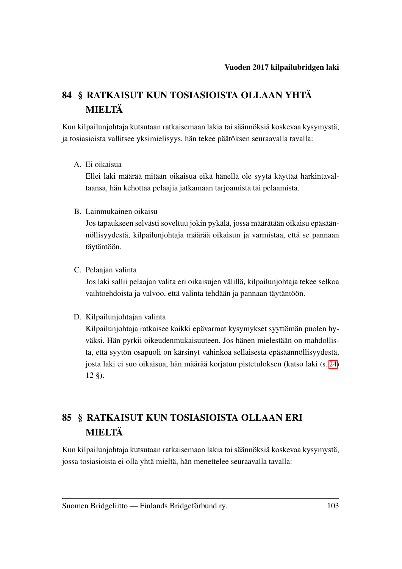# <span id="page-105-0"></span>84 § RATKAISUT KUN TOSIASIOISTA OLLAAN YHTÄ MIELTÄ

Kun kilpailunjohtaja kutsutaan ratkaisemaan lakia tai säännöksiä koskevaa kysymystä, ja tosiasioista vallitsee yksimielisyys, hän tekee päätöksen seuraavalla tavalla:

A. Ei oikaisua

Ellei laki määrää mitään oikaisua eikä hänellä ole syytä käyttää harkintavaltaansa, hän kehottaa pelaajia jatkamaan tarjoamista tai pelaamista.

B. Lainmukainen oikaisu

Jos tapaukseen selvästi soveltuu jokin pykälä, jossa määrätään oikaisu epäsäännöllisyydestä, kilpailunjohtaja määrää oikaisun ja varmistaa, että se pannaan täytäntöön.

C. Pelaajan valinta

Jos laki sallii pelaajan valita eri oikaisujen välillä, kilpailunjohtaja tekee selkoa vaihtoehdoista ja valvoo, että valinta tehdään ja pannaan täytäntöön.

D. Kilpailunjohtajan valinta

Kilpailunjohtaja ratkaisee kaikki epävarmat kysymykset syyttömän puolen hyväksi. Hän pyrkii oikeudenmukaisuuteen. Jos hänen mielestään on mahdollista, että syytön osapuoli on kärsinyt vahinkoa sellaisesta epäsäännöllisyydestä, josta laki ei suo oikaisua, hän määrää korjatun pistetuloksen (katso laki (s. [24\)](#page-26-0) 12 §).

# 85 § RATKAISUT KUN TOSIASIOISTA OLLAAN ERI MIELTÄ

Kun kilpailunjohtaja kutsutaan ratkaisemaan lakia tai säännöksiä koskevaa kysymystä, jossa tosiasioista ei olla yhtä mieltä, hän menettelee seuraavalla tavalla: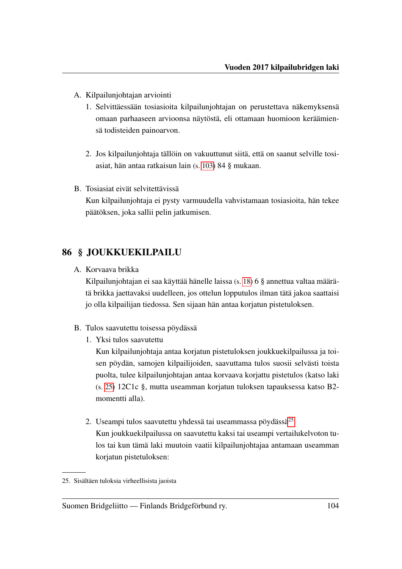- A. Kilpailunjohtajan arviointi
	- 1. Selvittäessään tosiasioita kilpailunjohtajan on perustettava näkemyksensä omaan parhaaseen arvioonsa näytöstä, eli ottamaan huomioon keräämiensä todisteiden painoarvon.
	- 2. Jos kilpailunjohtaja tällöin on vakuuttunut siitä, että on saanut selville tosiasiat, hän antaa ratkaisun lain (s. [103\)](#page-105-0) 84 § mukaan.
- B. Tosiasiat eivät selvitettävissä Kun kilpailunjohtaja ei pysty varmuudella vahvistamaan tosiasioita, hän tekee päätöksen, joka sallii pelin jatkumisen.

## 86 § JOUKKUEKILPAILU

A. Korvaava brikka

Kilpailunjohtajan ei saa käyttää hänelle laissa (s. [18\)](#page-20-0) 6 § annettua valtaa määrätä brikka jaettavaksi uudelleen, jos ottelun lopputulos ilman tätä jakoa saattaisi jo olla kilpailijan tiedossa. Sen sijaan hän antaa korjatun pistetuloksen.

- B. Tulos saavutettu toisessa pöydässä
	- 1. Yksi tulos saavutettu

Kun kilpailunjohtaja antaa korjatun pistetuloksen joukkuekilpailussa ja toisen pöydän, samojen kilpailijoiden, saavuttama tulos suosii selvästi toista puolta, tulee kilpailunjohtajan antaa korvaava korjattu pistetulos (katso laki (s. [25\)](#page-27-0) 12C1c §, mutta useamman korjatun tuloksen tapauksessa katso B2 momentti alla).

2. Useampi tulos saavutettu yhdessä tai useammassa pöydässä<sup>[25](#page-106-0)</sup> Kun joukkuekilpailussa on saavutettu kaksi tai useampi vertailukelvoton tulos tai kun tämä laki muutoin vaatii kilpailunjohtajaa antamaan useamman korjatun pistetuloksen:

<span id="page-106-0"></span><sup>25.</sup> Sisältäen tuloksia virheellisista jaoista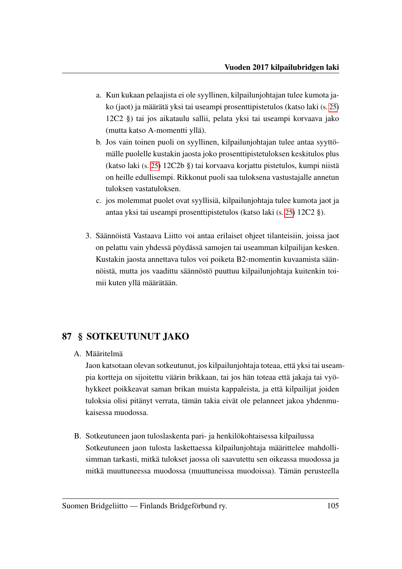- a. Kun kukaan pelaajista ei ole syyllinen, kilpailunjohtajan tulee kumota jako (jaot) ja määrätä yksi tai useampi prosenttipistetulos (katso laki (s. [25\)](#page-27-1) 12C2 §) tai jos aikataulu sallii, pelata yksi tai useampi korvaava jako (mutta katso A-momentti yllä).
- b. Jos vain toinen puoli on syyllinen, kilpailunjohtajan tulee antaa syyttömälle puolelle kustakin jaosta joko prosenttipistetuloksen keskitulos plus (katso laki (s. [25\)](#page-27-2) 12C2b §) tai korvaava korjattu pistetulos, kumpi niistä on heille edullisempi. Rikkonut puoli saa tuloksena vastustajalle annetun tuloksen vastatuloksen.
- c. jos molemmat puolet ovat syyllisiä, kilpailunjohtaja tulee kumota jaot ja antaa yksi tai useampi prosenttipistetulos (katso laki (s. [25\)](#page-27-1) 12C2 §).
- 3. Säännöistä Vastaava Liitto voi antaa erilaiset ohjeet tilanteisiin, joissa jaot on pelattu vain yhdessä pöydässä samojen tai useamman kilpailijan kesken. Kustakin jaosta annettava tulos voi poiketa B2-momentin kuvaamista säännöistä, mutta jos vaadittu säännöstö puuttuu kilpailunjohtaja kuitenkin toimii kuten yllä määrätään.

## 87 § SOTKEUTUNUT JAKO

A. Määritelmä

Jaon katsotaan olevan sotkeutunut, jos kilpailunjohtaja toteaa, että yksi tai useampia kortteja on sijoitettu väärin brikkaan, tai jos hän toteaa että jakaja tai vyöhykkeet poikkeavat saman brikan muista kappaleista, ja että kilpailijat joiden tuloksia olisi pitänyt verrata, tämän takia eivät ole pelanneet jakoa yhdenmukaisessa muodossa.

B. Sotkeutuneen jaon tuloslaskenta pari- ja henkilökohtaisessa kilpailussa Sotkeutuneen jaon tulosta laskettaessa kilpailunjohtaja määrittelee mahdollisimman tarkasti, mitkä tulokset jaossa oli saavutettu sen oikeassa muodossa ja mitkä muuttuneessa muodossa (muuttuneissa muodoissa). Tämän perusteella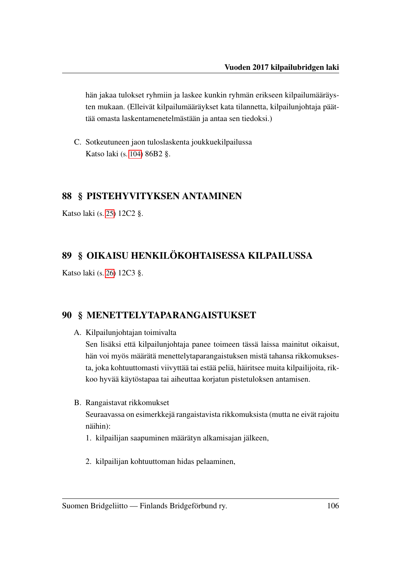<span id="page-108-0"></span>hän jakaa tulokset ryhmiin ja laskee kunkin ryhmän erikseen kilpailumääräysten mukaan. (Elleivät kilpailumääräykset kata tilannetta, kilpailunjohtaja päättää omasta laskentamenetelmästään ja antaa sen tiedoksi.)

C. Sotkeutuneen jaon tuloslaskenta joukkuekilpailussa Katso laki (s. [104\)](#page-106-0) 86B2 §.

#### 88 § PISTEHYVITYKSEN ANTAMINEN

Katso laki (s. [25\)](#page-27-0) 12C2 §.

### 89 § OIKAISU HENKILÖKOHTAISESSA KILPAILUSSA

Katso laki (s. [26\)](#page-28-0) 12C3 §.

#### 90 § MENETTELYTAPARANGAISTUKSET

A. Kilpailunjohtajan toimivalta

Sen lisäksi että kilpailunjohtaja panee toimeen tässä laissa mainitut oikaisut, hän voi myös määrätä menettelytaparangaistuksen mistä tahansa rikkomuksesta, joka kohtuuttomasti viivyttää tai estää peliä, häiritsee muita kilpailijoita, rikkoo hyvää käytöstapaa tai aiheuttaa korjatun pistetuloksen antamisen.

B. Rangaistavat rikkomukset

Seuraavassa on esimerkkejä rangaistavista rikkomuksista (mutta ne eivät rajoitu näihin):

- 1. kilpailijan saapuminen määrätyn alkamisajan jälkeen,
- 2. kilpailijan kohtuuttoman hidas pelaaminen,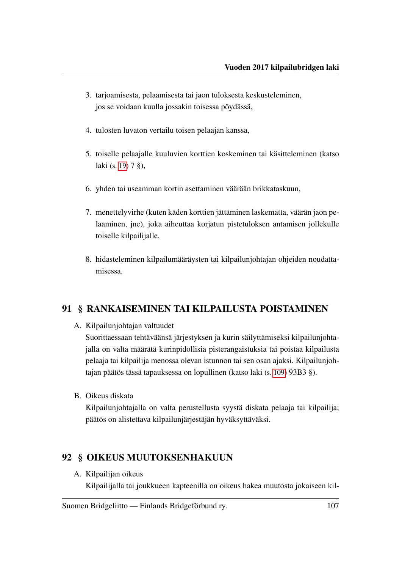- <span id="page-109-1"></span>3. tarjoamisesta, pelaamisesta tai jaon tuloksesta keskusteleminen, jos se voidaan kuulla jossakin toisessa pöydässä,
- 4. tulosten luvaton vertailu toisen pelaajan kanssa,
- 5. toiselle pelaajalle kuuluvien korttien koskeminen tai käsitteleminen (katso laki (s. [19\)](#page-21-0) 7 §),
- 6. yhden tai useamman kortin asettaminen väärään brikkataskuun,
- 7. menettelyvirhe (kuten käden korttien jättäminen laskematta, väärän jaon pelaaminen, jne), joka aiheuttaa korjatun pistetuloksen antamisen jollekulle toiselle kilpailijalle,
- 8. hidasteleminen kilpailumääräysten tai kilpailunjohtajan ohjeiden noudattamisessa.

#### <span id="page-109-0"></span>91 § RANKAISEMINEN TAI KILPAILUSTA POISTAMINEN

A. Kilpailunjohtajan valtuudet

Suorittaessaan tehtäväänsä järjestyksen ja kurin säilyttämiseksi kilpailunjohtajalla on valta määrätä kurinpidollisia pisterangaistuksia tai poistaa kilpailusta pelaaja tai kilpailija menossa olevan istunnon tai sen osan ajaksi. Kilpailunjohtajan päätös tässä tapauksessa on lopullinen (katso laki (s. [109\)](#page-111-0) 93B3 §).

B. Oikeus diskata

Kilpailunjohtajalla on valta perustellusta syystä diskata pelaaja tai kilpailija; päätös on alistettava kilpailunjärjestäjän hyväksyttäväksi.

#### 92 § OIKEUS MUUTOKSENHAKUUN

A. Kilpailijan oikeus

Kilpailijalla tai joukkueen kapteenilla on oikeus hakea muutosta jokaiseen kil-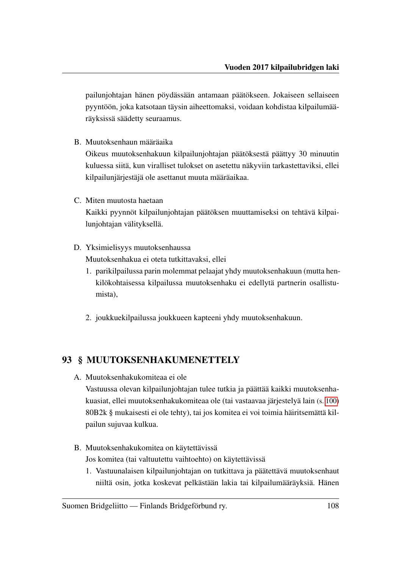<span id="page-110-0"></span>pailunjohtajan hänen pöydässään antamaan päätökseen. Jokaiseen sellaiseen pyyntöön, joka katsotaan täysin aiheettomaksi, voidaan kohdistaa kilpailumääräyksissä säädetty seuraamus.

B. Muutoksenhaun määräaika

Oikeus muutoksenhakuun kilpailunjohtajan päätöksestä päättyy 30 minuutin kuluessa siitä, kun viralliset tulokset on asetettu näkyviin tarkastettaviksi, ellei kilpailunjärjestäjä ole asettanut muuta määräaikaa.

C. Miten muutosta haetaan

Kaikki pyynnöt kilpailunjohtajan päätöksen muuttamiseksi on tehtävä kilpailunjohtajan välityksellä.

D. Yksimielisyys muutoksenhaussa

Muutoksenhakua ei oteta tutkittavaksi, ellei

- 1. parikilpailussa parin molemmat pelaajat yhdy muutoksenhakuun (mutta henkilökohtaisessa kilpailussa muutoksenhaku ei edellytä partnerin osallistumista),
- 2. joukkuekilpailussa joukkueen kapteeni yhdy muutoksenhakuun.

### 93 § MUUTOKSENHAKUMENETTELY

A. Muutoksenhakukomiteaa ei ole

Vastuussa olevan kilpailunjohtajan tulee tutkia ja päättää kaikki muutoksenhakuasiat, ellei muutoksenhakukomiteaa ole (tai vastaavaa järjestelyä lain (s. [100\)](#page-102-0) 80B2k § mukaisesti ei ole tehty), tai jos komitea ei voi toimia häiritsemättä kilpailun sujuvaa kulkua.

- B. Muutoksenhakukomitea on käytettävissä Jos komitea (tai valtuutettu vaihtoehto) on käytettävissä
	- 1. Vastuunalaisen kilpailunjohtajan on tutkittava ja päätettävä muutoksenhaut niiltä osin, jotka koskevat pelkästään lakia tai kilpailumääräyksiä. Hänen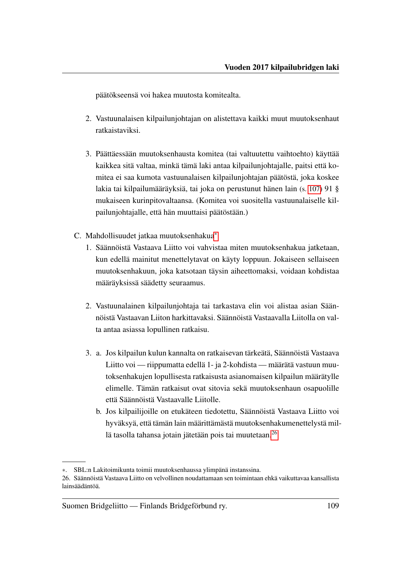<span id="page-111-3"></span>päätökseensä voi hakea muutosta komitealta.

- 2. Vastuunalaisen kilpailunjohtajan on alistettava kaikki muut muutoksenhaut ratkaistaviksi.
- <span id="page-111-0"></span>3. Päättäessään muutoksenhausta komitea (tai valtuutettu vaihtoehto) käyttää kaikkea sitä valtaa, minkä tämä laki antaa kilpailunjohtajalle, paitsi että komitea ei saa kumota vastuunalaisen kilpailunjohtajan päätöstä, joka koskee lakia tai kilpailumääräyksiä, tai joka on perustunut hänen lain (s. [107\)](#page-109-0) 91 § mukaiseen kurinpitovaltaansa. (Komitea voi suositella vastuunalaiselle kilpailunjohtajalle, että hän muuttaisi päätöstään.)
- C. Mahdollisuudet jatkaa muutoksenhakua[∗](#page-111-1)
	- 1. Säännöistä Vastaava Liitto voi vahvistaa miten muutoksenhakua jatketaan, kun edellä mainitut menettelytavat on käyty loppuun. Jokaiseen sellaiseen muutoksenhakuun, joka katsotaan täysin aiheettomaksi, voidaan kohdistaa määräyksissä säädetty seuraamus.
	- 2. Vastuunalainen kilpailunjohtaja tai tarkastava elin voi alistaa asian Säännöistä Vastaavan Liiton harkittavaksi. Säännöistä Vastaavalla Liitolla on valta antaa asiassa lopullinen ratkaisu.
	- 3. a. Jos kilpailun kulun kannalta on ratkaisevan tärkeätä, Säännöistä Vastaava Liitto voi — riippumatta edellä 1- ja 2-kohdista — määrätä vastuun muutoksenhakujen lopullisesta ratkaisusta asianomaisen kilpailun määrätylle elimelle. Tämän ratkaisut ovat sitovia sekä muutoksenhaun osapuolille että Säännöistä Vastaavalle Liitolle.
		- b. Jos kilpailijoille on etukäteen tiedotettu, Säännöistä Vastaava Liitto voi hyväksyä, että tämän lain määrittämästä muutoksenhakumenettelystä mil-lä tasolla tahansa jotain jätetään pois tai muutetaan.<sup>[26](#page-111-2)</sup>

<span id="page-111-1"></span><sup>∗</sup>. SBL:n Lakitoimikunta toimii muutoksenhaussa ylimpänä instanssina.

<span id="page-111-2"></span><sup>26.</sup> Säännöistä Vastaava Liitto on velvollinen noudattamaan sen toimintaan ehkä vaikuttavaa kansallista lainsäädäntöä.

Suomen Bridgeliitto — Finlands Bridgeförbund ry. 109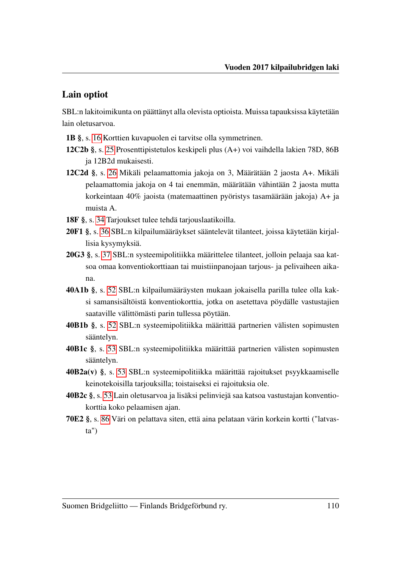#### Lain optiot

SBL:n lakitoimikunta on päättänyt alla olevista optioista. Muissa tapauksissa käytetään lain oletusarvoa.

- 1B §, s. [16](#page-18-0) Korttien kuvapuolen ei tarvitse olla symmetrinen.
- 12C2b §, s. [25](#page-27-1) Prosenttipistetulos keskipeli plus (A+) voi vaihdella lakien 78D, 86B ja 12B2d mukaisesti.
- 12C2d §, s. [26](#page-28-1) Mikäli pelaamattomia jakoja on 3, Määrätään 2 jaosta A+. Mikäli pelaamattomia jakoja on 4 tai enemmän, määrätään vähintään 2 jaosta mutta korkeintaan 40% jaoista (matemaattinen pyöristys tasamäärään jakoja) A+ ja muista A.
- 18F §, s. [34](#page-36-0) Tarjoukset tulee tehdä tarjouslaatikoilla.
- 20F1 §, s. [36](#page-38-0) SBL:n kilpailumääräykset sääntelevät tilanteet, joissa käytetään kirjallisia kysymyksiä.
- 20G3 §, s. [37](#page-39-0) SBL:n systeemipolitiikka määrittelee tilanteet, jolloin pelaaja saa katsoa omaa konventiokorttiaan tai muistiinpanojaan tarjous- ja pelivaiheen aikana.
- 40A1b §, s. [52](#page-54-0) SBL:n kilpailumääräysten mukaan jokaisella parilla tulee olla kaksi samansisältöistä konventiokorttia, jotka on asetettava pöydälle vastustajien saataville välittömästi parin tullessa pöytään.
- 40B1b §, s. [52](#page-54-1) SBL:n systeemipolitiikka määrittää partnerien välisten sopimusten sääntelyn.
- 40B1c §, s. [53](#page-55-0) SBL:n systeemipolitiikka määrittää partnerien välisten sopimusten sääntelyn.
- 40B2a(v) §, s. [53](#page-55-1) SBL:n systeemipolitiikka määrittää rajoitukset psyykkaamiselle keinotekoisilla tarjouksilla; toistaiseksi ei rajoituksia ole.
- 40B2c §, s. [53](#page-55-2) Lain oletusarvoa ja lisäksi pelinviejä saa katsoa vastustajan konventiokorttia koko pelaamisen ajan.
- 70E2 §, s. [86](#page-88-0) Väri on pelattava siten, että aina pelataan värin korkein kortti ("latvasta")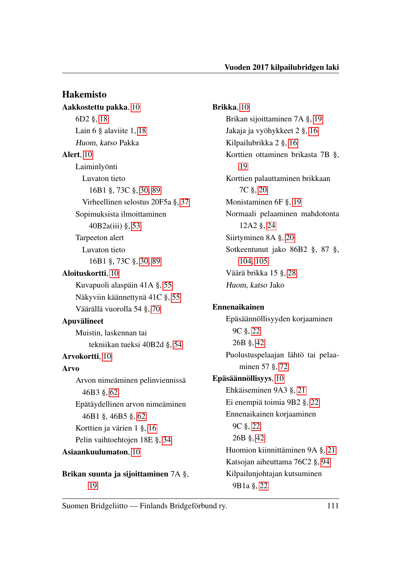Hakemisto Aakkostettu pakka, [10](#page-12-0) 6D2 §, [18](#page-20-0) Lain 6 § alaviite 1, [18](#page-20-0) Huom, katso Pakka Alert, [10](#page-12-0) Laiminlyönti Luvaton tieto 16B1 §, 73C §, [30,](#page-32-0) [89](#page-91-0) Virheellinen selostus 20F5a §, [37](#page-39-1) Sopimuksista ilmoittaminen 40B2a(iii) §, [53](#page-55-3) Tarpeeton alert Luvaton tieto 16B1 §, 73C §, [30,](#page-32-0) [89](#page-91-0) Aloituskortti, [10](#page-12-0) Kuvapuoli alaspäin 41A §, [55](#page-57-0) Näkyviin käännettynä 41C §, [55](#page-57-0) Väärällä vuorolla 54 §, [70](#page-72-0) Apuvälineet Muistin, laskennan tai tekniikan tueksi 40B2d §, [54](#page-56-0) Arvokortti, [10](#page-12-0) Arvo Arvon nimeäminen pelinviennissä 46B3 §, [62](#page-64-0) Epätäydellinen arvon nimeäminen 46B1 §, 46B5 §, [62](#page-64-0) Korttien ja värien 1 §, [16](#page-18-1) Pelin vaihtoehtojen 18E §, [34](#page-36-1) Asiaankuulumaton, [10](#page-12-0) Brikan suunta ja sijoittaminen 7A §,

[19](#page-21-1)

Brikka, [10](#page-12-0) Brikan sijoittaminen 7A §, [19](#page-21-1) Jakaja ja vyöhykkeet 2 §, [16](#page-18-1) Kilpailubrikka 2 §, [16](#page-18-1) Korttien ottaminen brikasta 7B §, [19](#page-21-1) Korttien palauttaminen brikkaan 7C §, [20](#page-22-0) Monistaminen 6F §, [19](#page-21-1) Normaali pelaaminen mahdotonta 12A2 §, [24](#page-26-0) Siirtyminen 8A §, [20](#page-22-0) Sotkeentunut jako 86B2 §, 87 §, [104,](#page-106-1) [105](#page-107-0) Väärä brikka 15 §, [28](#page-30-0) Huom, katso Jako

# Ennenaikainen

Epäsäännöllisyyden korjaaminen 9C §, [22](#page-24-0) 26B §, [42](#page-44-0) Puolustuspelaajan lähtö tai pelaaminen 57 §, [72](#page-74-0) Epäsäännöllisyys, [10](#page-12-0) Ehkäiseminen 9A3 §, [21](#page-23-0) Ei enempiä toimia 9B2 §, [22](#page-24-0) Ennenaikainen korjaaminen 9C §, [22](#page-24-0) 26B §, [42](#page-44-0) Huomion kiinnittäminen 9A §, [21](#page-23-0) Katsojan aiheuttama 76C2 §, [94](#page-96-0) Kilpailunjohtajan kutsuminen 9B1a §, [22](#page-24-0)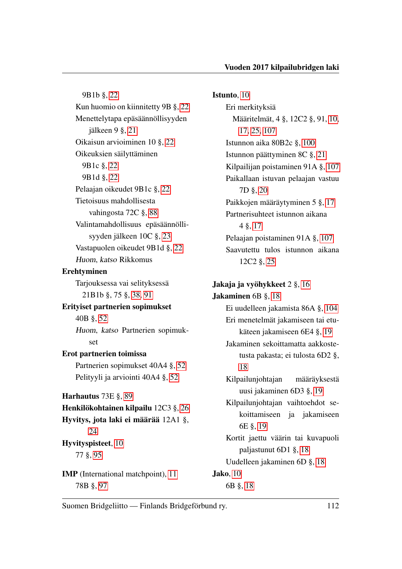9B1b §, [22](#page-24-0) Kun huomio on kiinnitetty 9B §, [22](#page-24-0) Menettelytapa epäsäännöllisyyden jälkeen 9 §, [21](#page-23-0) Oikaisun arvioiminen 10 §, [22](#page-24-0) Oikeuksien säilyttäminen 9B1c §, [22](#page-24-0) 9B1d §, [22](#page-24-0) Pelaajan oikeudet 9B1c §, [22](#page-24-0) Tietoisuus mahdollisesta vahingosta 72C §, [88](#page-90-0) Valintamahdollisuus epäsäännöllisyyden jälkeen 10C §, [23](#page-25-0) Vastapuolen oikeudet 9B1d §, [22](#page-24-0) Huom, katso Rikkomus Erehtyminen Tarjouksessa vai selityksessä 21B1b §, 75 §, [38,](#page-40-0) [91](#page-93-0) Erityiset partnerien sopimukset 40B §, [52](#page-54-2) Huom, katso Partnerien sopimukset Erot partnerien toimissa Partnerien sopimukset 40A4 §, [52](#page-54-2) Pelityyli ja arviointi 40A4 §, [52](#page-54-2) Harhautus 73E §, [89](#page-91-0) Henkilökohtainen kilpailu 12C3 §, [26](#page-28-2) Hyvitys, jota laki ei määrää 12A1 §, [24](#page-26-0) Hyvityspisteet, [10](#page-12-0) 77 §, [95](#page-97-0) IMP (International matchpoint), [11](#page-13-0) 78B §, [97](#page-99-0)

Istunto, [10](#page-12-0) Eri merkityksiä Määritelmät, 4 §, 12C2 §, 91, [10,](#page-12-0) [17,](#page-19-0) [25,](#page-27-2) [107](#page-109-1) Istunnon aika 80B2c §, [100](#page-102-1) Istunnon päättyminen 8C §, [21](#page-23-0) Kilpailijan poistaminen 91A §, [107](#page-109-1) Paikallaan istuvan pelaajan vastuu 7D §, [20](#page-22-0) Paikkojen määräytyminen 5 §, [17](#page-19-0) Partnerisuhteet istunnon aikana 4 §, [17](#page-19-0) Pelaajan poistaminen 91A §, [107](#page-109-1) Saavutettu tulos istunnon aikana 12C2 §, [25](#page-27-2)

Jakaja ja vyöhykkeet 2 §, [16](#page-18-1) Jakaminen 6B §, [18](#page-20-0) Ei uudelleen jakamista 86A §, [104](#page-106-1) Eri menetelmät jakamiseen tai etukäteen jakamiseen 6E4 §, [19](#page-21-1) Jakaminen sekoittamatta aakkostetusta pakasta; ei tulosta 6D2 §, [18](#page-20-0) Kilpailunjohtajan määräyksestä uusi jakaminen 6D3 §, [19](#page-21-1) Kilpailunjohtajan vaihtoehdot sekoittamiseen ja jakamiseen 6E §, [19](#page-21-1) Kortit jaettu väärin tai kuvapuoli paljastunut 6D1 §, [18](#page-20-0) Uudelleen jakaminen 6D §, [18](#page-20-0) Jako, [10](#page-12-0) 6B §, [18](#page-20-0)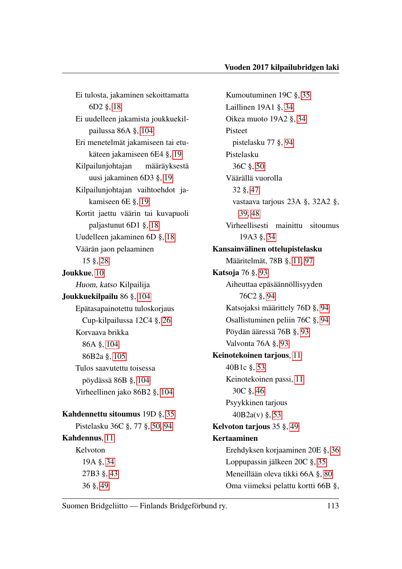Ei tulosta, jakaminen sekoittamatta 6D2 §, [18](#page-20-0) Ei uudelleen jakamista joukkuekilpailussa 86A §, [104](#page-106-1) Eri menetelmät jakamiseen tai etukäteen jakamiseen 6E4 §, [19](#page-21-1) Kilpailunjohtajan määräyksestä uusi jakaminen 6D3 §, [19](#page-21-1) Kilpailunjohtajan vaihtoehdot jakamiseen 6E §, [19](#page-21-1) Kortit jaettu väärin tai kuvapuoli paljastunut 6D1 §, [18](#page-20-0) Uudelleen jakaminen 6D §, [18](#page-20-0) Väärän jaon pelaaminen 15 §, [28](#page-30-0) Joukkue, [10](#page-12-0) Huom, katso Kilpailija Joukkuekilpailu 86 §, [104](#page-106-1) Epätasapainotettu tuloskorjaus Cup-kilpailussa 12C4 §, [26](#page-28-2) Korvaava brikka 86A §, [104](#page-106-1) 86B2a §, [105](#page-107-0) Tulos saavutettu toisessa pöydässä 86B §, [104](#page-106-1) Virheellinen jako 86B2 §, [104](#page-106-1) Kahdennettu sitoumus 19D §, [35](#page-37-0) Pistelasku 36C §, 77 §, [50,](#page-52-0) [94](#page-96-0) Kahdennus, [11](#page-13-0) Kelvoton 19A §, [34](#page-36-1) 27B3 §, [43](#page-45-0)

Kumoutuminen 19C §, [35](#page-37-0) Laillinen 19A1 §, [34](#page-36-1) Oikea muoto 19A2 §, [34](#page-36-1) Pisteet pistelasku 77 §, [94](#page-96-0) Pistelasku 36C §, [50](#page-52-0) Väärällä vuorolla 32 §, [47](#page-49-0) vastaava tarjous 23A §, 32A2 §, [39,](#page-41-0) [48](#page-50-0) Virheellisesti mainittu sitoumus 19A3 §, [34](#page-36-1) Kansainvälinen ottelupistelasku Määritelmät, 78B §, [11,](#page-13-0) [97](#page-99-0) Katsoja 76 §, [93](#page-95-0) Aiheuttaa epäsäännöllisyyden 76C2 §, [94](#page-96-0) Katsojaksi määrittely 76D §, [94](#page-96-0) Osallistuminen peliin 76C §, [94](#page-96-0) Pöydän ääressä 76B §, [93](#page-95-0) Valvonta 76A §, [93](#page-95-0) Keinotekoinen tarjous, [11](#page-13-0) 40B1c §, [53](#page-55-3) Keinotekoinen passi, [11](#page-13-0) 30C §, [46](#page-48-0) Psyykkinen tarjous 40B2a(v) §, [53](#page-55-3) Kelvoton tarjous 35 §, [49](#page-51-0) Kertaaminen Erehdyksen korjaaminen 20E §, [36](#page-38-1) Loppupassin jälkeen 20C §, [35](#page-37-0) Meneillään oleva tikki 66A §, [80](#page-82-0) Oma viimeksi pelattu kortti 66B §,

Suomen Bridgeliitto — Finlands Bridgeförbund ry. 113

36 §, [49](#page-51-0)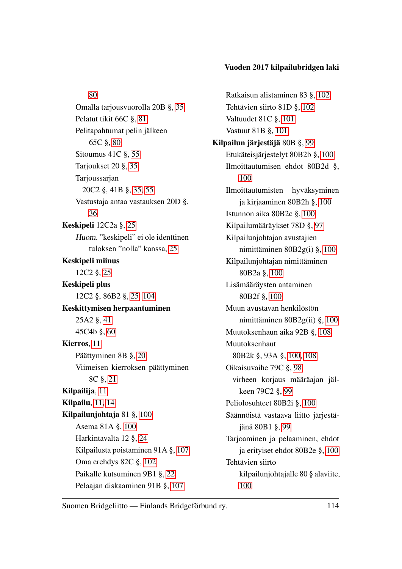[80](#page-82-0) Omalla tarjousvuorolla 20B §, [35](#page-37-0) Pelatut tikit 66C §, [81](#page-83-0) Pelitapahtumat pelin jälkeen 65C §, [80](#page-82-0) Sitoumus 41C §, [55](#page-57-0) Tarjoukset 20 §, [35](#page-37-0) Tarjoussarjan 20C2 §, 41B §, [35,](#page-37-0) [55](#page-57-0) Vastustaja antaa vastauksen 20D §, [36](#page-38-1) Keskipeli 12C2a §, [25](#page-27-2) Huom. "keskipeli" ei ole identtinen tuloksen "nolla" kanssa, [25](#page-27-2) Keskipeli miinus 12C2 §, [25](#page-27-2) Keskipeli plus 12C2 §, 86B2 §, [25,](#page-27-2) [104](#page-106-1) Keskittymisen herpaantuminen 25A2 §, [41](#page-43-0) 45C4b §, [60](#page-62-0) Kierros, [11](#page-13-0) Päättyminen 8B §, [20](#page-22-0) Viimeisen kierroksen päättyminen 8C §, [21](#page-23-0) Kilpailija, [11](#page-13-0) Kilpailu, [11,](#page-13-0) [14](#page-16-0) Kilpailunjohtaja 81 §, [100](#page-102-1) Asema 81A §, [100](#page-102-1) Harkintavalta 12 §, [24](#page-26-0) Kilpailusta poistaminen 91A §, [107](#page-109-1) Oma erehdys 82C §, [102](#page-104-0) Paikalle kutsuminen 9B1 §, [22](#page-24-0) Pelaajan diskaaminen 91B §, [107](#page-109-1)

Ratkaisun alistaminen 83 §, [102](#page-104-0) Tehtävien siirto 81D §, [102](#page-104-0) Valtuudet 81C §, [101](#page-103-0) Vastuut 81B §, [101](#page-103-0) Kilpailun järjestäjä 80B §, [99](#page-101-0) Etukäteisjärjestelyt 80B2b §, [100](#page-102-1) Ilmoittautumisen ehdot 80B2d §, [100](#page-102-1) Ilmoittautumisten hyväksyminen ja kirjaaminen 80B2h §, [100](#page-102-1) Istunnon aika 80B2c §, [100](#page-102-1) Kilpailumääräykset 78D §, [97](#page-99-0) Kilpailunjohtajan avustajien nimittäminen 80B2g(i) §, [100](#page-102-1) Kilpailunjohtajan nimittäminen 80B2a §, [100](#page-102-1) Lisämääräysten antaminen 80B2f §, [100](#page-102-1) Muun avustavan henkilöstön nimittäminen 80B2g(ii) §, [100](#page-102-1) Muutoksenhaun aika 92B §, [108](#page-110-0) Muutoksenhaut 80B2k §, 93A §, [100,](#page-102-1) [108](#page-110-0) Oikaisuvaihe 79C §, [98](#page-100-0) virheen korjaus määräajan jälkeen 79C2 §, [99](#page-101-0) Peliolosuhteet 80B2i §, [100](#page-102-1) Säännöistä vastaava liitto järjestäjänä 80B1 §, [99](#page-101-0) Tarjoaminen ja pelaaminen, ehdot ja erityiset ehdot 80B2e §, [100](#page-102-1) Tehtävien siirto kilpailunjohtajalle 80 § alaviite, [100](#page-102-1)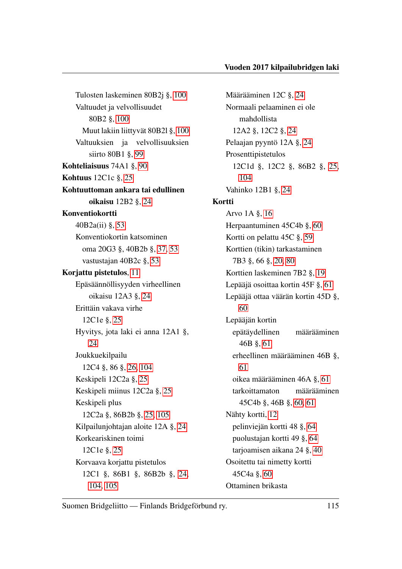Tulosten laskeminen 80B2j §, [100](#page-102-1) Valtuudet ja velvollisuudet 80B2 §, [100](#page-102-1) Muut lakiin liittyvät 80B2l §, [100](#page-102-1) Valtuuksien ja velvollisuuksien siirto 80B1 §, [99](#page-101-0) Kohteliaisuus 74A1 §, [90](#page-92-0) Kohtuus 12C1c §, [25](#page-27-2) Kohtuuttoman ankara tai edullinen oikaisu 12B2 §, [24](#page-26-0) Konventiokortti 40B2a(ii) §, [53](#page-55-3) Konventiokortin katsominen oma 20G3 §, 40B2b §, [37,](#page-39-1) [53](#page-55-3) vastustajan 40B2c §, [53](#page-55-3) Korjattu pistetulos, [11](#page-13-0) Epäsäännöllisyyden virheellinen oikaisu 12A3 §, [24](#page-26-0) Erittäin vakava virhe 12C1e §, [25](#page-27-2) Hyvitys, jota laki ei anna 12A1 §, [24](#page-26-0) Joukkuekilpailu 12C4 §, 86 §, [26,](#page-28-2) [104](#page-106-1) Keskipeli 12C2a §, [25](#page-27-2) Keskipeli miinus 12C2a §, [25](#page-27-2) Keskipeli plus 12C2a §, 86B2b §, [25,](#page-27-2) [105](#page-107-0) Kilpailunjohtajan aloite 12A §, [24](#page-26-0) Korkeariskinen toimi 12C1e §, [25](#page-27-2) Korvaava korjattu pistetulos 12C1 §, 86B1 §, 86B2b §, [24,](#page-26-0) [104,](#page-106-1) [105](#page-107-0)

Määrääminen 12C §, [24](#page-26-0) Normaali pelaaminen ei ole mahdollista 12A2 §, 12C2 §, [24](#page-26-0) Pelaajan pyyntö 12A §, [24](#page-26-0) Prosenttipistetulos 12C1d §, 12C2 §, 86B2 §, [25,](#page-27-2) [104](#page-106-1) Vahinko 12B1 §, [24](#page-26-0) Kortti Arvo 1A §, [16](#page-18-1) Herpaantuminen 45C4b §, [60](#page-62-0) Kortti on pelattu 45C §, [59](#page-61-0) Korttien (tikin) tarkastaminen 7B3 §, 66 §, [20,](#page-22-0) [80](#page-82-0) Korttien laskeminen 7B2 §, [19](#page-21-1) Lepääjä osoittaa kortin 45F §, [61](#page-63-0) Lepääjä ottaa väärän kortin 45D §, [60](#page-62-0) Lepääjän kortin epätäydellinen määrääminen 46B §, [61](#page-63-0) erheellinen määrääminen 46B §, [61](#page-63-0) oikea määrääminen 46A §, [61](#page-63-0) tarkoittamaton määrääminen 45C4b §, 46B §, [60,](#page-62-0) [61](#page-63-0) Nähty kortti, [12](#page-14-0) pelinviejän kortti 48 §, [64](#page-66-0) puolustajan kortti 49 §, [64](#page-66-0) tarjoamisen aikana 24 §, [40](#page-42-0) Osoitettu tai nimetty kortti 45C4a §, [60](#page-62-0) Ottaminen brikasta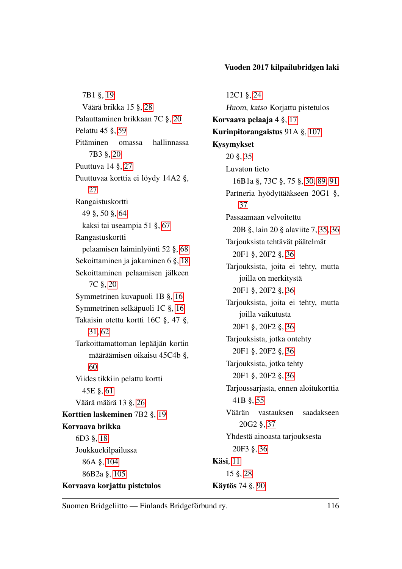7B1 §, [19](#page-21-1) Väärä brikka 15 §, [28](#page-30-0) Palauttaminen brikkaan 7C §, [20](#page-22-0) Pelattu 45 §, [59](#page-61-0) Pitäminen omassa hallinnassa 7B3 §, [20](#page-22-0) Puuttuva 14 §, [27](#page-29-0) Puuttuvaa korttia ei löydy 14A2 §, [27](#page-29-0) Rangaistuskortti 49 §, 50 §, [64](#page-66-0) kaksi tai useampia 51 §, [67](#page-69-0) Rangastuskortti pelaamisen laiminlyönti 52 §, [68](#page-70-0) Sekoittaminen ja jakaminen 6 §, [18](#page-20-0) Sekoittaminen pelaamisen jälkeen 7C §, [20](#page-22-0) Symmetrinen kuvapuoli 1B §, [16](#page-18-1) Symmetrinen selkäpuoli 1C §, [16](#page-18-1) Takaisin otettu kortti 16C §, 47 §, [31,](#page-33-0) [62](#page-64-0) Tarkoittamattoman lepääjän kortin määräämisen oikaisu 45C4b §, [60](#page-62-0) Viides tikkiin pelattu kortti 45E §, [61](#page-63-0) Väärä määrä 13 §, [26](#page-28-2) Korttien laskeminen 7B2 §, [19](#page-21-1) Korvaava brikka 6D3 §, [18](#page-20-0) Joukkuekilpailussa 86A §, [104](#page-106-1) 86B2a §, [105](#page-107-0) Korvaava korjattu pistetulos

12C1 §, [24](#page-26-0) Huom, katso Korjattu pistetulos Korvaava pelaaja 4 §, [17](#page-19-0) Kurinpitorangaistus 91A §, [107](#page-109-1) Kysymykset 20 §, [35](#page-37-0) Luvaton tieto 16B1a §, 73C §, 75 §, [30,](#page-32-0) [89,](#page-91-0) [91](#page-93-0) Partneria hyödyttääkseen 20G1 §, [37](#page-39-1) Passaamaan velvoitettu 20B §, lain 20 § alaviite 7, [35,](#page-37-0) [36](#page-38-1) Tarjouksista tehtävät päätelmät 20F1 §, 20F2 §, [36](#page-38-1) Tarjouksista, joita ei tehty, mutta joilla on merkitystä 20F1 §, 20F2 §, [36](#page-38-1) Tarjouksista, joita ei tehty, mutta joilla vaikutusta 20F1 §, 20F2 §, [36](#page-38-1) Tarjouksista, jotka ontehty 20F1 §, 20F2 §, [36](#page-38-1) Tarjouksista, jotka tehty 20F1 §, 20F2 §, [36](#page-38-1) Tarjoussarjasta, ennen aloitukorttia 41B §, [55](#page-57-0) Väärän vastauksen saadakseen 20G2 §, [37](#page-39-1) Yhdestä ainoasta tarjouksesta 20F3 §, [36](#page-38-1) Käsi, [11](#page-13-0) 15 §, [28](#page-30-0) Käytös 74 §, [90](#page-92-0)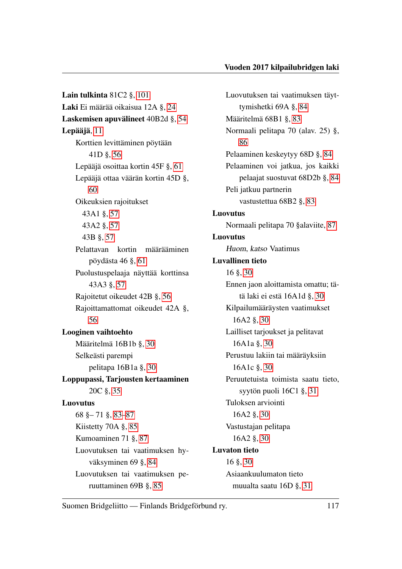Lain tulkinta 81C2 §, [101](#page-103-0) Laki Ei määrää oikaisua 12A §, [24](#page-26-0) Laskemisen apuvälineet 40B2d §, [54](#page-56-0) Lepääjä, [11](#page-13-0) Korttien levittäminen pöytään 41D §, [56](#page-58-0) Lepääjä osoittaa kortin 45F §, [61](#page-63-0) Lepääjä ottaa väärän kortin 45D §, [60](#page-62-0) Oikeuksien rajoitukset 43A1 §, [57](#page-59-0) 43A2 §, [57](#page-59-0) 43B §, [57](#page-59-0) Pelattavan kortin määrääminen pöydästa 46 §, [61](#page-63-0) Puolustuspelaaja näyttää korttinsa 43A3 §, [57](#page-59-0) Rajoitetut oikeudet 42B §, [56](#page-58-0) Rajoittamattomat oikeudet 42A §, [56](#page-58-0) Looginen vaihtoehto Määritelmä 16B1b §, [30](#page-32-0) Selkeästi parempi pelitapa 16B1a §, [30](#page-32-0) Loppupassi, Tarjousten kertaaminen 20C §, [35](#page-37-0) Luovutus 68 §– 71 §, [83–](#page-85-0)[87](#page-89-0) Kiistetty 70A §, [85](#page-87-0) Kumoaminen 71 §, [87](#page-89-0) Luovutuksen tai vaatimuksen hyväksyminen 69 §, [84](#page-86-0) Luovutuksen tai vaatimuksen peruuttaminen 69B §, [85](#page-87-0)

Luovutuksen tai vaatimuksen täyttymishetki 69A §, [84](#page-86-0) Määritelmä 68B1 §, [83](#page-85-0) Normaali pelitapa 70 (alav. 25) §, [86](#page-88-1) Pelaaminen keskeytyy 68D §, [84](#page-86-0) Pelaaminen voi jatkua, jos kaikki pelaajat suostuvat 68D2b §, [84](#page-86-0) Peli jatkuu partnerin vastustettua 68B2 §, [83](#page-85-0) Luovutus Normaali pelitapa 70 §alaviite, [87](#page-89-0) Luovutus Huom, katso Vaatimus Luvallinen tieto 16 §, [30](#page-32-0) Ennen jaon aloittamista omattu; tätä laki ei estä 16A1d §, [30](#page-32-0) Kilpailumääräysten vaatimukset 16A2 §, [30](#page-32-0) Lailliset tarjoukset ja pelitavat 16A1a §, [30](#page-32-0) Perustuu lakiin tai määräyksiin 16A1c §, [30](#page-32-0) Peruutetuista toimista saatu tieto, syytön puoli 16C1 §, [31](#page-33-0) Tuloksen arviointi 16A2 §, [30](#page-32-0) Vastustajan pelitapa 16A2 §, [30](#page-32-0) Luvaton tieto 16 §, [30](#page-32-0) Asiaankuulumaton tieto muualta saatu 16D §, [31](#page-33-0)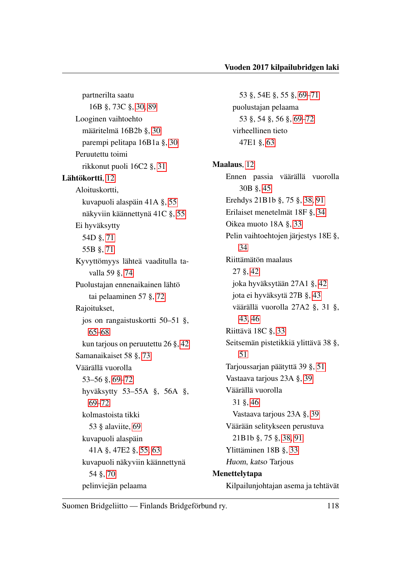partnerilta saatu 16B §, 73C §, [30,](#page-32-0) [89](#page-91-0) Looginen vaihtoehto määritelmä 16B2b §, [30](#page-32-0) parempi pelitapa 16B1a §, [30](#page-32-0) Peruutettu toimi rikkonut puoli 16C2 §, [31](#page-33-0) Lähtökortti, [12](#page-14-0) Aloituskortti, kuvapuoli alaspäin 41A §, [55](#page-57-0) näkyviin käännettynä 41C §, [55](#page-57-0) Ei hyväksytty 54D §, [71](#page-73-0) 55B §, [71](#page-73-0) Kyvyttömyys lähteä vaaditulla tavalla 59 §, [74](#page-76-0) Puolustajan ennenaikainen lähtö tai pelaaminen 57 §, [72](#page-74-0) Rajoitukset, jos on rangaistuskortti 50–51 §, [65–](#page-67-0)[68](#page-70-0) kun tarjous on peruutettu 26 §, [42](#page-44-0) Samanaikaiset 58 §, [73](#page-75-0) Väärällä vuorolla 53–56 §, [69–](#page-71-0)[72](#page-74-0) hyväksytty 53–55A §, 56A §, [69–](#page-71-0)[72](#page-74-0) kolmastoista tikki 53 § alaviite, [69](#page-71-0) kuvapuoli alaspäin 41A §, 47E2 §, [55,](#page-57-0) [63](#page-65-0) kuvapuoli näkyviin käännettynä 54 §, [70](#page-72-0) pelinviejän pelaama

53 §, 54E §, 55 §, [69](#page-71-0)[–71](#page-73-0) puolustajan pelaama 53 §, 54 §, 56 §, [69](#page-71-0)[–72](#page-74-0) virheellinen tieto 47E1 §, [63](#page-65-0) Maalaus, [12](#page-14-0) Ennen passia väärällä vuorolla 30B §, [45](#page-47-0) Erehdys 21B1b §, 75 §, [38,](#page-40-0) [91](#page-93-0) Erilaiset menetelmät 18F §, [34](#page-36-1) Oikea muoto 18A §, [33](#page-35-0) Pelin vaihtoehtojen järjestys 18E §, [34](#page-36-1) Riittämätön maalaus 27 §, [42](#page-44-0) joka hyväksytään 27A1 §, [42](#page-44-0) jota ei hyväksytä 27B §, [43](#page-45-0) väärällä vuorolla 27A2 §, 31 §, [43,](#page-45-0) [46](#page-48-0) Riittävä 18C §, [33](#page-35-0) Seitsemän pistetikkiä ylittävä 38 §, [51](#page-53-0) Tarjoussarjan päätyttä 39 §, [51](#page-53-0) Vastaava tarjous 23A §, [39](#page-41-0) Väärällä vuorolla 31 §, [46](#page-48-0) Vastaava tarjous 23A §, [39](#page-41-0) Väärään selitykseen perustuva 21B1b §, 75 §, [38,](#page-40-0) [91](#page-93-0) Ylittäminen 18B §, [33](#page-35-0) Huom, katso Tarjous Menettelytapa Kilpailunjohtajan asema ja tehtävät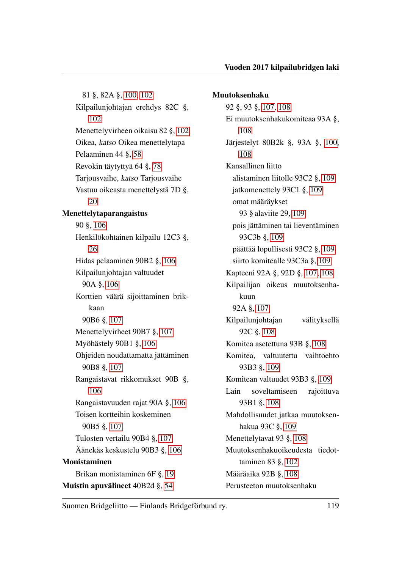81 §, 82A §, [100,](#page-102-1) [102](#page-104-0) Kilpailunjohtajan erehdys 82C §, [102](#page-104-0) Menettelyvirheen oikaisu 82 §, [102](#page-104-0) Oikea, katso Oikea menettelytapa Pelaaminen 44 §, [58](#page-60-0) Revokin täytyttyä 64 §, [78](#page-80-0) Tarjousvaihe, katso Tarjousvaihe Vastuu oikeasta menettelystä 7D §, [20](#page-22-0) Menettelytaparangaistus 90 §, [106](#page-108-0) Henkilökohtainen kilpailu 12C3 §, [26](#page-28-2) Hidas pelaaminen 90B2 §, [106](#page-108-0) Kilpailunjohtajan valtuudet 90A §, [106](#page-108-0) Korttien väärä sijoittaminen brikkaan 90B6 §, [107](#page-109-1) Menettelyvirheet 90B7 §, [107](#page-109-1) Myöhästely 90B1 §, [106](#page-108-0) Ohjeiden noudattamatta jättäminen 90B8 §, [107](#page-109-1) Rangaistavat rikkomukset 90B §, [106](#page-108-0) Rangaistavuuden rajat 90A §, [106](#page-108-0) Toisen kortteihin koskeminen 90B5 §, [107](#page-109-1) Tulosten vertailu 90B4 §, [107](#page-109-1) Äänekäs keskustelu 90B3 §, [106](#page-108-0) Monistaminen Brikan monistaminen 6F §, [19](#page-21-1) Muistin apuvälineet 40B2d §, [54](#page-56-0)

#### Muutoksenhaku

92 §, 93 §, [107,](#page-109-1) [108](#page-110-0) Ei muutoksenhakukomiteaa 93A §, [108](#page-110-0) Järjestelyt 80B2k §, 93A §, [100,](#page-102-1) [108](#page-110-0) Kansallinen liitto alistaminen liitolle 93C2 §, [109](#page-111-3) jatkomenettely 93C1 §, [109](#page-111-3) omat määräykset 93 § alaviite 29, [109](#page-111-3) pois jättäminen tai lieventäminen 93C3b §, [109](#page-111-3) päättää lopullisesti 93C2 §, [109](#page-111-3) siirto komitealle 93C3a §, [109](#page-111-3) Kapteeni 92A §, 92D §, [107,](#page-109-1) [108](#page-110-0) Kilpailijan oikeus muutoksenhakuun 92A §, [107](#page-109-1) Kilpailunjohtajan välityksellä 92C §, [108](#page-110-0) Komitea asetettuna 93B §, [108](#page-110-0) Komitea, valtuutettu vaihtoehto 93B3 §, [109](#page-111-3) Komitean valtuudet 93B3 §, [109](#page-111-3) Lain soveltamiseen rajoittuva 93B1 §, [108](#page-110-0) Mahdollisuudet jatkaa muutoksenhakua 93C §, [109](#page-111-3) Menettelytavat 93 §, [108](#page-110-0) Muutoksenhakuoikeudesta tiedottaminen 83 §, [102](#page-104-0) Määräaika 92B §, [108](#page-110-0) Perusteeton muutoksenhaku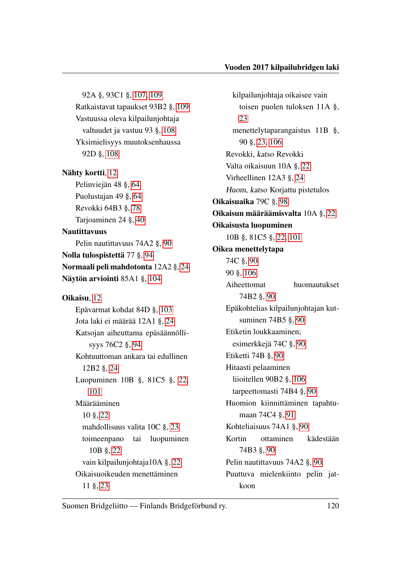92A §, 93C1 §, [107,](#page-109-1) [109](#page-111-3) Ratkaistavat tapaukset 93B2 §, [109](#page-111-3) Vastuussa oleva kilpailunjohtaja valtuudet ja vastuu 93 §, [108](#page-110-0) Yksimielisyys muutoksenhaussa 92D §, [108](#page-110-0) Nähty kortti, [12](#page-14-0) Pelinviejän 48 §, [64](#page-66-0) Puolustajan 49 §, [64](#page-66-0) Revokki 64B3 §, [78](#page-80-0) Tarjoaminen 24 §, [40](#page-42-0) Nautittavuus Pelin nautittavuus 74A2 §, [90](#page-92-0) Nolla tulospistettä 77 §, [94](#page-96-0) Normaali peli mahdotonta 12A2 §, [24](#page-26-0) Näytön arviointi 85A1 §, [104](#page-106-1) Oikaisu, [12](#page-14-0) Epävarmat kohdat 84D §, [103](#page-105-0) Jota laki ei määrää 12A1 §, [24](#page-26-0) Katsojan aiheuttama epäsäännöllisyys 76C2 §, [94](#page-96-0) Kohtuuttoman ankara tai edullinen 12B2 §, [24](#page-26-0) Luopuminen 10B §, 81C5 §, [22,](#page-24-0) [101](#page-103-0) Määrääminen 10 §, [22](#page-24-0) mahdollisuus valita 10C §, [23](#page-25-0) toimeenpano tai luopuminen 10B §, [22](#page-24-0) vain kilpailunjohtaja10A §, [22](#page-24-0) Oikaisuoikeuden menettäminen 11 §, [23](#page-25-0)

kilpailunjohtaja oikaisee vain toisen puolen tuloksen 11A §, [23](#page-25-0) menettelytaparangaistus 11B §, 90 §, [23,](#page-25-0) [106](#page-108-0) Revokki, katso Revokki Valta oikaisuun 10A §, [22](#page-24-0) Virheellinen 12A3 §, [24](#page-26-0) Huom, katso Korjattu pistetulos Oikaisuaika 79C §, [98](#page-100-0) Oikaisun määräämisvalta 10A §, [22](#page-24-0) Oikaisusta luopuminen 10B §, 81C5 §, [22,](#page-24-0) [101](#page-103-0) Oikea menettelytapa 74C §, [90](#page-92-0) 90 §, [106](#page-108-0) Aiheettomat huomautukset 74B2 §, [90](#page-92-0) Epäkohtelias kilpailunjohtajan kutsuminen 74B5 §, [90](#page-92-0) Etiketin loukkaaminen; esimerkkejä 74C §, [90](#page-92-0) Etiketti 74B §, [90](#page-92-0) Hitaasti pelaaminen liioitellen 90B2 §, [106](#page-108-0) tarpeettomasti 74B4 §, [90](#page-92-0) Huomion kiinnittäminen tapahtumaan 74C4 §, [91](#page-93-0) Kohteliaisuus 74A1 §, [90](#page-92-0) Kortin ottaminen kädestään 74B3 §, [90](#page-92-0) Pelin nautittavuus 74A2 §, [90](#page-92-0) Puuttuva mielenkiinto pelin jatkoon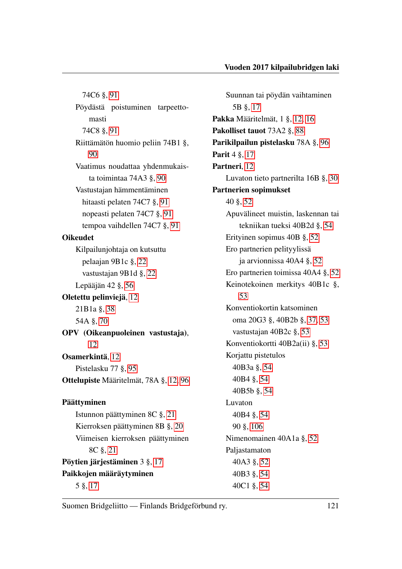74C6 §, [91](#page-93-0) Pöydästä poistuminen tarpeettomasti 74C8 §, [91](#page-93-0) Riittämätön huomio peliin 74B1 §, [90](#page-92-0) Vaatimus noudattaa yhdenmukaista toimintaa 74A3 §, [90](#page-92-0) Vastustajan hämmentäminen hitaasti pelaten 74C7 §, [91](#page-93-0) nopeasti pelaten 74C7 §, [91](#page-93-0) tempoa vaihdellen 74C7 §, [91](#page-93-0) Oikeudet Kilpailunjohtaja on kutsuttu pelaajan 9B1c §, [22](#page-24-0) vastustajan 9B1d §, [22](#page-24-0) Lepääjän 42 §, [56](#page-58-0) Oletettu pelinviejä, [12](#page-14-0) 21B1a §, [38](#page-40-0) 54A §, [70](#page-72-0) OPV (Oikeanpuoleinen vastustaja), [12](#page-14-0) Osamerkintä, [12](#page-14-0) Pistelasku 77 §, [95](#page-97-0) Ottelupiste Määritelmät, 78A §, [12,](#page-14-0) [96](#page-98-0) Päättyminen Istunnon päättyminen 8C §, [21](#page-23-0) Kierroksen päättyminen 8B §, [20](#page-22-0) Viimeisen kierroksen päättyminen 8C §, [21](#page-23-0) Pöytien järjestäminen 3 §, [17](#page-19-0) Paikkojen määräytyminen 5 §, [17](#page-19-0)

Suunnan tai pöydän vaihtaminen 5B §, [17](#page-19-0) Pakka Määritelmät, 1 §, [12,](#page-14-0) [16](#page-18-1) Pakolliset tauot 73A2 §, [88](#page-90-0) Parikilpailun pistelasku 78A §, [96](#page-98-0) Parit 4 §, [17](#page-19-0) Partneri, [12](#page-14-0) Luvaton tieto partnerilta 16B §, [30](#page-32-0) Partnerien sopimukset 40 §, [52](#page-54-2) Apuvälineet muistin, laskennan tai tekniikan tueksi 40B2d §, [54](#page-56-0) Erityinen sopimus 40B §, [52](#page-54-2) Ero partnerien pelityylissä ja arvionnissa 40A4 §, [52](#page-54-2) Ero partnerien toimissa 40A4 §, [52](#page-54-2) Keinotekoinen merkitys 40B1c §, [53](#page-55-3) Konventiokortin katsominen oma 20G3 §, 40B2b §, [37,](#page-39-1) [53](#page-55-3) vastustajan 40B2c §, [53](#page-55-3) Konventiokortti 40B2a(ii) §, [53](#page-55-3) Korjattu pistetulos 40B3a §, [54](#page-56-0) 40B4 §, [54](#page-56-0) 40B5b §, [54](#page-56-0) Luvaton 40B4 §, [54](#page-56-0) 90 §, [106](#page-108-0) Nimenomainen 40A1a §, [52](#page-54-2) Paljastamaton 40A3 §, [52](#page-54-2) 40B3 §, [54](#page-56-0) 40C1 §, [54](#page-56-0)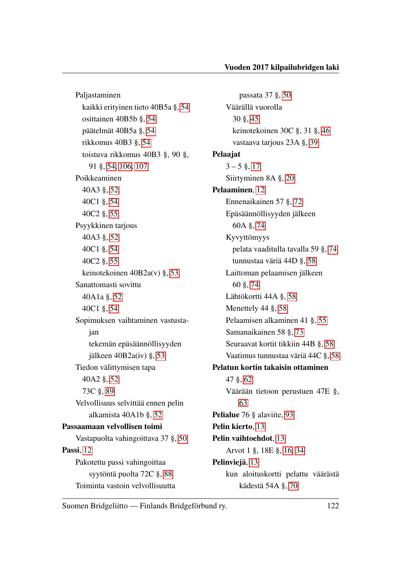Paljastaminen kaikki erityinen tieto 40B5a §, [54](#page-56-0) osittainen 40B5b §, [54](#page-56-0) päätelmät 40B5a §, [54](#page-56-0) rikkomus 40B3 §, [54](#page-56-0) toistuva rikkomus 40B3 §, 90 §, 91 §, [54,](#page-56-0) [106,](#page-108-0) [107](#page-109-1) Poikkeaminen 40A3 §, [52](#page-54-2) 40C1 §, [54](#page-56-0) 40C2 §, [55](#page-57-0) Psyykkinen tarjous 40A3 §, [52](#page-54-2) 40C1 §, [54](#page-56-0) 40C2 §, [55](#page-57-0) keinotekoinen 40B2a(v) §, [53](#page-55-3) Sanattomasti sovittu 40A1a §, [52](#page-54-2) 40C1 §, [54](#page-56-0) Sopimuksen vaihtaminen vastustajan tekemän epäsäännöllisyyden jälkeen 40B2a(iv) §, [53](#page-55-3) Tiedon välittymisen tapa 40A2 §, [52](#page-54-2) 73C §, [89](#page-91-0) Velvollisuus selvittää ennen pelin alkamista 40A1b §, [52](#page-54-2) Passaamaan velvollisen toimi Vastapuolta vahingoittava 37 §, [50](#page-52-0) Passi, [12](#page-14-0) Pakotettu passi vahingoittaa syytöntä puolta 72C §, [88](#page-90-0) Toiminta vastoin velvollisuutta

passata 37 §, [50](#page-52-0) Väärällä vuorolla 30 §, [45](#page-47-0) keinotekoinen 30C §, 31 §, [46](#page-48-0) vastaava tarjous 23A §, [39](#page-41-0) Pelaajat  $3 - 5$  §, [17](#page-19-0) Siirtyminen 8A §, [20](#page-22-0) Pelaaminen, [12](#page-14-0) Ennenaikainen 57 §, [72](#page-74-0) Epäsäännöllisyyden jälkeen 60A §, [74](#page-76-0) Kyvyttömyys pelata vaaditulla tavalla 59 §, [74](#page-76-0) tunnustaa väriä 44D §, [58](#page-60-0) Laittoman pelaamisen jälkeen 60 §, [74](#page-76-0) Lähtökortti 44A §, [58](#page-60-0) Menettely 44 §, [58](#page-60-0) Pelaamisen alkaminen 41 §, [55](#page-57-0) Samanaikainen 58 §, [73](#page-75-0) Seuraavat kortit tikkiin 44B §, [58](#page-60-0) Vaatimus tunnustaa väriä 44C §, [58](#page-60-0) Pelatun kortin takaisin ottaminen 47 §, [62](#page-64-0) Väärään tietoon perustuen 47E §, [63](#page-65-0) Pelialue 76 § alaviite, [93](#page-95-0) Pelin kierto, [13](#page-15-0) Pelin vaihtoehdot, [13](#page-15-0) Arvot 1 §, 18E §, [16,](#page-18-1) [34](#page-36-1) Pelinviejä, [13](#page-15-0) kun aloituskortti pelattu väärästä kädestä 54A §, [70](#page-72-0)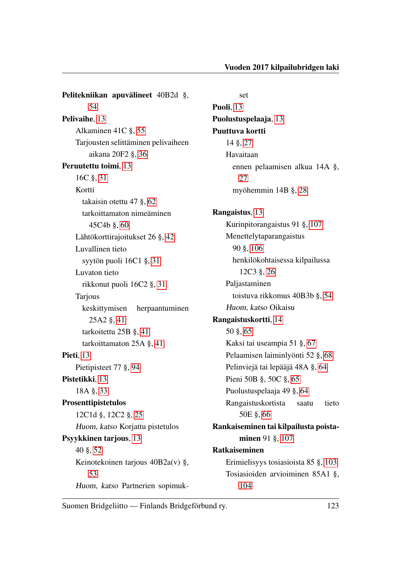Pelitekniikan apuvälineet 40B2d §, [54](#page-56-0) Pelivaihe, [13](#page-15-0) Alkaminen 41C §, [55](#page-57-0) Tarjousten selittäminen pelivaiheen aikana 20F2 §, [36](#page-38-1) Peruutettu toimi, [13](#page-15-0) 16C §, [31](#page-33-0) Kortti takaisin otettu 47 §, [62](#page-64-0) tarkoittamaton nimeäminen 45C4b §, [60](#page-62-0) Lähtökorttirajoitukset 26 §, [42](#page-44-0) Luvallinen tieto syytön puoli 16C1 §, [31](#page-33-0) Luvaton tieto rikkonut puoli 16C2 §, [31](#page-33-0) Tarjous keskittymisen herpaantuminen 25A2 §, [41](#page-43-0) tarkoitettu 25B §, [41](#page-43-0) tarkoittamaton 25A §, [41](#page-43-0) Pieti, [13](#page-15-0) Pietipisteet 77 §, [94](#page-96-0) Pistetikki, [13](#page-15-0) 18A §, [33](#page-35-0) Prosenttipistetulos 12C1d §, 12C2 §, [25](#page-27-2) Huom, katso Korjattu pistetulos Psyykkinen tarjous, [13](#page-15-0) 40 §, [52](#page-54-2) Keinotekoinen tarjous 40B2a(v) §, [53](#page-55-3) Huom, katso Partnerien sopimuk-

set Puoli, [13](#page-15-0) Puolustuspelaaja, [13](#page-15-0) Puuttuva kortti 14 §, [27](#page-29-0) Havaitaan ennen pelaamisen alkua 14A §, [27](#page-29-0) myöhemmin 14B §, [28](#page-30-0) Rangaistus, [13](#page-15-0) Kurinpitorangaistus 91 §, [107](#page-109-1) Menettelytaparangaistus 90 §, [106](#page-108-0) henkilökohtaisessa kilpailussa 12C3 §, [26](#page-28-2) Paljastaminen toistuva rikkomus 40B3b §, [54](#page-56-0) Huom, katso Oikaisu Rangaistuskortti, [14](#page-16-0) 50 §, [65](#page-67-0) Kaksi tai useampia 51 §, [67](#page-69-0) Pelaamisen laiminlyönti 52 §, [68](#page-70-0) Pelinviejä tai lepääjä 48A §, [64](#page-66-0) Pieni 50B §, 50C §, [65](#page-67-0) Puolustuspelaaja 49 §, [64](#page-66-0) Rangaistuskortista saatu tieto 50E §, [66](#page-68-0) Rankaiseminen tai kilpailusta poista-minen 91 §, [107](#page-109-1) Ratkaiseminen Erimielisyys tosiasioista 85 §, [103](#page-105-0) Tosiasioiden arvioiminen 85A1 §, [104](#page-106-1)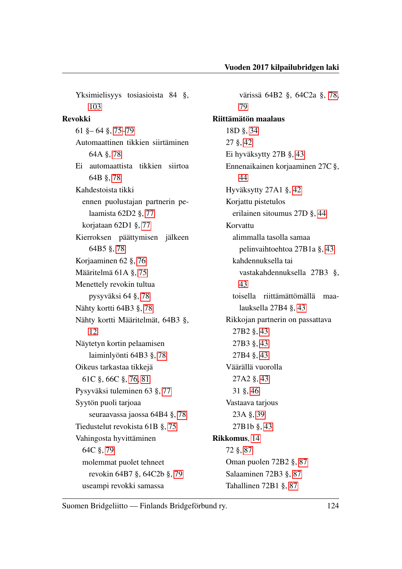Yksimielisyys tosiasioista 84 §, [103](#page-105-0) Revokki 61 §– 64 §, [75–](#page-77-0)[79](#page-81-0) Automaattinen tikkien siirtäminen 64A §, [78](#page-80-0) Ei automaattista tikkien siirtoa 64B §, [78](#page-80-0) Kahdestoista tikki ennen puolustajan partnerin pelaamista 62D2 §, [77](#page-79-0) korjataan 62D1 §, [77](#page-79-0) Kierroksen päättymisen jälkeen 64B5 §, [78](#page-80-0) Korjaaminen 62 §, [76](#page-78-0) Määritelmä 61A §, [75](#page-77-0) Menettely revokin tultua pysyväksi 64 §, [78](#page-80-0) Nähty kortti 64B3 §, [78](#page-80-0) Nähty kortti Määritelmät, 64B3 §, [12](#page-14-0) Näytetyn kortin pelaamisen laiminlyönti 64B3 §, [78](#page-80-0) Oikeus tarkastaa tikkejä 61C §, 66C §, [76,](#page-78-0) [81](#page-83-0) Pysyväksi tuleminen 63 §, [77](#page-79-0) Syytön puoli tarjoaa seuraavassa jaossa 64B4 §, [78](#page-80-0) Tiedustelut revokista 61B §, [75](#page-77-0) Vahingosta hyvittäminen 64C §, [79](#page-81-0) molemmat puolet tehneet revokin 64B7 §, 64C2b §, [79](#page-81-0) useampi revokki samassa

värissä 64B2 §, 64C2a §, [78,](#page-80-0) [79](#page-81-0) Riittämätön maalaus 18D §, [34](#page-36-1) 27 §, [42](#page-44-0) Ei hyväksytty 27B §, [43](#page-45-0) Ennenaikainen korjaaminen 27C §, [44](#page-46-0) Hyväksytty 27A1 §, [42](#page-44-0) Korjattu pistetulos erilainen sitoumus 27D §, [44](#page-46-0) Korvattu alimmalla tasolla samaa pelinvaihtoehtoa 27B1a §, [43](#page-45-0) kahdennuksella tai vastakahdennuksella 27B3 §, [43](#page-45-0) toisella riittämättömällä maalauksella 27B4 §, [43](#page-45-0) Rikkojan partnerin on passattava 27B2 §, [43](#page-45-0) 27B3 §, [43](#page-45-0) 27B4 §, [43](#page-45-0) Väärällä vuorolla 27A2 §, [43](#page-45-0) 31 §, [46](#page-48-0) Vastaava tarjous 23A §, [39](#page-41-0) 27B1b §, [43](#page-45-0) Rikkomus, [14](#page-16-0) 72 §, [87](#page-89-0) Oman puolen 72B2 §, [87](#page-89-0) Salaaminen 72B3 §, [87](#page-89-0) Tahallinen 72B1 §, [87](#page-89-0)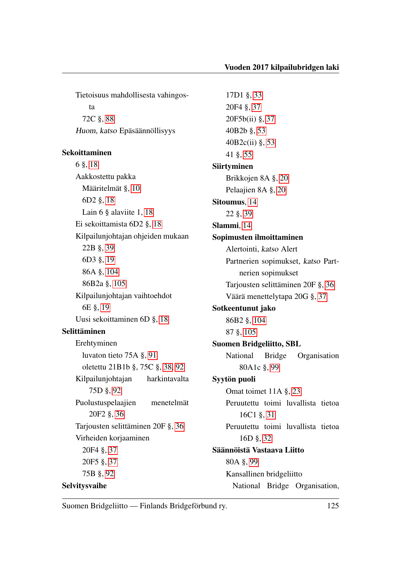Tietoisuus mahdollisesta vahingosta 72C §, [88](#page-90-0) Huom, katso Epäsäännöllisyys

#### Sekoittaminen

6 §, [18](#page-20-0) Aakkostettu pakka Määritelmät §, [10](#page-12-0) 6D2 §, [18](#page-20-0) Lain 6 § alaviite 1, [18](#page-20-0) Ei sekoittamista 6D2 §, [18](#page-20-0) Kilpailunjohtajan ohjeiden mukaan 22B §, [39](#page-41-0) 6D3 §, [19](#page-21-1) 86A §, [104](#page-106-1) 86B2a §, [105](#page-107-0) Kilpailunjohtajan vaihtoehdot 6E §, [19](#page-21-1) Uusi sekoittaminen 6D §, [18](#page-20-0) Selittäminen Erehtyminen luvaton tieto 75A §, [91](#page-93-0) oletettu 21B1b §, 75C §, [38,](#page-40-0) [92](#page-94-0) Kilpailunjohtajan harkintavalta 75D §, [92](#page-94-0) Puolustuspelaajien menetelmät 20F2 §, [36](#page-38-1) Tarjousten selittäminen 20F §, [36](#page-38-1) Virheiden korjaaminen 20F4 §, [37](#page-39-1) 20F5 §, [37](#page-39-1) 75B §, [92](#page-94-0) Selvitysvaihe

17D1 §, [33](#page-35-0) 20F4 §, [37](#page-39-1) 20F5b(ii) §, [37](#page-39-1) 40B2b §, [53](#page-55-3) 40B2c(ii) §, [53](#page-55-3) 41 §, [55](#page-57-0) Siirtyminen Brikkojen 8A §, [20](#page-22-0) Pelaajien 8A §, [20](#page-22-0) Sitoumus, [14](#page-16-0) 22 §, [39](#page-41-0) Slammi, [14](#page-16-0) Sopimusten ilmoittaminen Alertointi, katso Alert Partnerien sopimukset, katso Partnerien sopimukset Tarjousten selittäminen 20F §, [36](#page-38-1) Väärä menettelytapa 20G §, [37](#page-39-1) Sotkeentunut jako 86B2 §, [104](#page-106-1) 87 §, [105](#page-107-0) Suomen Bridgeliitto, SBL National Bridge Organisation 80A1c §, [99](#page-101-0) Syytön puoli Omat toimet 11A §, [23](#page-25-0) Peruutettu toimi luvallista tietoa 16C1 §, [31](#page-33-0) Peruutettu toimi luvallista tietoa 16D §, [32](#page-34-0) Säännöistä Vastaava Liitto 80A §, [99](#page-101-0) Kansallinen bridgeliitto National Bridge Organisation,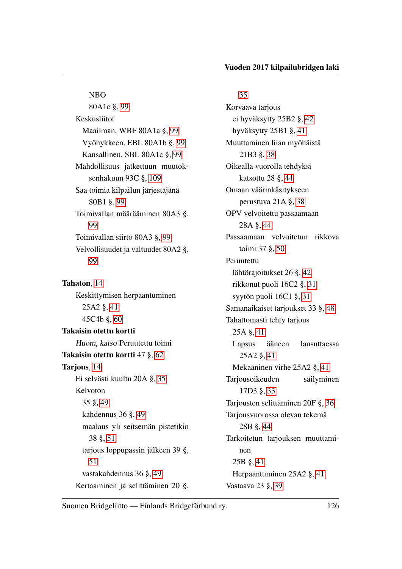NBO 80A1c §, [99](#page-101-0) Keskusliitot Maailman, WBF 80A1a §, [99](#page-101-0) Vyöhykkeen, EBL 80A1b §, [99](#page-101-0) Kansallinen, SBL 80A1c §, [99](#page-101-0) Mahdollisuus jatkettuun muutoksenhakuun 93C §, [109](#page-111-3) Saa toimia kilpailun järjestäjänä 80B1 §, [99](#page-101-0) Toimivallan määrääminen 80A3 §, [99](#page-101-0) Toimivallan siirto 80A3 §, [99](#page-101-0) Velvollisuudet ja valtuudet 80A2 §, [99](#page-101-0)

Tahaton, [14](#page-16-0) Keskittymisen herpaantuminen 25A2 §, [41](#page-43-0) 45C4b §, [60](#page-62-0) Takaisin otettu kortti Huom, katso Peruutettu toimi Takaisin otettu kortti 47 §, [62](#page-64-0) Tarjous, [14](#page-16-0) Ei selvästi kuultu 20A §, [35](#page-37-0) Kelvoton 35 §, [49](#page-51-0) kahdennus 36 §, [49](#page-51-0) maalaus yli seitsemän pistetikin 38 §, [51](#page-53-0) tarjous loppupassin jälkeen 39 §, [51](#page-53-0) vastakahdennus 36 §, [49](#page-51-0) Kertaaminen ja selittäminen 20 §,

#### [35](#page-37-0)

Korvaava tarjous ei hyväksytty 25B2 §, [42](#page-44-0) hyväksytty 25B1 §, [41](#page-43-0) Muuttaminen liian myöhäistä 21B3 §, [38](#page-40-0) Oikealla vuorolla tehdyksi katsottu 28 §, [44](#page-46-0) Omaan väärinkäsitykseen perustuva 21A §, [38](#page-40-0) OPV velvoitettu passaamaan 28A §, [44](#page-46-0) Passaamaan velvoitetun rikkova toimi 37 §, [50](#page-52-0) Peruutettu lähtörajoitukset 26 §, [42](#page-44-0) rikkonut puoli 16C2 §, [31](#page-33-0) syytön puoli 16C1 §, [31](#page-33-0) Samanaikaiset tarjoukset 33 §, [48](#page-50-0) Tahattomasti tehty tarjous 25A §, [41](#page-43-0) Lapsus ääneen lausuttaessa 25A2 §, [41](#page-43-0) Mekaaninen virhe 25A2 §, [41](#page-43-0) Tarjousoikeuden säilyminen 17D3 §, [33](#page-35-0) Tarjousten selittäminen 20F §, [36](#page-38-1) Tarjousvuorossa olevan tekemä 28B §, [44](#page-46-0) Tarkoitetun tarjouksen muuttaminen 25B §, [41](#page-43-0) Herpaantuminen 25A2 §, [41](#page-43-0) Vastaava 23 §, [39](#page-41-0)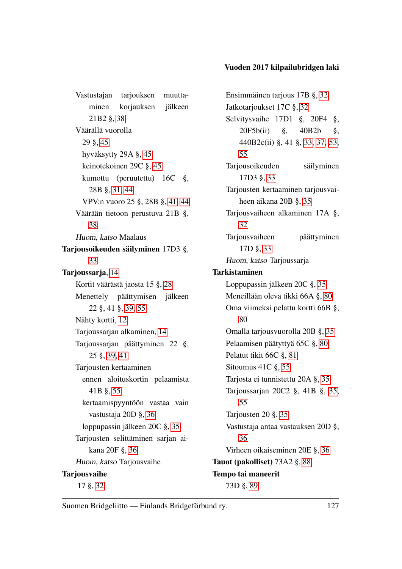Vastustajan tarjouksen muuttaminen korjauksen jälkeen 21B2 §, [38](#page-40-0) Väärällä vuorolla 29 §, [45](#page-47-0) hyväksytty 29A §, [45](#page-47-0) keinotekoinen 29C §, [45](#page-47-0) kumottu (peruutettu) 16C §, 28B §, [31,](#page-33-0) [44](#page-46-0) VPV:n vuoro 25 §, 28B §, [41,](#page-43-0) [44](#page-46-0) Väärään tietoon perustuva 21B §, [38](#page-40-0) Huom, katso Maalaus Tarjousoikeuden säilyminen 17D3 §, [33](#page-35-0) Tarioussaria, [14](#page-16-0) Kortit väärästä jaosta 15 §, [28](#page-30-0) Menettely päättymisen jälkeen 22 §, 41 §, [39,](#page-41-0) [55](#page-57-0) Nähty kortti, [12](#page-14-0) Tarjoussarjan alkaminen, [14](#page-16-0) Tarjoussarjan päättyminen 22 §, 25 §, [39,](#page-41-0) [41](#page-43-0) Tarjousten kertaaminen ennen aloituskortin pelaamista 41B §, [55](#page-57-0) kertaamispyyntöön vastaa vain vastustaja 20D §, [36](#page-38-1) loppupassin jälkeen 20C §, [35](#page-37-0) Tarjousten selittäminen sarjan aikana 20F §, [36](#page-38-1) Huom, katso Tarjousvaihe **Tarjousvaihe** 17 §, [32](#page-34-0)

Ensimmäinen tarjous 17B §, [32](#page-34-0) Jatkotarjoukset 17C §, [32](#page-34-0) Selvitysvaihe 17D1 §, 20F4 §, 20F5b(ii) §, 40B2b §, 440B2c(ii) §, 41 §, [33,](#page-35-0) [37,](#page-39-1) [53,](#page-55-3) [55](#page-57-0) Tarjousoikeuden säilyminen 17D3 §, [33](#page-35-0) Tarjousten kertaaminen tarjousvaiheen aikana 20B §, [35](#page-37-0) Tarjousvaiheen alkaminen 17A §, [32](#page-34-0) Tarjousvaiheen päättyminen 17D §, [33](#page-35-0) Huom, katso Tarjoussarja Tarkistaminen Loppupassin jälkeen 20C §, [35](#page-37-0) Meneillään oleva tikki 66A §, [80](#page-82-0) Oma viimeksi pelattu kortti 66B §, [80](#page-82-0) Omalla tarjousvuorolla 20B §, [35](#page-37-0) Pelaamisen päätyttyä 65C §, [80](#page-82-0) Pelatut tikit 66C §, [81](#page-83-0) Sitoumus 41C §, [55](#page-57-0) Tarjosta ei tunnistettu 20A §, [35](#page-37-0) Tarjoussarjan 20C2 §, 41B §, [35,](#page-37-0) [55](#page-57-0) Tarjousten 20 §, [35](#page-37-0) Vastustaja antaa vastauksen 20D §, [36](#page-38-1) Virheen oikaiseminen 20E §, [36](#page-38-1) Tauot (pakolliset) 73A2 §, [88](#page-90-0) Tempo tai maneerit 73D §, [89](#page-91-0)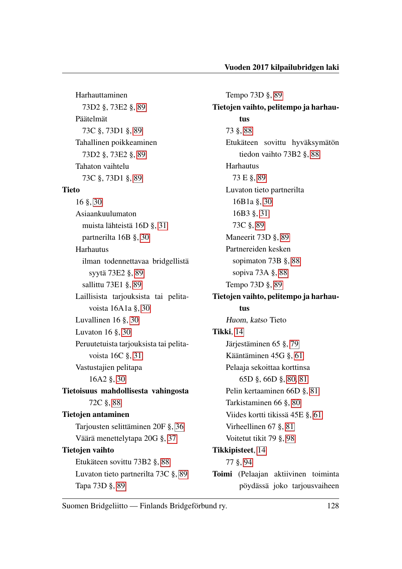Harhauttaminen 73D2 §, 73E2 §, [89](#page-91-0) Päätelmät 73C §, 73D1 §, [89](#page-91-0) Tahallinen poikkeaminen 73D2 §, 73E2 §, [89](#page-91-0) Tahaton vaihtelu 73C §, 73D1 §, [89](#page-91-0) Tieto 16 §, [30](#page-32-0) Asiaankuulumaton muista lähteistä 16D §, [31](#page-33-0) partnerilta 16B §, [30](#page-32-0) Harhautus ilman todennettavaa bridgellistä syytä 73E2 §, [89](#page-91-0) sallittu 73E1 §, [89](#page-91-0) Laillisista tarjouksista tai pelitavoista 16A1a §, [30](#page-32-0) Luvallinen 16 §, [30](#page-32-0) Luvaton 16 §, [30](#page-32-0) Peruutetuista tarjouksista tai pelitavoista 16C §, [31](#page-33-0) Vastustajien pelitapa 16A2 §, [30](#page-32-0) Tietoisuus mahdollisesta vahingosta 72C §, [88](#page-90-0) Tietojen antaminen Tarjousten selittäminen 20F §, [36](#page-38-1) Väärä menettelytapa 20G §, [37](#page-39-1) Tietojen vaihto Etukäteen sovittu 73B2 §, [88](#page-90-0) Luvaton tieto partnerilta 73C §, [89](#page-91-0) Tapa 73D §, [89](#page-91-0)

Tempo 73D §, [89](#page-91-0) Tietojen vaihto, pelitempo ja harhautus 73 §, [88](#page-90-0) Etukäteen sovittu hyväksymätön tiedon vaihto 73B2 §, [88](#page-90-0) Harhautus 73 E §, [89](#page-91-0) Luvaton tieto partnerilta 16B1a §, [30](#page-32-0) 16B3 §, [31](#page-33-0) 73C §, [89](#page-91-0) Maneerit 73D §, [89](#page-91-0) Partnereiden kesken sopimaton 73B §, [88](#page-90-0) sopiva 73A §, [88](#page-90-0) Tempo 73D §, [89](#page-91-0) Tietojen vaihto, pelitempo ja harhautus Huom, katso Tieto Tikki, [14](#page-16-0) Järjestäminen 65 §, [79](#page-81-0) Kääntäminen 45G §, [61](#page-63-0) Pelaaja sekoittaa korttinsa 65D §, 66D §, [80,](#page-82-0) [81](#page-83-0) Pelin kertaaminen 66D §, [81](#page-83-0) Tarkistaminen 66 §, [80](#page-82-0) Viides kortti tikissä 45E §, [61](#page-63-0) Virheellinen 67 §, [81](#page-83-0) Voitetut tikit 79 §, [98](#page-100-0) Tikkipisteet, [14](#page-16-0) 77 §, [94](#page-96-0) Toimi (Pelaajan aktiivinen toiminta pöydässä joko tarjousvaiheen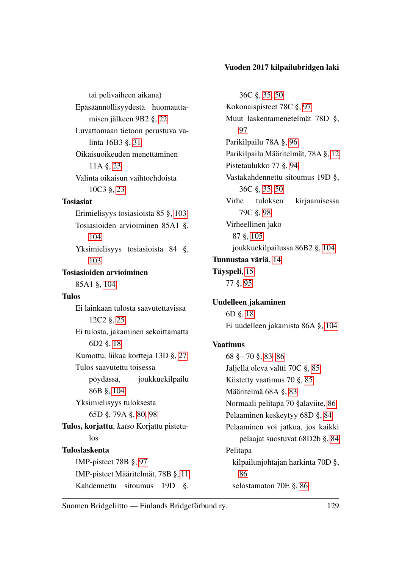tai pelivaiheen aikana) Epäsäännöllisyydestä huomauttamisen jälkeen 9B2 §, [22](#page-24-0) Luvattomaan tietoon perustuva valinta 16B3 §, [31](#page-33-0) Oikaisuoikeuden menettäminen 11A §, [23](#page-25-0) Valinta oikaisun vaihtoehdoista 10C3 §, [23](#page-25-0) Tosiasiat Erimielisyys tosiasioista 85 §, [103](#page-105-0) Tosiasioiden arvioiminen 85A1 §, [104](#page-106-1) Yksimielisyys tosiasioista 84 §, [103](#page-105-0) Tosiasioiden arvioiminen 85A1 §, [104](#page-106-1) Tulos Ei lainkaan tulosta saavutettavissa 12C2 §, [25](#page-27-2) Ei tulosta, jakaminen sekoittamatta 6D2 §, [18](#page-20-0) Kumottu, liikaa kortteja 13D §, [27](#page-29-0) Tulos saavutettu toisessa pöydässä, joukkuekilpailu 86B §, [104](#page-106-1) Yksimielisyys tuloksesta 65D §, 79A §, [80,](#page-82-0) [98](#page-100-0) Tulos, korjattu, katso Korjattu pistetulos Tuloslaskenta IMP-pisteet 78B §, [97](#page-99-0) IMP-pisteet Määritelmät, 78B §, [11](#page-13-0) Kahdennettu sitoumus 19D §,

36C §, [35,](#page-37-0) [50](#page-52-0) Kokonaispisteet 78C §, [97](#page-99-0) Muut laskentamenetelmät 78D §, [97](#page-99-0) Parikilpailu 78A §, [96](#page-98-0) Parikilpailu Määritelmät, 78A §, [12](#page-14-0) Pistetaulukko 77 §, [94](#page-96-0) Vastakahdennettu sitoumus 19D §, 36C §, [35,](#page-37-0) [50](#page-52-0) Virhe tuloksen kirjaamisessa 79C §, [98](#page-100-0) Virheellinen jako 87 §, [105](#page-107-0) joukkuekilpailussa 86B2 §, [104](#page-106-1) Tunnustaa väriä, [14](#page-16-0) Täyspeli, [15](#page-17-0) 77 §, [95](#page-97-0) Uudelleen jakaminen 6D §, [18](#page-20-0) Ei uudelleen jakamista 86A §, [104](#page-106-1) Vaatimus

68 §– 70 §, [83](#page-85-0)[–86](#page-88-1) Jäljellä oleva valtti 70C §, [85](#page-87-0) Kiistetty vaatimus 70 §, [85](#page-87-0) Määritelmä 68A §, [83](#page-85-0) Normaali pelitapa 70 §alaviite, [86](#page-88-1) Pelaaminen keskeytyy 68D §, [84](#page-86-0) Pelaaminen voi jatkua, jos kaikki pelaajat suostuvat 68D2b §, [84](#page-86-0) Pelitapa kilpailunjohtajan harkinta 70D §, [86](#page-88-1) selostamaton 70E §, [86](#page-88-1)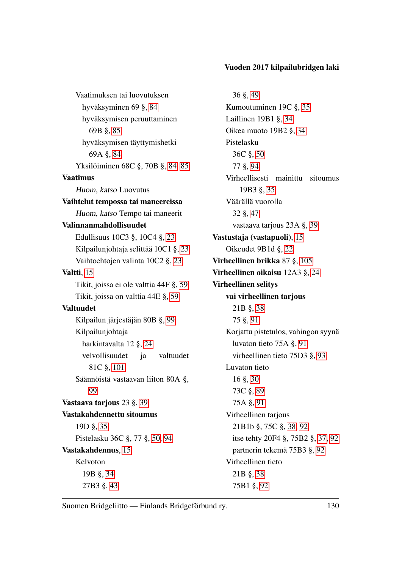Vaatimuksen tai luovutuksen hyväksyminen 69 §, [84](#page-86-0) hyväksymisen peruuttaminen 69B §, [85](#page-87-0) hyväksymisen täyttymishetki 69A §, [84](#page-86-0) Yksilöiminen 68C §, 70B §, [84,](#page-86-0) [85](#page-87-0) Vaatimus Huom, katso Luovutus Vaihtelut tempossa tai maneereissa Huom, katso Tempo tai maneerit Valinnanmahdollisuudet Edullisuus 10C3 §, 10C4 §, [23](#page-25-0) Kilpailunjohtaja selittää 10C1 §, [23](#page-25-0) Vaihtoehtojen valinta 10C2 §, [23](#page-25-0) Valtti, [15](#page-17-0) Tikit, joissa ei ole valttia 44F §, [59](#page-61-0) Tikit, joissa on valttia 44E §, [59](#page-61-0) Valtuudet Kilpailun järjestäjän 80B §, [99](#page-101-0) Kilpailunjohtaja harkintavalta 12 §, [24](#page-26-0) velvollisuudet ja valtuudet 81C §, [101](#page-103-0) Säännöistä vastaavan liiton 80A §, [99](#page-101-0) Vastaava tarjous 23 §, [39](#page-41-0) Vastakahdennettu sitoumus 19D §, [35](#page-37-0) Pistelasku 36C §, 77 §, [50,](#page-52-0) [94](#page-96-0) Vastakahdennus, [15](#page-17-0) Kelvoton 19B §, [34](#page-36-1) 27B3 §, [43](#page-45-0)

36 §, [49](#page-51-0) Kumoutuminen 19C §, [35](#page-37-0) Laillinen 19B1 §, [34](#page-36-1) Oikea muoto 19B2 §, [34](#page-36-1) Pistelasku 36C §, [50](#page-52-0) 77 §, [94](#page-96-0) Virheellisesti mainittu sitoumus 19B3 §, [35](#page-37-0) Väärällä vuorolla 32 §, [47](#page-49-0) vastaava tarjous 23A §, [39](#page-41-0) Vastustaja (vastapuoli), [15](#page-17-0) Oikeudet 9B1d §, [22](#page-24-0) Virheellinen brikka 87 §, [105](#page-107-0) Virheellinen oikaisu 12A3 §, [24](#page-26-0) Virheellinen selitys vai virheellinen tarjous 21B §, [38](#page-40-0) 75 §, [91](#page-93-0) Korjattu pistetulos, vahingon syynä luvaton tieto 75A §, [91](#page-93-0) virheellinen tieto 75D3 §, [93](#page-95-0) Luvaton tieto 16 §, [30](#page-32-0) 73C §, [89](#page-91-0) 75A §, [91](#page-93-0) Virheellinen tarjous 21B1b §, 75C §, [38,](#page-40-0) [92](#page-94-0) itse tehty 20F4 §, 75B2 §, [37,](#page-39-1) [92](#page-94-0) partnerin tekemä 75B3 §, [92](#page-94-0) Virheellinen tieto 21B §, [38](#page-40-0) 75B1 §, [92](#page-94-0)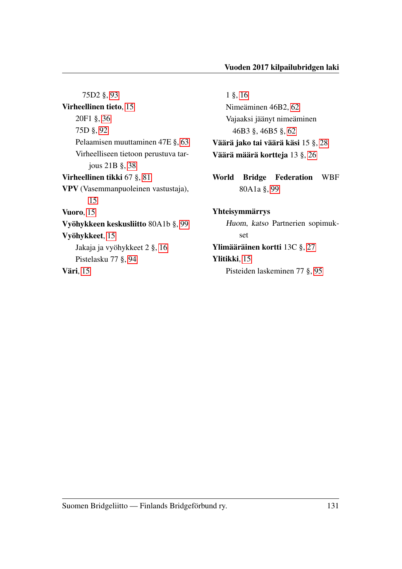75D2 §, [93](#page-95-0) Virheellinen tieto, [15](#page-17-0) 20F1 §, [36](#page-38-1) 75D §, [92](#page-94-0) Pelaamisen muuttaminen 47E §, [63](#page-65-0) Virheelliseen tietoon perustuva tarjous 21B §, [38](#page-40-0) Virheellinen tikki 67 §, [81](#page-83-0) VPV (Vasemmanpuoleinen vastustaja), [15](#page-17-0) Vuoro, [15](#page-17-0) Vyöhykkeen keskusliitto 80A1b §, [99](#page-101-0) Vyöhykkeet, [15](#page-17-0) Jakaja ja vyöhykkeet 2 §, [16](#page-18-1) Pistelasku 77 §, [94](#page-96-0) Väri, [15](#page-17-0)

1 §, [16](#page-18-1) Nimeäminen 46B2, [62](#page-64-0) Vajaaksi jäänyt nimeäminen 46B3 §, 46B5 §, [62](#page-64-0) Väärä jako tai väärä käsi 15 §, [28](#page-30-0) Väärä määrä kortteja 13 §, [26](#page-28-2) World Bridge Federation WBF 80A1a §, [99](#page-101-0) Yhteisymmärrys Huom, katso Partnerien sopimukset

Ylimääräinen kortti 13C §, [27](#page-29-0) Ylitikki, [15](#page-17-0) Pisteiden laskeminen 77 §, [95](#page-97-0)